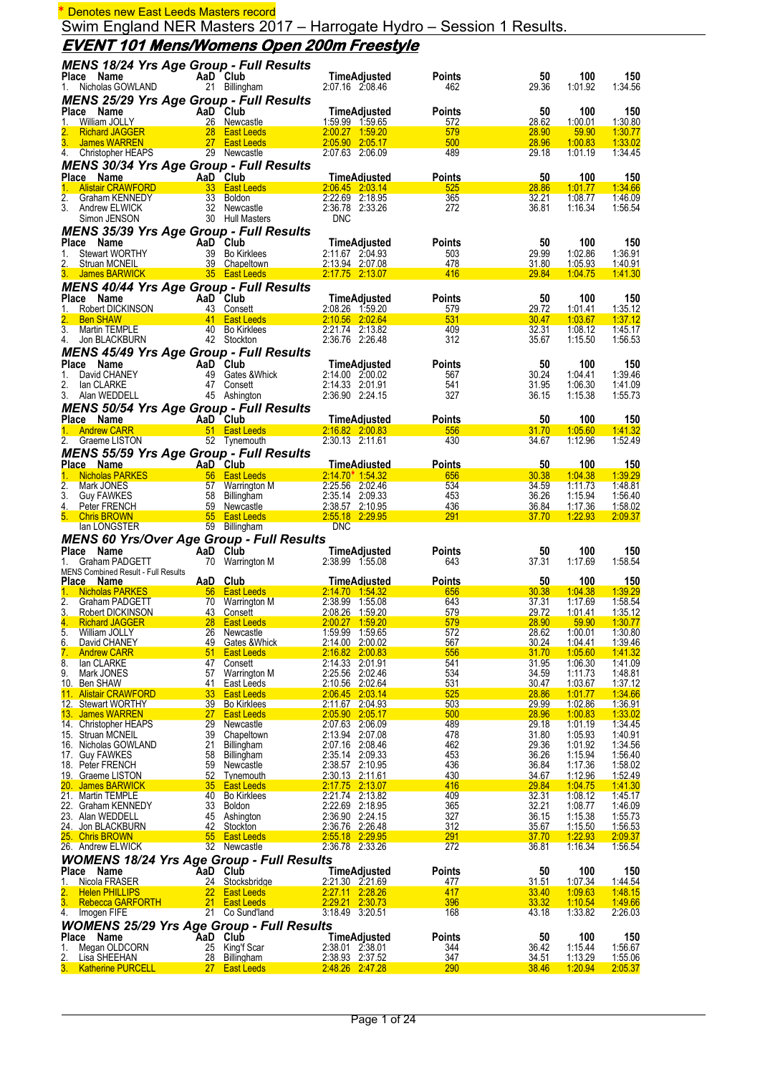# **EVENT 101 Mens/Womens Open 200m Freestyle**

| MENS 18/24 Yrs Age Group - Full Results                                                 |                       |                                                                             |                                        |                             |                |                           |                           |
|-----------------------------------------------------------------------------------------|-----------------------|-----------------------------------------------------------------------------|----------------------------------------|-----------------------------|----------------|---------------------------|---------------------------|
| Place Name                                                                              |                       | AaD Club                                                                    | TimeAdjusted                           | <b>Points</b>               | 50             | 100                       | 150                       |
| Nicholas GOWLAND<br>1.                                                                  |                       | 21 Billingham                                                               | 2:07.16 2:08.46                        | 462                         | 29.36          | 1:01.92                   | 1:34.56                   |
| <b>MENS 25/29 Yrs Age Group - Full Results</b>                                          |                       |                                                                             |                                        |                             |                |                           |                           |
| Place<br>AaD <sup>T</sup> Club<br>26 Newca<br>Name<br>William JOLLY                     |                       | 26 Newcastle                                                                | TimeAdjusted                           | <b>Points</b>               | 50<br>28.62    | 100                       | 150                       |
| 1.<br><b>Richard JAGGER</b>                                                             |                       |                                                                             | 1:59.99 1:59.65<br>2:00.27 1:59.20     | 572<br>579                  | 28.90          | 1:00.01<br>59.90          | 1.30.80<br>1:30.77        |
| $3_{-}$<br>James WARREN                                                                 |                       | and a state of the 28 East Leeds<br>27 East Leeds<br>27 East Leeds          | 2:05.90 2:05.17                        | 500                         | 28.96          | 1:00.83                   | 1:33.02                   |
| 4. Christopher HEAPS 29 Newcastle                                                       |                       |                                                                             | 2:07.63 2:06.09                        | 489                         | 29.18          | 1:01.19                   | 1:34.45                   |
| <b>MENS 30/34 Yrs Age Group - Full Results</b>                                          |                       |                                                                             |                                        |                             |                |                           |                           |
| Place Name<br>ce Name<br>Alistair CRAWFORD <b>Alistair CRAWFORD</b> 33 East Leeds<br>1. |                       |                                                                             | TimeAdjusted<br>2:06.45 2:03.14        | <b>Points</b><br>525        | 50<br>28.86    | 100<br>1:01.77            | <b>150</b><br>1:34.66     |
| 2.<br>Graham KENNEDY                                                                    |                       | 33 Boldon                                                                   | 2:22.69 2:18.95                        | 365                         | 32.21          | 1:08.77                   | 1:46.09                   |
| 3.<br>Andrew ELWICK                                                                     |                       | 32 Newcastle                                                                | 2:36.78 2:33.26                        | 272                         | 36.81          | 1:16.34                   | 1:56.54                   |
| Simon JENSON                                                                            |                       | 30 Hull Masters                                                             | <b>DNC</b>                             |                             |                |                           |                           |
| <b>MENS 35/39 Yrs Age Group - Full Results</b><br>Place                                 |                       | AaD Club                                                                    |                                        |                             |                |                           |                           |
| Name<br>Stewart WORTHY<br>1.                                                            |                       | 39 Bo Kirklees                                                              | TimeAdjusted<br>2:11.67 2:04.93        | <b>Points</b><br>503        | 50<br>29.99    | 100<br>1:02.86            | 150<br>1:36.91            |
| 2.<br>Struan MCNEIL                                                                     |                       | 39 Chapeltown                                                               | 2:13.94 2:07.08                        | 478                         | 31.80          | 1:05.93                   | 1:40.91                   |
| 3. James BARWICK                                                                        |                       | <b>Example 135</b> East Leeds                                               | 2.17.75 2.13.07                        | 416                         | 29.84          | 1:04.75                   | 1.41.30                   |
| <b>MENS 40/44 Yrs Age Group - Full Results</b>                                          |                       |                                                                             |                                        |                             |                |                           |                           |
| Place Name<br>Robert DICKINSON<br>$\frac{1}{2}$                                         |                       | AaD Club<br>43 Consett<br><b>AaD Club</b><br>43 Consett<br>41 East Leeds    | TimeAdjusted<br>2:08.26 1:59.20        | <b>Points</b><br><u>579</u> | 50<br>29.72    | 100<br>1:01.41            | 150<br>1:35.12            |
| 2.<br><b>Ben SHAW</b>                                                                   |                       |                                                                             | 2.10.56 2.02.64                        | 531                         | 30.47          | 1:03.67                   | <u>1:37.12</u>            |
| 3.<br>Martin TEMPLE                                                                     |                       | 40 Bo Kirklees                                                              | 2:21.74 2:13.82                        | 409                         | 32.31          | 1:08.12                   | 1:45.17                   |
| 4.<br>Jon BLACKBURN                                                                     |                       | 42 Stockton                                                                 | 2:36.76 2:26.48                        | 312                         | 35.67          | 1:15.50                   | 1:56.53                   |
| <b>MENS 45/49 Yrs Age Group - Full Results</b>                                          |                       |                                                                             |                                        |                             |                |                           |                           |
| Place Name<br>1.<br>David CHANEY                                                        | AaD Club              |                                                                             | TimeAdjusted<br>2:14.00 2:00.02        | <b>Points</b><br>567        | 50<br>30.24    | 100<br>1:04.41            | 150<br>1:39.46            |
| 2.<br>lan CLARKE                                                                        |                       | 49 Gates & Whick<br>47 Consett<br>47 Consett                                | 2:14.33 2:01.91                        | 541                         | 31.95          | 1:06.30                   | 1:41.09                   |
| 3. Alan WEDDELL                                                                         |                       | 45 Ashington                                                                | 2:36.90 2:24.15                        | 327                         | 36.15          | 1:15.38                   | 1:55.73                   |
| <b>MENS 50/54 Yrs Age Group - Full Results</b>                                          |                       |                                                                             |                                        |                             |                |                           |                           |
| AaD Club<br>Place Name                                                                  |                       |                                                                             | <b>TimeAdjusted</b>                    | <b>Points</b>               | 50             | 100                       | 150                       |
| 1. Andrew CARR 51 East Leeds<br>2. Graeme LISTON                                        |                       | 52 Tynemouth                                                                | 2:16.82 2:00.83<br>2:30.13 2:11.61     | 556<br>430                  | 31.70<br>34.67 | 1:05.60<br>1:12.96        | 1:41.32<br>1:52.49        |
| <b>MENS 55/59 Yrs Age Group - Full Results</b>                                          |                       |                                                                             |                                        |                             |                |                           |                           |
| Place Name                                                                              |                       | And Club<br>56 East Leeds<br>57 Warrington<br>58 Billingham<br>59 Newcastle | <b>TimeAdiusted</b>                    | <b>Points</b>               | 50             | <u>100</u>                | <u>150</u>                |
| <b>Nicholas PARKES</b><br>1.                                                            |                       | 56 East Leeds                                                               | $2:14.70*1:54.32$                      | 656                         | 30.38          | 1:04.38                   | 1:39.29                   |
| 2.<br>Mark JONES                                                                        |                       | 57 Warrington M                                                             | 2:25.56 2:02.46                        | 534                         | 34.59          | 1:11.73                   | 1:48.81                   |
| 3.<br><b>Guy FAWKES</b><br>4.<br>Peter FRENCH                                           |                       | 59 Newcastle                                                                | 2:35.14 2:09.33<br>2:38.57 2:10.95     | 453<br>436                  | 36.26<br>36.84 | 1:15.94<br><u>1:17.36</u> | 1:56.40<br><u>1:58.02</u> |
| 5. Chris BROWN                                                                          |                       | 55 East Leeds                                                               | 2:55.18 2:29.95                        | 291                         | 37.70          | 1:22.93                   | 2:09.37                   |
| lan LONGSTER                                                                            |                       | 59 Billingham                                                               | <b>DNC</b>                             |                             |                |                           |                           |
| <b>MENS 60 Yrs/Over Age Group - Full Results</b>                                        |                       |                                                                             |                                        |                             |                |                           |                           |
| Name<br>Place<br>Graham PADGETT<br>1.                                                   |                       | AaD Club<br>70 Warrington M                                                 | <b>TimeAdjusted</b><br>2:38.99 1:55.08 | <b>Points</b><br>643        | 50<br>37.31    | 100<br>1:17.69            | 150<br>1:58.54            |
| MENS Combined Result - Full Results                                                     |                       |                                                                             |                                        |                             |                |                           |                           |
| Place Name                                                                              | AaD Club              |                                                                             | <b>TimeAdjusted</b>                    | <b>Points</b>               | 50             | 100                       | <u>150</u>                |
| Nicholas PARKES 66 East Leeds<br>2.                                                     |                       |                                                                             | 2:14.70 1:54.32<br>2:38.99 1:55.08     | 656<br>643                  | 30.38          | 1:04.38<br>1:17.69        | 1:39.29                   |
| Graham PADGETT<br>3.<br><b>Robert DICKINSON</b>                                         |                       | 70 Warrington M<br>43 Consett                                               | 2:08.26 1:59.20                        | 579                         | 37.31<br>29.72 | 1:01.41                   | 1:58.54<br><u>1:35.12</u> |
| 4.<br><b>Richard JAGGER</b>                                                             |                       | <b>Example 28 East Leeds</b>                                                | 2:00.27 1:59.20                        | 579                         | 28.90          | 59.90                     | 1:30.77                   |
| 5.<br>William JOLLY                                                                     | 26                    | Newcastle                                                                   | 1:59.99 1:59.65                        | 572                         | 28.62          | 1:00.01                   | 1:30.80                   |
| 6.<br>David CHANEY<br><b>Andrew CARR</b><br>7.                                          | 49<br>51              | Gates & Whick<br><b>East Leeds</b>                                          | 2:14.00 2:00.02<br>2.16.82 2.00.83     | 567<br>556                  | 30.24<br>31.70 | 1:04.41<br>1.05.60        | 1:39.46<br>1:41.32        |
| 8.<br>lan CLARKE                                                                        | 47                    | Consett                                                                     | 2:14.33 2:01.91                        | 541                         | 31.95          | 1:06:30                   | 1:41.09                   |
| 9.<br>Mark JONES                                                                        | 57                    | Warrington M                                                                | 2:25.56 2:02.46                        | 534                         | 34.59          | 1:11.73                   | 1:48.81                   |
| 10. Ben SHAW<br>11. Alistair CRAWFORD                                                   | 41<br>33 <sup>°</sup> | East Leeds<br><b>East Leeds</b>                                             | 2:10.56 2:02.64<br>2:06.45 2:03.14     | 531<br>525                  | 30.47<br>28.86 | 1.03.67<br><u>1:01.77</u> | 1:37.12<br>1:34.66        |
| 12. Stewart WORTHY                                                                      | 39                    | <b>Bo Kirklees</b>                                                          | 2:11.67 2:04.93                        | 503                         | 29.99          | 1:02.86                   | 1:36.91                   |
| 13. James WARREN                                                                        | 27                    | <b>East Leeds</b>                                                           | 2:05.90 2:05.17                        | 500                         | 28.96          | 1:00.83                   | 1:33.02                   |
| 14. Christopher HEAPS<br>15. Struan MCNEIL                                              | 29<br>39              | Newcastle<br>Chapeltown                                                     | 2:07.63 2:06.09<br>2:13.94 2:07.08     | 489<br>478                  | 29.18<br>31.80 | 1:01.19<br>1:05.93        | 1:34.45<br>1:40.91        |
| 16. Nicholas GOWLAND                                                                    | 21                    | Billingham                                                                  | 2:07.16 2:08.46                        | 462                         | 29.36          | 1:01.92                   | 1:34.56                   |
| 17. Guy FAWKES                                                                          | 58                    | Billingham                                                                  | 2:35.14 2:09.33                        | 453                         | 36.26          | 1:15.94                   | 1:56.40                   |
| 18. Peter FRENCH                                                                        | 59<br>52              | Newcastle                                                                   | 2:38.57 2:10.95<br>2:30.13 2:11.61     | 436<br>430                  | 36.84<br>34.67 | 1:17.36<br>1:12.96        | 1:58.02                   |
| 19. Graeme LISTON<br>20. James BARWICK                                                  | 35                    | Tynemouth<br><b>East Leeds</b>                                              | 2.17.75 2.13.07                        | 416                         | 29.84          | 1:04.75                   | 1:52.49<br>1.41.30        |
| 21. Martin TEMPLE                                                                       | 40                    | <b>Bo Kirklees</b>                                                          | 2:21.74 2:13.82                        | 409                         | 32.31          | 1:08.12                   | 1:45.17                   |
| 22. Graham KENNEDY                                                                      | 33                    | Boldon                                                                      | 2:22.69 2:18.95                        | 365                         | 32.21          | 1:08.77                   | 1:46.09                   |
| 23. Alan WEDDELL<br>24. Jon BLACKBURN                                                   | 42                    | 45 Ashington<br>Stockton                                                    | 2:36.90 2:24.15<br>2:36.76 2:26.48     | 327<br>312                  | 36.15<br>35.67 | 1:15.38<br>1:15.50        | 1:55.73<br>1:56.53        |
| 25. Chris BROWN                                                                         | 55                    | <b>East Leeds</b>                                                           | 2:55.18 2:29.95                        | 291                         | 37.70          | 1:22.93                   | 2:09.37                   |
| 26. Andrew ELWICK                                                                       |                       | 32 Newcastle                                                                | 2:36.78 2:33.26                        | 272                         | 36.81          | 1:16.34                   | 1:56.54                   |
| <b>WOMENS 18/24 Yrs Age Group - Full Results</b>                                        |                       |                                                                             |                                        |                             |                |                           |                           |
| Place Name                                                                              |                       | AaD Club                                                                    | <b>TimeAdjusted</b>                    | <b>Points</b>               | 50             | 100                       | 150                       |
| Nicola FRASER<br>1.<br>2.<br><b>Helen PHILLIPS</b>                                      | 22                    | 24 Stocksbridge<br><b>East Leeds</b>                                        | 2:21.30 2:21.69<br>2:27.11 2:28.26     | 477<br>417                  | 31.51<br>33.40 | 1:07.34<br>1:09.63        | 1:44.54<br>1.48.15        |
| 3.<br><b>Rebecca GARFORTH</b>                                                           | 21                    | <b>East Leeds</b>                                                           | 2:29.21 2:30.73                        | 396                         | 33.32          | 1:10.54                   | 1:49.66                   |
| 4.<br>Imogen FIFE                                                                       |                       | 21 Co Sund'land                                                             | 3:18.49 3:20.51                        | 168                         | 43.18          | 1:33.82                   | 2:26.03                   |
| <b>WOMENS 25/29 Yrs Age Group - Full Results</b>                                        |                       |                                                                             |                                        |                             |                |                           |                           |
| Place Name                                                                              | 25                    | AaD Club                                                                    | <b>TimeAdjusted</b><br>2:38.01 2:38.01 | <b>Points</b><br>344        | 50<br>36.42    | 100<br>1:15.44            | 150<br>1:56.67            |
| Megan OLDCORN<br>1.<br>2.<br>Lisa SHEEHAN                                               |                       | King'f Scar<br>28 Billingham                                                | 2:38.93 2:37.52                        | 347                         | <u>34.51</u>   | <u>1.13.29</u>            | 1:55.06                   |
| <b>Katherine PURCELL</b><br>3.                                                          |                       | 27 East Leeds                                                               | 2.48.26 2.47.28                        | 290                         | 38.46          | 1.20.94                   | 2:05.37                   |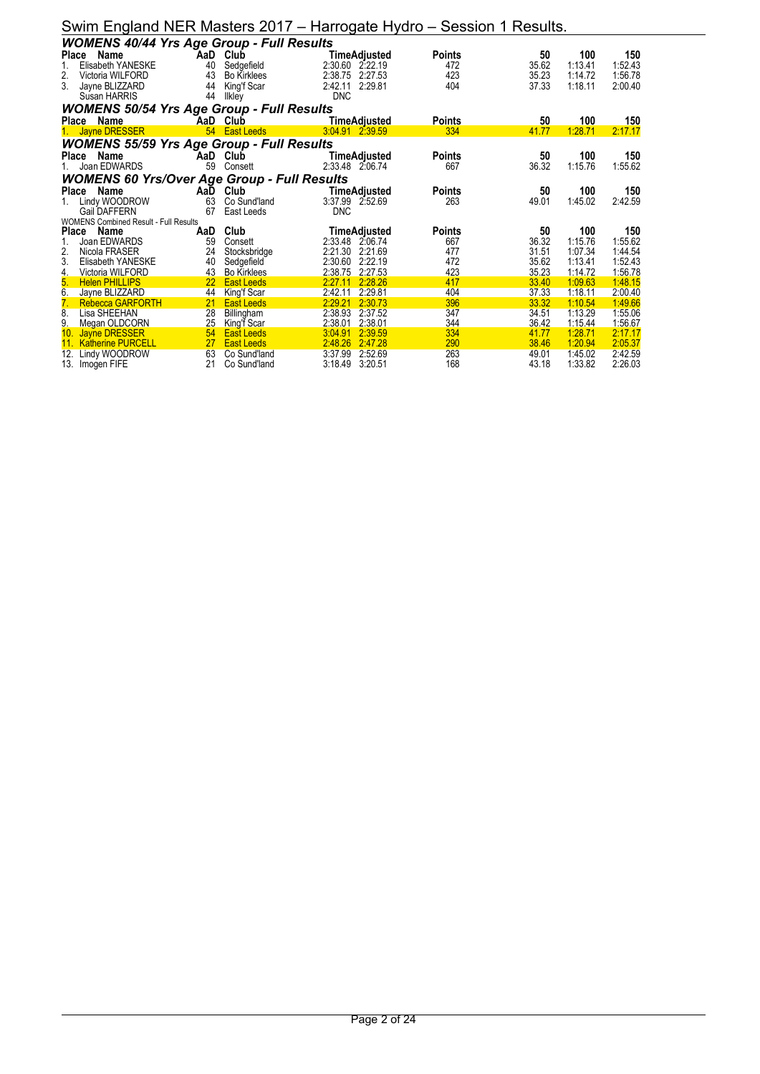|                  |                                                    |                       |                    | $\cdots$            |               |                |                    |                    |
|------------------|----------------------------------------------------|-----------------------|--------------------|---------------------|---------------|----------------|--------------------|--------------------|
|                  | <b>WOMENS 40/44 Yrs Age Group - Full Results</b>   |                       |                    |                     |               |                |                    |                    |
| Place            | Name                                               | <b>AaD</b>            | Club               | TimeAdjusted        | <b>Points</b> | 50             | 100                | 150                |
| 1.               | Elisabeth YANESKE                                  | 40                    | Sedgefield         | 2:30.60 2:22.19     | 472           | 35.62          | 1:13.41            | 1:52.43            |
| 2.               | Victoria WILFORD                                   | 43                    | <b>Bo Kirklees</b> | 2:38.75 2:27.53     | 423           | 35.23          | 1:14.72            | 1:56.78            |
| 3.               | Jayne BLIZZARD                                     | 44                    | King'f Scar        | 2:29.81<br>2:42.11  | 404           | 37.33          | 1:18.11            | 2:00.40            |
|                  | Susan HARRIS                                       | 44                    | Ilkley             | <b>DNC</b>          |               |                |                    |                    |
|                  | <b>WOMENS 50/54 Yrs Age Group - Full Results</b>   |                       |                    |                     |               |                |                    |                    |
|                  | Place Name                                         | AaD                   | Club               | TimeAdjusted        | <b>Points</b> | 50             | 100                | 150                |
|                  | <b>Jayne DRESSER</b>                               | 54                    | <b>East Leeds</b>  | 3:04.91 2:39.59     | 334           | 41.77          | 1:28.71            | 2:17.17            |
|                  | <b>WOMENS 55/59 Yrs Age Group - Full Results</b>   |                       |                    |                     |               |                |                    |                    |
|                  | Place Name                                         |                       | AaD Club           | TimeAdjusted        | <b>Points</b> | 50             | 100                | 150                |
|                  | Joan EDWARDS                                       | 59                    | Consett            | 2:33.48 2:06.74     | 667           | 36.32          | 1:15.76            | 1:55.62            |
|                  | <b>WOMENS 60 Yrs/Over Age Group - Full Results</b> |                       |                    |                     |               |                |                    |                    |
| Place            | Name                                               | AaD                   | Club               | TimeAdjusted        | <b>Points</b> | 50             | 100                | 150                |
| 1.               | Lindy WOODROW                                      | 63                    | Co Sund'land       | 3:37.99 2.52.69     | 263           | 49.01          | 1:45.02            | 2:42.59            |
|                  | Gail DAFFERN                                       | 67                    | East Leeds         | <b>DNC</b>          |               |                |                    |                    |
|                  | <b>WOMENS Combined Result - Full Results</b>       |                       |                    |                     |               |                |                    |                    |
| Place            | Name                                               | AaD                   | Club               | <b>TimeAdjusted</b> | <b>Points</b> | 50             | 100                | 150                |
|                  | Joan EDWARDS                                       | 59                    | Consett            | 2:33.48<br>2:06.74  | 667           | 36.32          | 1:15.76            | 1:55.62            |
| 2.               | Nicola FRASER                                      | 24                    | Stocksbridge       | 2:21.30<br>2:21.69  | 477           | 31.51          | 1:07.34            | 1:44.54            |
| 3.               | Elisabeth YANESKE                                  | 40                    | Sedgefield         | 2:22.19<br>2:30.60  | 472           | 35.62          | 1:13.41            | 1:52.43            |
| 4.               | Victoria WILFORD                                   | 43                    | <b>Bo Kirklees</b> | 2:27.53<br>2:38.75  | 423           | 35.23          | 1:14.72            | 1:56.78            |
| 5.               | <b>Helen PHILLIPS</b>                              | 22                    | <b>East Leeds</b>  | 2:28.26<br>2:27.11  | 417           | 33.40          | 1:09.63            | 1:48.15            |
| 6.               | Jayne BLIZZARD                                     | 44                    | King'f Scar        | 2.29.81<br>2:42.11  | 404           | 37.33          | 1:18.11            | 2:00.40            |
| $\overline{7}$ . | <b>Rebecca GARFORTH</b>                            | 21                    | <b>East Leeds</b>  | 2:29.21<br>2:30.73  | 396           | 33.32          | 1:10.54            | 1:49.66            |
| 8.               | Lisa SHEEHAN                                       | 28                    | Billingham         | 2:38.93<br>2:37.52  | 347           | 34.51          | 1:13.29            | 1:55.06            |
| 9.               | Megan OLDCORN                                      | 25                    | King'f Scar        | 2:38.01<br>2:38.01  | 344           | 36.42          | 1:15.44            | 1:56.67            |
|                  | 10. Jayne DRESSER                                  | 54<br>27 <sup>°</sup> | <b>East Leeds</b>  | 2:39.59<br>3:04.91  | 334           | 41.77          | 1:28.71            | 2:17.17            |
|                  | 11. Katherine PURCELL                              |                       | <b>East Leeds</b>  | 2:48.26<br>2:47.28  | 290           | 38.46          | 1:20.94            | 2:05.37            |
| 12.              | Lindy WOODROW                                      | 63<br>21              | Co Sund'land       | 3:37.99<br>2:52.69  | 263<br>168    | 49.01<br>43.18 | 1:45.02<br>1:33.82 | 2:42.59<br>2:26.03 |
| 13.              | Imogen FIFE                                        |                       | Co Sund'land       | 3:18.49 3:20.51     |               |                |                    |                    |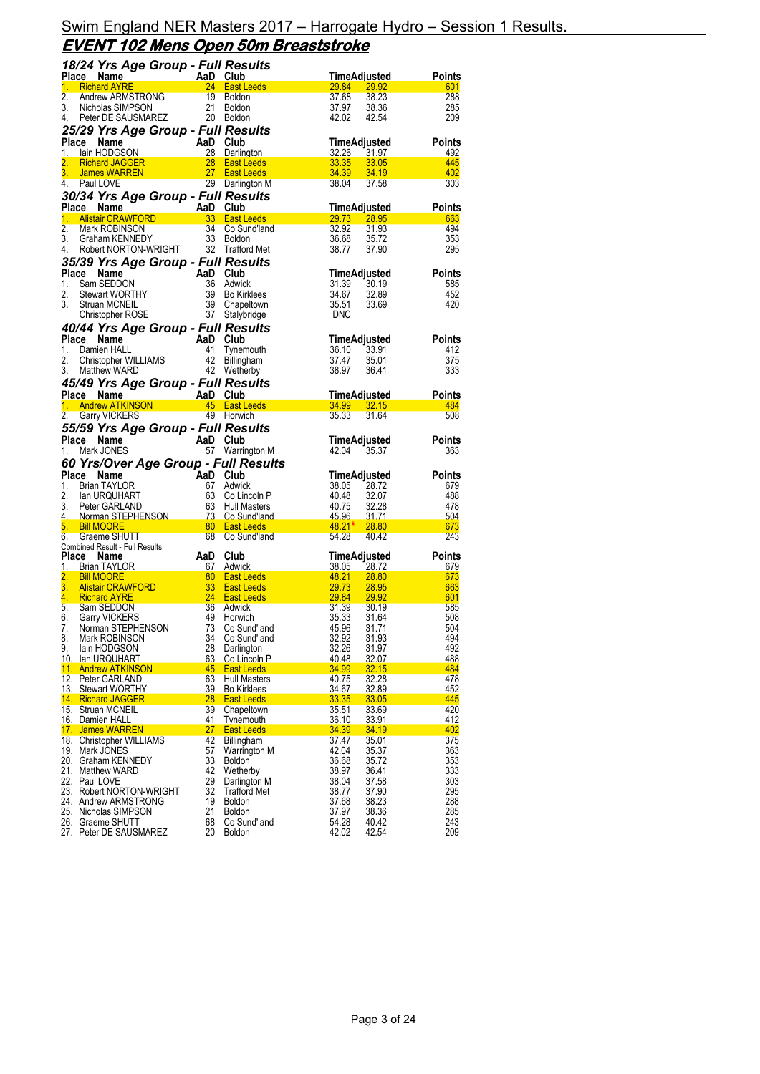|                        | 18/24 Yrs Age Group - Full Results                                            |                      |                                        |                                                     |                      |
|------------------------|-------------------------------------------------------------------------------|----------------------|----------------------------------------|-----------------------------------------------------|----------------------|
|                        | Place Name<br>AaD Club<br>24 East L                                           |                      |                                        | TimeAdjusted                                        | Points               |
| 1.<br>$\overline{2}$ . | <b>Richard AYRE</b>                                                           | 19                   | 24 East Leeds                          | 29.84<br>29.92                                      | 601<br>288           |
| 3.                     | Andrew ARMSTRONG<br>Nicholas SIMPSON                                          | 21                   | Boldon<br><b>Boldon</b>                | 37.68<br>38.23<br>37.97<br>38.36                    | 285                  |
| 4.                     | Peter DE SAUSMAREZ 20 Boldon                                                  |                      |                                        | 42.02<br>42.54                                      | 209                  |
|                        | 25/29 Yrs Age Group - Full Results                                            |                      |                                        |                                                     |                      |
|                        | Name<br>Place                                                                 | AaD Club             |                                        | TimeAdjusted                                        | <b>Points</b>        |
| 1.                     | <b>ce Name</b><br>Tain HODGSON<br>Richard JAGGER<br>lain HODGSON              |                      | 28 Darlington                          | 32.26<br>31.97                                      | 492                  |
| 2.<br>3.               | James WARREN                                                                  | 28<br>27             | <b>East Leeds</b><br><b>East Leeds</b> | 33.35<br>33.05<br>34.39<br>34.19                    | 445<br>402           |
| 4.                     | Paul LOVE                                                                     |                      | 29 Darlington M                        | 38.04<br>37.58                                      | 303                  |
|                        | 30/34 Yrs Age Group - Full Results                                            |                      |                                        |                                                     |                      |
|                        | Ce Name<br>Alistair CRAWFORD <b>Alap Club</b><br>Mark ROBINGONI<br>Place Name |                      |                                        | <u>TimeAdjusted</u>                                 | <b>Points</b>        |
| 1.<br>$\overline{2}$ . |                                                                               | 34                   |                                        | 29.73<br>28.95<br>32.92                             | 663                  |
| 3.                     | Mark ROBINSON<br>Graham KENNEDY                                               | 33                   | Co Sund'Iand<br>Boldon                 | 31.93<br>36.68<br>35.72                             | 494<br>353           |
| 4.                     | Robert NORTON-WRIGHT 32 Trafford Met                                          |                      |                                        | 38.77<br>37.90                                      | 295                  |
|                        | 35/39 Yrs Age Group - Full Results                                            |                      |                                        |                                                     |                      |
|                        | Place<br>Name                                                                 | AaD                  | Club                                   | TimeAdjusted                                        | <b>Points</b>        |
| 1.                     | Sam SEDDON                                                                    | 36                   | Adwick                                 | 31.39<br>30.19                                      | 585                  |
| 2.<br>3.               | <b>Stewart WORTHY</b><br>Struan MCNEIL                                        | 39                   | 39 Bo Kirklees<br>Chapeltown           | 34.67<br>32.89<br>35.51<br>33.69                    | 452<br>420           |
|                        | <b>Christopher ROSE</b>                                                       |                      | 37 Stalybridge                         | <b>DNC</b>                                          |                      |
|                        | 40/44 Yrs Age Group - Full Results                                            |                      |                                        |                                                     |                      |
|                        | Place<br>Name                                                                 | AaD Club             |                                        | TimeAdjusted                                        | <b>Points</b>        |
| 1.                     | Damien HALL                                                                   | 41                   | Tynemouth                              | 36.10<br>33.91                                      | 412                  |
| 2.<br>3.               | Christopher WILLIAMS<br>Matthew WARD                                          | 42                   | Billingham<br>42 Wetherby              | 37.47<br>35.01<br>38.97<br>36.41                    | 375<br>333           |
|                        | 45/49 Yrs Age Group - Full Results                                            |                      |                                        |                                                     |                      |
|                        | Place Name                                                                    | AaD Club             |                                        | TimeAdjusted                                        | Points               |
|                        | 1. Andrew ATKINSON                                                            |                      | 45 East Leeds                          | 34.99 32.15                                         | 484                  |
|                        | 2. Garry VICKERS                                                              |                      | 49 Horwich                             | 35.33<br>31.64                                      | 508                  |
|                        | 55/59 Yrs Age Group - Full Results                                            |                      |                                        |                                                     |                      |
|                        | Place Name                                                                    | AaD                  | Club                                   | TimeAdjusted                                        | Points               |
|                        |                                                                               |                      |                                        |                                                     |                      |
| 1.                     | Mark JONES                                                                    |                      | 57 Warrington M                        | 42.04<br>35.37                                      | 363                  |
|                        | 60 Yrs/Over Age Group - Full Results                                          |                      |                                        |                                                     |                      |
| 1.                     | Place Name<br><b>Brian TAYLOR</b>                                             | AaD Club<br>67       | Adwick                                 | TimeAdjusted<br>38.05<br>28.72                      | <b>Points</b><br>679 |
| 2.                     | lan URQUHART                                                                  | 63                   | Co Lincoln P                           | 40.48<br>32.07                                      | 488                  |
| 3.                     | Peter GARLAND                                                                 | 63                   | Hull Masters                           | 40.75<br>32.28                                      | 478                  |
| 4<br>5.                | Norman STEPHENSON 73 Co Sund'land<br><b>Bill MOORE</b>                        |                      | <b>East Leeds</b>                      | <u>45.96 </u><br><u>31.71 </u><br>$48.21*$<br>28.80 | .504<br>673          |
| 6.                     | Graeme SHUTT                                                                  | $\frac{80}{2}$<br>68 | Co Sund'Iand                           | 54.28<br>40.42                                      | 243                  |
|                        | Combined Result - Full Results                                                |                      |                                        |                                                     |                      |
| 1.                     | Place Name<br><b>Brian TAYLOR</b>                                             | AaD<br>67            | Club<br>Adwick                         | TimeAdjusted<br>38.05 28.72                         | Points<br>679        |
| 2.                     | <b>Bill MOORE</b>                                                             | 80                   | <b>East Leeds</b>                      | <u>48.21</u><br>28.80                               | 673                  |
| 3.                     | <b>Alistair CRAWFORD</b>                                                      | -33                  | <b>East Leeds</b>                      | 29.73<br>28.95                                      | 663                  |
| 4.                     | <b>Richard AYRE</b>                                                           | 24                   | <b>East Leeds</b>                      | 29.84<br>29.92                                      | 601                  |
| 5.<br>6.               | Sam SEDDON<br><b>Garry VICKERS</b>                                            | 36<br>49             | Adwick<br>Horwich                      | 31.39<br>30.19<br>35.33<br>31.64                    | 585<br>508           |
| 7.                     | Norman STEPHENSON                                                             | 73                   | Co Sund'land                           | 45.96<br>31.71                                      | 504                  |
| 8.                     | Mark ROBINSON                                                                 | 34                   | Co Sund'land                           | 32.92<br>31.93                                      | 494                  |
| 9.                     | lain HODGSON                                                                  | 28                   | Darlington                             | 32.26<br>31.97                                      | 492                  |
|                        | 10. Ian URQUHART<br>11. Andrew ATKINSON                                       | 63<br>45             | Co Lincoln P<br><b>East Leeds</b>      | 32.07<br>40.48<br>34.99<br><u>32.15</u>             | 488<br>484           |
|                        | 12. Peter GARLAND                                                             | 63                   | <b>Hull Masters</b>                    | 32.28<br>40.75                                      | 478                  |
|                        | 13. Stewart WORTHY                                                            | 39                   | <b>Bo Kirklees</b>                     | 34.67<br>32.89                                      | 452                  |
|                        | 14 Richard JAGGER                                                             | 28                   | <b>East Leeds</b>                      | 33.35<br>33.05                                      | 445                  |
|                        | 15. Struan MCNEIL<br>16. Damien HALL                                          | 39<br>41             | Chapeltown<br>Tynemouth                | 35.51<br>33.69<br>36.10<br>33.91                    | 420<br>412           |
|                        | 17. James WARREN                                                              | 27                   | <b>East Leeds</b>                      | 34.39<br>34.19                                      | 402                  |
|                        | 18. Christopher WILLIAMS                                                      | 42                   | Billingham                             | 37.47<br>35.01                                      | 375                  |
|                        | 19. Mark JONES<br>20. Graham KENNEDY                                          | 57<br>33             | Warrington M<br><b>Boldon</b>          | 42.04<br>35.37<br>36.68<br>35.72                    | 363<br>353           |
|                        | 21. Matthew WARD                                                              | 42                   | Wetherby                               | 38.97<br>36.41                                      | 333                  |
|                        | 22. Paul LOVE                                                                 | 29                   | Darlington M                           | 37.58<br>38.04                                      | 303                  |
|                        | 23. Robert NORTON-WRIGHT                                                      | 32                   | <b>Trafford Met</b>                    | 38.77<br>37.90                                      | 295                  |
|                        | 24. Andrew ARMSTRONG<br>25. Nicholas SIMPSON                                  | 19<br>21             | <b>Boldon</b><br><b>Boldon</b>         | 37.68<br>38.23<br>38.36                             | 288                  |
|                        | 26. Graeme SHUTT<br>27. Peter DE SAUSMAREZ                                    | 68<br>20             | Co Sund'land<br><b>Boldon</b>          | 37.97<br>54.28<br>40.42<br>42.54<br>42.02           | 285<br>243<br>209    |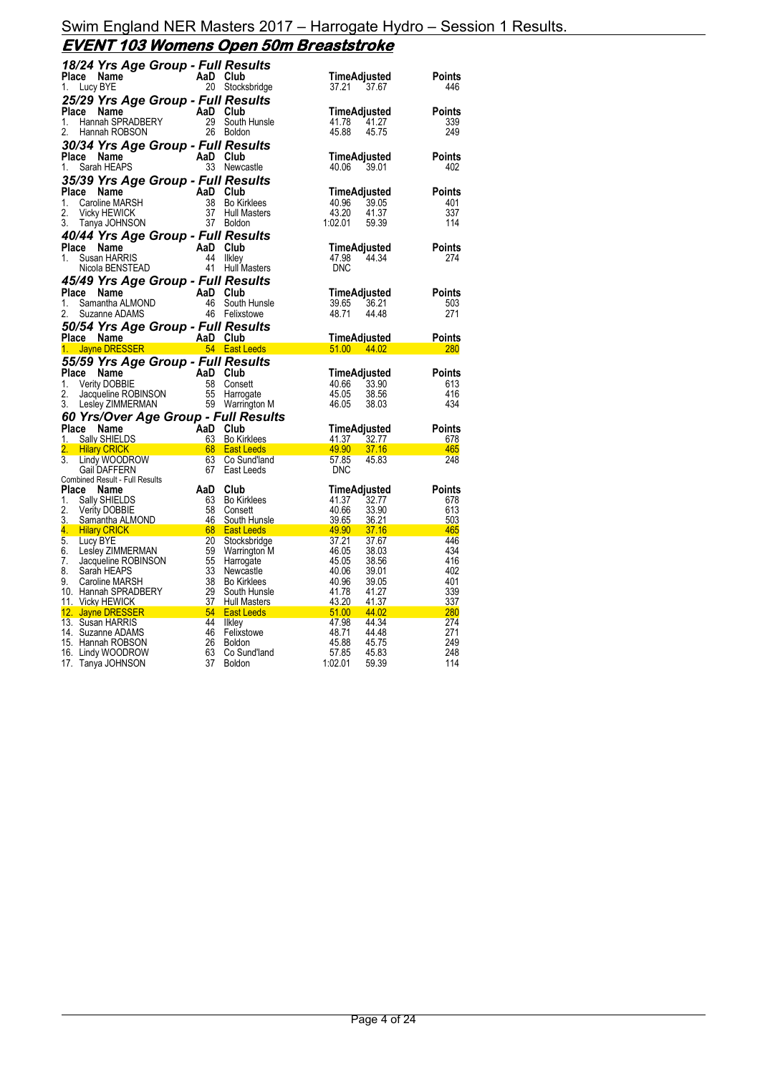### **EVENT 103 Womens Open 50m Breaststroke**

|                        | 18/24 Yrs Age Group - Full Results                                                                                                       |                                                                  |                                                                                  |                                              |                   |
|------------------------|------------------------------------------------------------------------------------------------------------------------------------------|------------------------------------------------------------------|----------------------------------------------------------------------------------|----------------------------------------------|-------------------|
| Place                  | Name                                                                                                                                     | AaD Club                                                         |                                                                                  | TimeAdjusted                                 | Points            |
| 1.                     | Lucy BYE                                                                                                                                 |                                                                  | 20 Stocksbridge                                                                  | 37.21<br>37.67                               | 446               |
|                        | 25/29 Yrs Age Group - Full Results                                                                                                       |                                                                  |                                                                                  |                                              |                   |
| Place                  | Name<br>Hannah SPRADBERY<br>Hannah POPSON                                                                                                | AaD Club                                                         |                                                                                  | TimeAdjusted                                 | <b>Points</b>     |
| 1.                     |                                                                                                                                          |                                                                  | 29 South Hunsle                                                                  | 41.78<br>41.27                               | 339               |
| 2.                     | Hannah ROBSON                                                                                                                            |                                                                  | 26 Boldon                                                                        | 45.88<br>45.75                               | 249               |
|                        | 30/34 Yrs Age Group - Full Results                                                                                                       |                                                                  |                                                                                  |                                              |                   |
| Place                  | Name                                                                                                                                     | AaD Club                                                         |                                                                                  | TimeAdjusted                                 | <b>Points</b>     |
| 1.                     | Sarah HEAPS                                                                                                                              |                                                                  | 33 Newcastle                                                                     | 40.06 39.01                                  | 402               |
|                        | 35/39 Yrs Age Group - Full Results                                                                                                       |                                                                  |                                                                                  |                                              |                   |
| Place<br>1.            | Name<br>Caroline MARSH                                                                                                                   | AaD                                                              | Club<br>38 Bo Kirklees                                                           | TimeAdjusted<br>40.96<br>39.05               | Points<br>401     |
| 2.                     | <b>Vicky HEWICK</b>                                                                                                                      | 37                                                               | <b>Hull Masters</b>                                                              | 43.20<br>41.37                               | 337               |
| 3.                     | Tanya JOHNSON                                                                                                                            |                                                                  | 37 Boldon                                                                        | 1:02.01<br>59.39                             | 114               |
|                        | 40/44 Yrs Age Group - Full Results                                                                                                       |                                                                  |                                                                                  |                                              |                   |
| Place                  | Name                                                                                                                                     | AaD Club                                                         |                                                                                  | TimeAdjusted                                 | <b>Points</b>     |
| 1.                     | Susan HARRIS                                                                                                                             | 44                                                               | <b>Ilkley</b>                                                                    | 47.98<br>44.34                               | 274               |
|                        | Nicola BENSTEAD                                                                                                                          |                                                                  | 41 Hull Masters                                                                  | <b>DNC</b>                                   |                   |
|                        | 45/49 Yrs Age Group - Full Results                                                                                                       |                                                                  |                                                                                  |                                              |                   |
|                        | Place Name                                                                                                                               | AaD Club                                                         |                                                                                  | TimeAdjusted                                 | <b>Points</b>     |
| 1.                     | Samantha ALMOND                                                                                                                          |                                                                  | 46 South Hunsle                                                                  | 36.21<br>39.65                               | 503               |
| 2.                     | Suzanne ADAMS                                                                                                                            |                                                                  | 46 Felixstowe                                                                    | 48.71<br>44.48                               | 271               |
|                        | 50/54 Yrs Age Group - Full Results                                                                                                       |                                                                  |                                                                                  |                                              |                   |
|                        | Place Name                                                                                                                               |                                                                  |                                                                                  | TimeAdjusted                                 | Points            |
| 1.                     | <b>Jayne DRESSER</b>                                                                                                                     |                                                                  | <b>Example 18</b><br><b>Example 18</b><br><b>Example 18</b><br><b>East Leeds</b> | 51.00 44.02                                  | <b>280</b>        |
|                        | 55/59 Yrs Age Group - Full Results                                                                                                       |                                                                  |                                                                                  |                                              |                   |
|                        |                                                                                                                                          |                                                                  |                                                                                  |                                              |                   |
| Place                  | Name                                                                                                                                     | AaD Club                                                         |                                                                                  | TimeAdjusted                                 | Points            |
| 1.                     |                                                                                                                                          |                                                                  | 58 Consett                                                                       | 40.66<br>33.90                               | 613               |
| 2.                     |                                                                                                                                          |                                                                  | 55 Harrogate                                                                     | 45.05<br>38.56                               | 416               |
| 3.                     | Verity DOBBIE<br>Jacqueline ROBINSON<br>Laslau ZIMMAEDMAN<br>Lesley ZIMMERMAN                                                            |                                                                  | 59 Warrington M                                                                  | 46.05<br>38.03                               | 434               |
|                        | 60 Yrs/Over Age Group - Full Results                                                                                                     |                                                                  |                                                                                  |                                              |                   |
| Place                  | Name                                                                                                                                     |                                                                  |                                                                                  | TimeAdjusted                                 | Points            |
| 1.                     | <b>Sally SHIELDS</b>                                                                                                                     |                                                                  | 63 Bo Kirklees                                                                   | 41.37<br><u>32.77</u>                        | 678               |
| 2.<br>$\overline{3}$ . | <b>Hilary CRICK</b>                                                                                                                      |                                                                  | <b>East Leeds</b>                                                                | 49.90<br>37.16                               | 465               |
|                        | Lindy WOODROW<br><b>Gail DAFFERN</b>                                                                                                     | AaD Club<br>AaD Club<br>63 Bo Kin<br>68 East L<br>63 Co Su<br>67 | Co Sund'land<br>East Leeds                                                       | 57.85<br>45.83<br><b>DNC</b>                 | 248               |
|                        | <b>Combined Result - Full Results</b>                                                                                                    |                                                                  |                                                                                  |                                              |                   |
| Place                  | Name                                                                                                                                     | AaD                                                              | Club                                                                             | TimeAdjusted                                 | Points            |
| 1.                     | Sally SHIELDS                                                                                                                            | 63                                                               | <b>Bo Kirklees</b>                                                               | 41.37<br>32.77                               | 678               |
| 2.                     | <b>Verity DOBBIE</b>                                                                                                                     | 58                                                               | Consett                                                                          | 40.66<br>33.90                               | 613               |
| 3.                     | Samantha ALMOND                                                                                                                          | 46                                                               | South Hunsle                                                                     | 39.65<br>36.21                               | 503               |
| 5 <sub>1</sub>         | 4. Hilary CRICK<br><u>68 - 68 April 1999 - 68 April 1999 - 68 April 1999 - 68 April 1999 - 68 April 1999 - 68 April 1999 - 68 April </u> |                                                                  | <b>East Leeds</b>                                                                | $\sim$ 49.90 $\,$<br>37.16<br>37.21<br>37.67 | 465<br>446        |
| 6.                     | Lucy BYE<br>Lesley ZIMMERMAN                                                                                                             | 20<br>59                                                         | Stocksbridge<br>Warrington M                                                     | 46.05<br>38.03                               | 434               |
| 7.                     |                                                                                                                                          | 55                                                               | Harrogate                                                                        | 45.05<br>38.56                               | 416               |
| 8.                     | Jacqueline ROBINSON<br>Sarah HEAPS                                                                                                       | 33                                                               | Newcastle                                                                        | 40.06<br>39.01                               | 402               |
| 9.                     | Caroline MARSH                                                                                                                           | 38                                                               | <b>Bo Kirklees</b>                                                               | 40.96<br>39.05                               | 401               |
|                        | 10. Hannah SPRADBERY                                                                                                                     | 29                                                               | South Hunsle                                                                     | 41.78<br>41.27                               | 339               |
|                        | 11. Vicky HEWICK                                                                                                                         | 37                                                               | <b>Hull Masters</b>                                                              | 43.20<br>41.37                               | 337               |
|                        | <u>12. Jayne DRESSER</u>                                                                                                                 | 44                                                               | <b>East Leeds</b>                                                                | $\sim$ 51.00 $\,$<br>44.02<br>44.34          | <b>280</b><br>274 |
|                        | 13. Susan HARRIS<br>14. Suzanne ADAMS                                                                                                    | 46                                                               | <b>Ilkley</b>                                                                    | 47.98<br>48.71<br>44.48                      | 271               |
|                        | 15. Hannah ROBSON                                                                                                                        | 26                                                               | Felixstowe<br><b>Boldon</b>                                                      | 45.88<br>45.75                               | 249               |
|                        | 16. Lindy WOODROW<br>17. Tanya JOHNSON                                                                                                   | 63<br>37                                                         | Co Sund'land<br><b>Boldon</b>                                                    | 57.85<br>45.83<br>1:02.01<br>59.39           | 248<br>114        |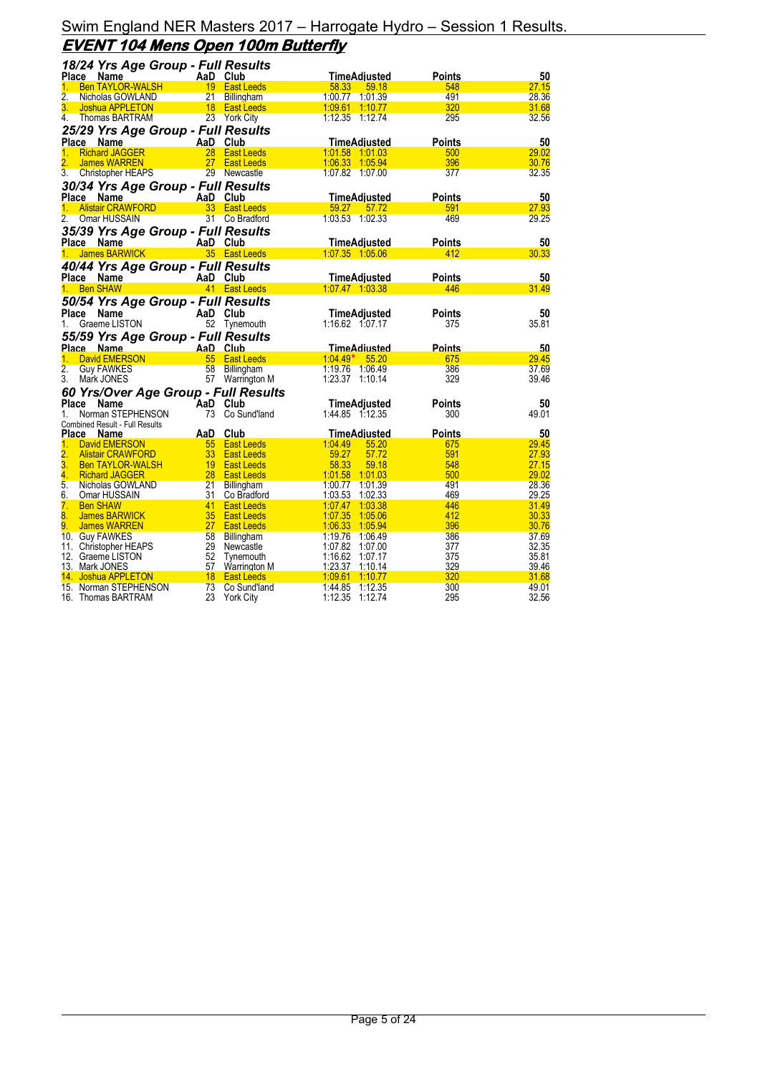### Swim England NER Masters 2017 – Harrogate Hydro – Session 1 Results. **EVENT 104 Mens Open 100m Butterfly**

| 18/24 Yrs Age Group - Full Results                            |                 |                        |                                    |                      |                |
|---------------------------------------------------------------|-----------------|------------------------|------------------------------------|----------------------|----------------|
| Place Name                                                    |                 | AaD Club               | <b>TimeAdjusted</b>                | Points               | 50             |
| <b>Ben TAYLOR-WALSH</b><br>1.                                 |                 | 19 East Leeds          | 58.33<br>59.18                     | 548                  | 27.15          |
| 2.<br>Nicholas GOWLAND                                        | 21              | Billingham             | 1:00.77 1:01.39                    | 491                  | 28.36          |
| 3.<br>Joshua APPLETON                                         |                 | 18 East Leeds          | 1:09.61 1:10.77                    | 320                  | 31.68          |
| 4.<br>Thomas BARTRAM                                          |                 | 23 York City           |                                    | 295                  | 32.56          |
| 25/29 Yrs Age Group - Full Results                            |                 |                        |                                    |                      |                |
| Place Name                                                    | AaD Club        |                        | TimeAdjusted                       | Points               | 50             |
| <b>Richard JAGGER</b><br>1.                                   | 28              | <b>East Leeds</b>      | 1:01.58 1:01.03                    | 500                  | 29.02          |
| $\overline{2}$ .<br><b>James WARREN</b>                       | 27              | <b>East Leeds</b>      | 1:06.33 1:05.94                    | 396                  | 30.76          |
| 3.<br>Christopher HEAPS                                       |                 | 29 Newcastle           | 1:07.82 1:07.00                    | 377                  | 32.35          |
| 30/34 Yrs Age Group - Full Results                            |                 |                        |                                    |                      |                |
| Place Name                                                    |                 | AaD Club               | TimeAdjusted                       | <b>Points</b>        | 50             |
| <b>Alistair CRAWFORD</b><br>$1 -$                             |                 | 33 East Leeds          | 59.27<br>57.72                     | 591                  | 27.93          |
| 2.<br>Omar HUSSAIN                                            |                 | 31 Co Bradford         | 1:03.53 1:02.33                    | 469                  | 29.25          |
| 35/39 Yrs Age Group - Full Results                            |                 |                        |                                    |                      |                |
| Place Name                                                    |                 | AaD Club               | TimeAdjusted                       | Points               | 50             |
| James BARWICK<br>1.                                           |                 | 35 East Leeds          | 1:07.35 1:05.06                    | 412                  | 30.33          |
| 40/44 Yrs Age Group - Full Results                            |                 |                        |                                    |                      |                |
| Place Name                                                    |                 | AaD Club               | <b>TimeAdjusted</b>                | Points               | 50             |
| <b>Ben SHAW</b><br>1.                                         |                 | 41 East Leeds          | 1:07.47 1:03.38                    | 446                  | 31.49          |
|                                                               |                 |                        |                                    |                      |                |
| 50/54 Yrs Age Group - Full Results                            | AaD Club        |                        |                                    |                      | 50             |
| Place<br>Name<br>Graeme LISTON<br>1.                          |                 |                        | TimeAdjusted<br>1:16.62 1:07.17    | <b>Points</b><br>375 | 35.81          |
|                                                               |                 | 52 Tynemouth           |                                    |                      |                |
| 55/59 Yrs Age Group - Full Results                            |                 |                        |                                    |                      |                |
| Place Name                                                    |                 | AaD Club               | <b>TimeAdiusted</b>                | <b>Points</b>        | 50             |
| <b>David EMERSON</b><br>1.                                    | 55              | <b>East Leeds</b>      | $1.04.49*$<br>55.20                | 675<br>386           | 29.45          |
| 2.<br><b>Guy FAWKES</b><br>3.<br>Mark JONES                   | 58              | Billingham             | 1:19.76 1:06.49<br>1:23.37 1:10.14 | 329                  | 37.69<br>39.46 |
|                                                               |                 | 57 Warrington M        |                                    |                      |                |
| 60 Yrs/Over Age Group - Full Results                          |                 |                        |                                    |                      |                |
| Place<br><b>Name</b>                                          | AaD Club        |                        | <b>TimeAdjusted</b>                | Points               | 50             |
| 1.<br>Norman STEPHENSON                                       | 73              | Co Sund'land           | 1:44.85 1:12.35                    | 300                  | 49.01          |
| Combined Result - Full Results<br><b>Place</b><br><b>Name</b> | AaD             | Club                   | <b>TimeAdjusted</b>                | Points               | 50             |
| 1.<br>David EMERSON                                           | 55              | <b>East Leeds</b>      | 1.04.49<br>55.20                   | 675                  | 29.45          |
| $\overline{2}$ .<br><b>Alistair CRAWFORD</b>                  | 33 <sup>2</sup> | <b>East Leeds</b>      | 59.27<br>57.72                     | 591                  | 27.93          |
| 3.<br><b>Ben TAYLOR-WALSH</b>                                 | 19              | <b>East Leeds</b>      | 58.33<br>59.18                     | 548                  | 27.15          |
| 4.<br><b>Richard JAGGER</b>                                   |                 | 28 East Leeds          | 1:01.58 1:01.03                    | 500                  | 29.02          |
| 5.<br>Nicholas GOWLAND                                        | 21              | Billingham             | 1:00.77 1:01.39                    | 491                  | 28.36          |
| 6.<br>Omar HUSSAIN                                            | 31              | Co Bradford            | 1:03.53<br>1:02.33                 | 469                  | 29.25          |
| 7.<br><b>Ben SHAW</b>                                         | 41              | <b>East Leeds</b>      | 1.07.47 1.03.38                    | 446                  | 31.49          |
| 8.<br>James BARWICK                                           | 35 <sub>5</sub> | <b>East Leeds</b>      | 1:07.35<br>1.05.06                 | 412                  | 30.33          |
| 9.<br><b>James WARREN</b>                                     | 27 <sub>2</sub> | <b>East Leeds</b>      | 1:06.33 1:05.94                    | 396                  | 30.76          |
| 10. Guy FAWKES                                                | 58<br>29        | <b>Billingham</b>      | 1:19.76 1:06.49<br>1:07.82         | 386<br>377           | 37.69<br>32.35 |
| 11. Christopher HEAPS<br>12. Graeme LISTON                    | 52              | Newcastle<br>Tynemouth | 1:07.00<br>1:16.62<br>1:07.17      | 375                  | 35.81          |
| 13. Mark JONES                                                | 57              | <b>Warrington M</b>    | 1:23.37<br>1:10.14                 | 329                  | 39.46          |
| <u>14. Joshua APPLETON</u>                                    | 18 <sup>1</sup> | <b>East Leeds</b>      | 1:09.61<br><u>1:10.77</u>          | 320                  | 31.68          |
| 15. Norman STEPHENSON                                         | 73              | Co Sund'land           | 1:44.85<br>1:12.35                 | 300                  | 49.01          |
| 16. Thomas BARTRAM                                            | 23              | <b>York City</b>       | 1:12.35<br>1:12.74                 | 295                  | 32.56          |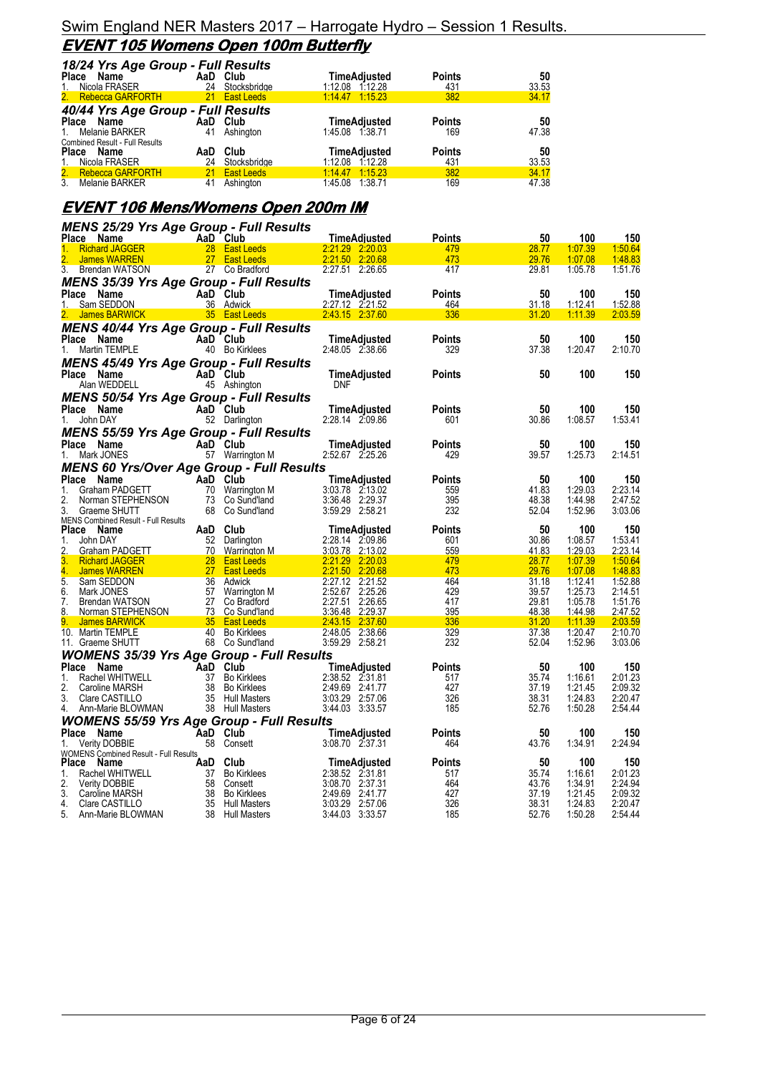### Swim England NER Masters 2017 – Harrogate Hydro – Session 1 Results. **EVENT 105 Womens Open 100m Butterfly**

| 18/24 Yrs Age Group - Full Results    |          |               |                     |               |       |
|---------------------------------------|----------|---------------|---------------------|---------------|-------|
| Place<br>Name                         | AaD Club |               | <b>TimeAdjusted</b> | <b>Points</b> | 50    |
| Nicola FRASER<br>$1_{\cdot}$          | 24       | Stocksbridge  | 1:12.08 1:12.28     | 431           | 33.53 |
| 2. Rebecca GARFORTH                   |          | 21 East Leeds | $1:14.47$ $1:15.23$ | 382           | 34.17 |
| 40/44 Yrs Age Group - Full Results    |          |               |                     |               |       |
| Place Name                            | AaD Club |               | <b>TimeAdiusted</b> | <b>Points</b> | 50    |
| 1. Melanie BARKER                     | 41       | Ashington     | 1:45.08 1:38.71     | 169           | 47.38 |
| <b>Combined Result - Full Results</b> |          |               |                     |               |       |
| Name<br><b>Place</b>                  | AaD      | Club          | <b>TimeAdiusted</b> | <b>Points</b> | 50    |
| Nicola FRASER<br>1.                   | 24       | Stocksbridge  | 1:12.08 1:12.28     | 431           | 33.53 |
| 2. Rebecca GARFORTH                   |          | 21 East Leeds | 1.14.47 1.15.23     | 382           | 34.17 |
| 3.<br>Melanie BARKER                  | 41       | Ashington     | 1:45.08<br>1:38.71  | 169           | 47.38 |

# **EVENT 106 Mens/Womens Open 200m IM**

| <b>MENS 25/29 Yrs Age Group - Full Results</b>                 |                 |                                    |                                    |               |                |                    |                    |
|----------------------------------------------------------------|-----------------|------------------------------------|------------------------------------|---------------|----------------|--------------------|--------------------|
| Place Name                                                     |                 | AaD Club                           | TimeAdjusted                       | <b>Points</b> | 50             | 100                | 150                |
| <b>Richard JAGGER</b><br>1.                                    |                 | 28 East Leeds                      | 2:21.29 2:20.03                    | 479           | 28.77          | 1:07.39            | 1:50.64            |
| <b>James WARREN</b>                                            | 27 <sub>2</sub> | <b>East Leeds</b>                  | 2:21.50 2:20.68                    | 473           | 29.76          | 1:07.08            | 1:48.83            |
| $\overline{3}$ .<br>Brendan WATSON                             |                 | 27 Co Bradford                     | 2:27.51 2:26.65                    | 417           | 29.81          | 1:05.78            | 1:51.76            |
| <b>MENS 35/39 Yrs Age Group - Full Results</b>                 |                 |                                    |                                    |               |                |                    |                    |
| Place Name<br>Sam SEDDON<br>$1_{\cdot}$                        |                 | AaD Club<br>36 Adwick              | TimeAdjusted                       | Points        | 50             | 100<br>1:12.41     | 150                |
| <b>James BARWICK</b>                                           |                 | 35 East Leeds                      | 2:27.12 2:21.52<br>2:43.15 2:37.60 | 464<br>336    | 31.18<br>31.20 | 1:11.39            | 1:52.88<br>2:03.59 |
| <b>MENS 40/44 Yrs Age Group - Full Results</b>                 |                 |                                    |                                    |               |                |                    |                    |
| Place Name                                                     |                 | AaD Club                           | TimeAdjusted                       | <b>Points</b> | 50             | 100                | 150                |
| Martin TEMPLE<br>1.                                            |                 | 40 Bo Kirklees                     | 2:48.05 2:38.66                    | 329           | 37.38          | 1:20.47            | 2:10.70            |
| MENS 45/49 Yrs Age Group - Full Results                        |                 |                                    |                                    |               |                |                    |                    |
| Place Name                                                     |                 | AaD Club                           | TimeAdjusted                       | Points        | 50             | 100                | 150                |
| Alan WEDDELL                                                   |                 | 45 Ashington                       | <b>DNF</b>                         |               |                |                    |                    |
| <b>MENS 50/54 Yrs Age Group - Full Results</b>                 |                 |                                    |                                    |               |                |                    |                    |
| Place Name                                                     |                 | AaD Club                           | TimeAdjusted                       | Points        | 50             | 100                | 150                |
| 1.<br>John DAY                                                 |                 | 52 Darlington                      | 2:28.14 2:09.86                    | 601           | 30.86          | 1:08.57            | 1:53.41            |
| <b>MENS 55/59 Yrs Age Group - Full Results</b>                 |                 |                                    |                                    |               |                |                    |                    |
| Place Name                                                     |                 | AaD Club                           | <b>TimeAdjusted</b>                | Points        | 50             | 100                | 150                |
| Mark JONES<br>1.                                               |                 | 57 Warrington M                    | 2:52.67 2:25.26                    | 429           | 39.57          | 1:25.73            | 2:14.51            |
| <b>MENS 60 Yrs/Over Age Group - Full Results</b>               |                 |                                    |                                    |               |                |                    |                    |
| Place<br>Name                                                  |                 | AaD Club                           | TimeAdjusted                       | <b>Points</b> | 50             | 100                | 150                |
| Graham PADGETT<br>1.                                           |                 | 70 Warrington M                    | 3:03.78 2:13.02                    | 559           | 41.83          | 1:29.03            | 2:23.14            |
| 2.<br>Norman STEPHENSON                                        |                 | 73 Co Sund'land                    | 3:36.48 2:29.37                    | 395           | 48.38          | 1:44.98            | 2:47.52            |
| 3.<br>Graeme SHUTT                                             |                 | 68 Co Sund'land                    | 3:59.29 2:58.21                    | 232           | 52.04          | 1:52.96            | 3:03.06            |
|                                                                |                 |                                    |                                    |               |                |                    |                    |
| <b>MENS Combined Result - Full Results</b>                     |                 |                                    |                                    |               |                |                    |                    |
| Place Name<br>1.<br>John DAY                                   |                 | AaD Club                           | TimeAdjusted<br>2:28.14 2:09.86    | Points<br>601 | 50<br>30.86    | 100<br>1:08.57     | 150                |
| 2.<br>Graham PADGETT                                           | 70              | 52 Darlington<br>Warrington M      | 3:03.78 2:13.02                    | 559           | 41.83          | 1:29.03            | 1:53.41<br>2:23.14 |
| 3.<br><b>Richard JAGGER</b>                                    | 28 <sup>2</sup> | <b>East Leeds</b>                  | 2:21.29 2:20.03                    | 479           | 28.77          | 1:07.39            | 1:50.64            |
| 4.<br><b>James WARREN</b>                                      |                 | 27 East Leeds                      | 2:21.50<br>2:20.68                 | 473           | 29.76          | 1:07.08            | 1.48.83            |
| 5.<br>Sam SEDDON                                               |                 | 36 Adwick                          | 2:27.12 2:21.52                    | 464           | 31.18          | 1:12.41            | 1:52.88            |
| 6.<br>Mark JONES                                               |                 | 57 Warrington M                    | 2:52.67 2:25.26                    | 429           | 39.57          | 1:25.73            | 2:14.51            |
| 7.<br>Brendan WATSON<br>8.<br>Norman STEPHENSON                |                 | 27 Co Bradford<br>73 Co Sund'land  | 2:27.51 2:26.65<br>3:36.48 2:29.37 | 417<br>395    | 29.81<br>48.38 | 1:05.78<br>1:44.98 | 1:51.76<br>2:47.52 |
| 9.<br><b>James BARWICK</b>                                     |                 | 35 East Leeds                      | 2.43.15 2:37.60                    | 336           | 31.20          | 1:11.39            | 2:03.59            |
| 10. Martin TEMPLE                                              |                 | 40 Bo Kirklees                     | 2:48.05 2:38.66                    | 329           | 37.38          | 1:20.47            | 2:10.70            |
| 11. Graeme SHUTT                                               |                 | 68 Co Sund'land                    | 3:59.29 2:58.21                    | 232           | 52.04          | 1:52.96            | 3:03.06            |
| <b>WOMENS 35/39 Yrs Age Group - Full Results</b>               |                 |                                    |                                    |               |                |                    |                    |
| Place Name                                                     | AaD Club        |                                    | TimeAdjusted                       | Points        | 50             | 100                | 150                |
| Rachel WHITWELL<br>1.                                          |                 | 37 Bo Kirklees                     | 2:38.52 2:31.81                    | 517           | 35.74          | 1:16.61            | 2:01.23            |
| 2.<br>Caroline MARSH                                           |                 | 38 Bo Kirklees                     | 2:49.69 2:41.77                    | 427           | 37.19          | 1:21.45            | 2:09.32            |
| 3.<br>Clare CASTILLO<br>4.<br>Ann-Marie BLOWMAN                |                 | 35 Hull Masters<br>38 Hull Masters | 3:03.29 2:57.06<br>3:44.03 3:33.57 | 326<br>185    | 38.31<br>52.76 | 1:24.83<br>1:50.28 | 2:20.47<br>2:54.44 |
|                                                                |                 |                                    |                                    |               |                |                    |                    |
| <b>WOMENS 55/59 Yrs Age Group - Full Results</b><br>Place Name |                 | AaD Club                           | <b>TimeAdiusted</b>                | Points        | 50             | 100                | 150                |
| <b>Verity DOBBIE</b><br>1.                                     |                 | 58 Consett                         | 3:08.70 2:37.31                    | 464           | 43.76          | 1:34.91            | 2:24.94            |
| WOMENS Combined Result - Full Results                          |                 |                                    |                                    |               |                |                    |                    |
| Place<br>Name                                                  | AaD Club        |                                    | TimeAdjusted                       | <b>Points</b> | 50             | 100                | 150                |
| 1.<br>Rachel WHITWELL                                          |                 | 37 Bo Kirklees                     | 2:38.52 2:31.81                    | 517           | 35.74          | 1:16.61            | 2:01.23            |
| 2.<br><b>Verity DOBBIE</b>                                     |                 | 58 Consett                         | 3:08.70 2:37.31                    | 464           | 43.76          | 1:34.91            | 2:24.94            |
| 3.<br>Caroline MARSH<br>4.<br>Clare CASTILLO                   |                 | 38 Bo Kirklees<br>35 Hull Masters  | 2:49.69 2:41.77<br>3:03.29 2:57.06 | 427<br>326    | 37.19<br>38.31 | 1:21.45<br>1:24.83 | 2:09.32<br>2:20.47 |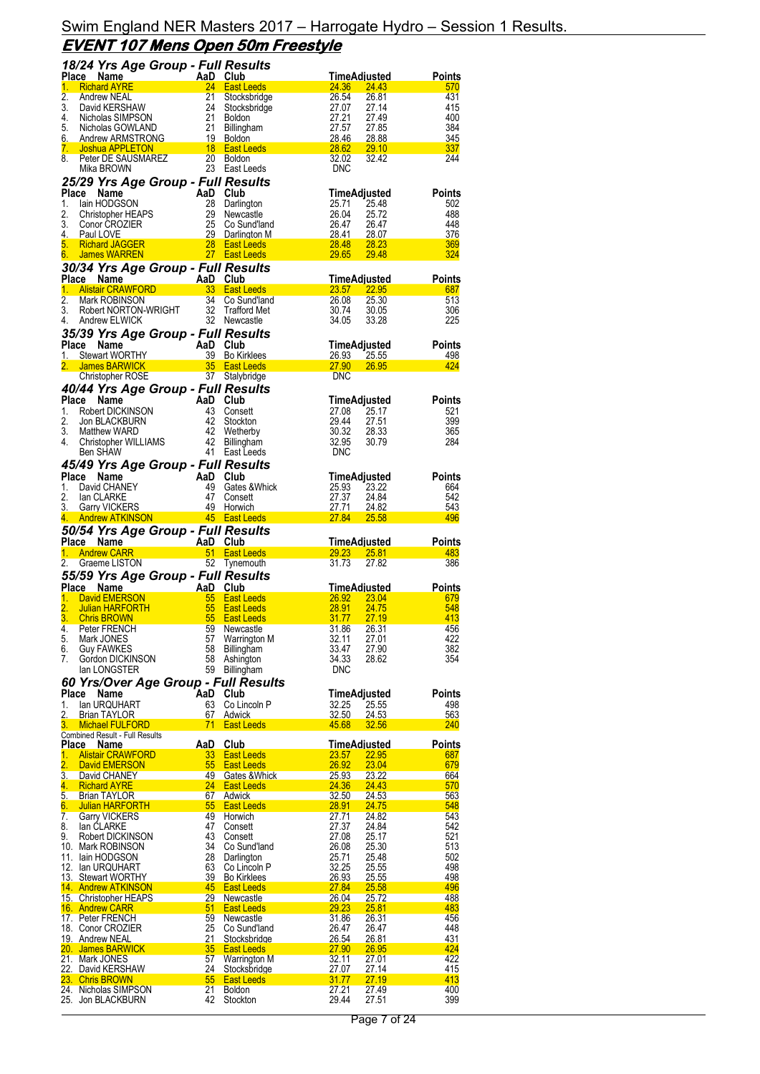|                  | 18/24 Yrs Age Group - Full Results                                                                                                                                                                   |                                                                                              |                                                      |                                |                                |                   |
|------------------|------------------------------------------------------------------------------------------------------------------------------------------------------------------------------------------------------|----------------------------------------------------------------------------------------------|------------------------------------------------------|--------------------------------|--------------------------------|-------------------|
| Place<br>1.      | Name<br><b>Richard AYRE</b>                                                                                                                                                                          | AaD Club<br>a a a a <mark>A</mark>                                                           | 24 East Leeds                                        | 24.36                          | TimeAdjusted<br>24.43          | Points<br>570     |
| 2.               | Andrew NEAL                                                                                                                                                                                          | 21                                                                                           | Stocksbridge                                         | 26.54                          | 26.81                          | 431               |
| 3.               | David KERSHAW                                                                                                                                                                                        |                                                                                              | 24 Stocksbridge                                      | 27.07                          | 27.14                          | 415               |
|                  |                                                                                                                                                                                                      |                                                                                              |                                                      | 27.21<br>27.57                 | 27.49                          | 400<br>384        |
|                  | 4. Nicholas SIMPSON 21 Boldon<br>5. Nicholas GOWLAND 21 Billingh:<br>6. Andrew ARMSTRONG 19 Boldon                                                                                                   |                                                                                              | Billingham                                           | 28.46                          | 27.85<br>28.88                 | 345               |
| 7.               | Joshua APPLETON                                                                                                                                                                                      | <b>18</b> East Leeds                                                                         |                                                      | 28.62                          | <b>29.10</b>                   | 337               |
|                  | 8. Peter DE SAUSMAREZ 20 Boldon                                                                                                                                                                      |                                                                                              |                                                      | 32.02                          | 32.42                          | 244               |
|                  | Mika BROWN                                                                                                                                                                                           |                                                                                              | 23 East Leeds                                        | <b>DNC</b>                     |                                |                   |
|                  | 25/29 Yrs Age Group - Full Results<br>Place Name<br>ve Name<br>lain HODGSON 28 Darling<br>Christopher HEAPS 29 Newca<br>Conor CROZIER 25 Co Sul<br>Paul LOVE 29 Darling<br>Richard LACCER 29 Darling |                                                                                              |                                                      |                                | TimeAdjusted                   | <b>Points</b>     |
| 1.               |                                                                                                                                                                                                      |                                                                                              | 28 Darlington                                        | 25.71                          | 25.48                          | 502               |
| 2.               |                                                                                                                                                                                                      |                                                                                              | 29 Newcastle                                         | 26.04                          | 25.72                          | 488               |
| 3.               | 4. Paul LOVE                                                                                                                                                                                         |                                                                                              | 25 Co Sund'land<br>25 Co Sundiand<br>29 Darlington M | 26.47<br>28.41                 | 26.47                          | 448<br>376        |
| 5.               | <b>Richard JAGGER</b>                                                                                                                                                                                | and a strong of the 28 East Leeds<br>27 East Leeds                                           |                                                      | <u>28.48</u>                   | 28.07<br>28.23                 | 369               |
| $6 -$            | James WARREN                                                                                                                                                                                         |                                                                                              | 27 East Leeds                                        | <b>29.65</b>                   | 29.48                          | 324               |
|                  | 30/34 Yrs Age Group - Full Results                                                                                                                                                                   |                                                                                              |                                                      |                                |                                |                   |
|                  | <b>Ce Name 1988</b><br>Alistair CRAWFORD 1988 Alistair CRAWFORD<br>Mark DOBINICON<br>Place Name                                                                                                      |                                                                                              |                                                      |                                | <u>TimeAdiusted</u>            | Points            |
| 1.<br>2.         | Mark ROBINSON                                                                                                                                                                                        |                                                                                              | 34 Co Sund'land                                      | 23.57<br>26.08                 | 22.95<br>25.30                 | 687<br>513        |
| 3.               | Robert NORTON-WRIGHT<br>Andrew ELWICK<br>Andrew ELWICK<br>22 November                                                                                                                                |                                                                                              |                                                      | 30.74                          | 30.05                          | 306               |
| 4.               | Andrew ELWICK                                                                                                                                                                                        |                                                                                              | 32 Newcastle                                         | 34.05                          | 33.28                          | 225               |
|                  | 35/39 Yrs Age Group - Full Results                                                                                                                                                                   |                                                                                              |                                                      |                                |                                |                   |
| Place            | Name                                                                                                                                                                                                 |                                                                                              |                                                      |                                | TimeAdjusted                   | Points            |
| 1.<br>2.         | <b>Stewart WORTHY</b><br><b>James BARWICK</b>                                                                                                                                                        | AaD Club<br>39 Bo Kirklees<br>35 East Leeds                                                  |                                                      | 26.93<br>27.90                 | 25.55<br>26.95                 | 498<br>424        |
|                  | Christopher ROSE                                                                                                                                                                                     |                                                                                              | 37 Stalybridge                                       | <b>DNC</b>                     |                                |                   |
|                  | 40/44 Yrs Age Group - Full Results                                                                                                                                                                   |                                                                                              |                                                      |                                |                                |                   |
|                  | Place Name<br><b>Ce Name</b><br>Robert DICKINSON<br>Jon BLACKBURN<br>Matthew WARD                                                                                                                    | AaD Club                                                                                     |                                                      |                                | TimeAdjusted                   | <b>Points</b>     |
| 1.               |                                                                                                                                                                                                      |                                                                                              | 43 Consett                                           | 27.08                          | 25.17                          | 521               |
| 2.<br>3.         | Matthew WARD                                                                                                                                                                                         |                                                                                              | 42 Stockton<br>ייטיט 42<br>42 Wetherby<br>חייוויים   | 29.44<br>30.32                 | 27.51<br>28.33                 | 399<br>365        |
| 4.               | Christopher WILLIAMS                                                                                                                                                                                 |                                                                                              | 42 Billingham                                        | 32.95                          | 30.79                          | 284               |
|                  | Ben SHAW                                                                                                                                                                                             |                                                                                              | 41 East Leeds                                        | <b>DNC</b>                     |                                |                   |
|                  | 45/49 Yrs Age Group - Full Results                                                                                                                                                                   |                                                                                              |                                                      |                                |                                |                   |
| 1.               | Place Name                                                                                                                                                                                           | AaD Club                                                                                     | 49 Gates & Whick                                     |                                | TimeAdjusted<br>23.22          | Points            |
| 2.               | David CHANEY<br>lan CLARKE                                                                                                                                                                           | 47                                                                                           | Consett                                              | 25.93<br>27.37                 | 24.84                          | 664<br>542        |
|                  | 3. Garry VICKERS                                                                                                                                                                                     |                                                                                              | 49 Horwich                                           | 27.71                          | 24.82                          | 543               |
|                  | 4. Andrew ATKINSON                                                                                                                                                                                   | <b>Example 245</b> East Leeds                                                                |                                                      | <b>27.84</b>                   | 25.58                          | 496               |
|                  |                                                                                                                                                                                                      |                                                                                              |                                                      |                                |                                |                   |
|                  |                                                                                                                                                                                                      | 50/54 Yrs Age Group - Full Results                                                           |                                                      |                                |                                |                   |
|                  | Place Name                                                                                                                                                                                           |                                                                                              |                                                      |                                | <u>TimeAdjusted</u>            | Points            |
| 1.<br>2.         | <b>Andrew CARR</b><br>Graeme LISTON                                                                                                                                                                  |                                                                                              |                                                      | 29.23<br>31.73                 | <b>25.81</b><br>27.82          | 483<br>386        |
|                  |                                                                                                                                                                                                      | AaD Club<br>51 East Leeds<br>52 Tynemouth                                                    |                                                      |                                |                                |                   |
|                  | 55/59 Yrs Age Group - Full Results<br>Place Name                                                                                                                                                     |                                                                                              |                                                      |                                | <u>TimeAdjusted</u>            | <b>Points</b>     |
| 1.               | David EMERSON                                                                                                                                                                                        |                                                                                              |                                                      | <b>26.92</b>                   | 23.04                          | 679               |
| 2.               | Julian HARFORTH                                                                                                                                                                                      |                                                                                              |                                                      | 28.91                          | 24.75                          | 548               |
| 3.<br>4.         | <b>Chris BROWN</b><br>Peter FRENCH                                                                                                                                                                   | AaD Club<br>55 East Leeds<br>55 East Leeds<br>55 East Leeds<br>55 East Leeds<br>59 Newcastle |                                                      | <b>31.77</b><br>31.86          | 27.19<br>26.31                 | 413<br>456        |
| 5.               | Mark JONES                                                                                                                                                                                           | 57                                                                                           | Warrington M                                         | 32.11                          | 27.01                          | 422               |
| 6.               | <b>Guy FAWKES</b>                                                                                                                                                                                    | 58                                                                                           | Billingham                                           | 33.47                          | 27.90                          | 382               |
| 7.               | Gordon DICKINSON<br>lan LONGSTER                                                                                                                                                                     | 58<br>59                                                                                     | Ashington<br>Billingham                              | 34.33<br><b>DNC</b>            | 28.62                          | 354               |
|                  |                                                                                                                                                                                                      |                                                                                              |                                                      |                                |                                |                   |
| Place            | 60 Yrs/Over Age Group - Full Results<br>Name                                                                                                                                                         | AaD                                                                                          | Club                                                 |                                | TimeAdjusted                   | <b>Points</b>     |
| 1.               | lan URQUHART                                                                                                                                                                                         | 63                                                                                           | Co Lincoln P                                         | 32.25                          | 25.55                          | 498               |
| 2.<br>3.         | <b>Brian TAYLOR</b><br>Michael FULFORD                                                                                                                                                               | 67<br>71                                                                                     | Adwick<br>East Leeds                                 | 32.50<br>45.68                 | 24.53<br>32.56                 | 563<br>240        |
|                  | <b>Combined Result - Full Results</b>                                                                                                                                                                |                                                                                              |                                                      |                                |                                |                   |
| <b>Place</b>     | <b>Name</b>                                                                                                                                                                                          | AaD                                                                                          | Club                                                 |                                | TimeAdjusted                   | <b>Points</b>     |
| 1.<br>2.         | <b>Alistair CRAWFORD</b><br><b>David EMERSON</b>                                                                                                                                                     | 33<br>55                                                                                     | <b>East Leeds</b><br><b>East Leeds</b>               | 23.57                          | 22.95<br>23.04                 | 687<br>679        |
| $\overline{3}$ . | David CHANEY                                                                                                                                                                                         | 49                                                                                           | Gates & Whick                                        | 26.92<br>25.93                 | 23.22                          | 664               |
| 4.               | <b>Richard AYRE</b>                                                                                                                                                                                  | 24                                                                                           | <b>East Leeds</b>                                    | 24.36                          | 24.43                          | 570               |
| 5.               | <b>Brian TAYLOR</b>                                                                                                                                                                                  | 67                                                                                           | <b>Adwick</b>                                        | <u>32.50</u>                   | 24.53                          | 563               |
| 6.<br>7.         | Julian HARFORTH<br><b>Garry VICKERS</b>                                                                                                                                                              | 55<br>49                                                                                     | <b>East Leeds</b><br>Horwich                         | 28.91<br>27.71                 | 24.75<br>24.82                 | 548<br>543        |
| 8.               | lan CLARKE                                                                                                                                                                                           | 47                                                                                           | Consett                                              | 27.37                          | 24.84                          | 542               |
| 9.               | Robert DICKINSON                                                                                                                                                                                     | 43                                                                                           | Consett                                              | 27.08                          | 25.17                          | 521               |
| 10.              | Mark ROBINSON<br>11. Iain HODGSON                                                                                                                                                                    | 34<br>28                                                                                     | Co Sund'land<br>Darlington                           | 26.08<br>25.71                 | 25.30<br>25.48                 | 513<br>502        |
| 12.              | lan URQUHART                                                                                                                                                                                         | 63                                                                                           | Co Lincoln P                                         | 32.25                          | 25.55                          | 498               |
| 13.              | <b>Stewart WORTHY</b>                                                                                                                                                                                | 39                                                                                           | <b>Bo Kirklees</b>                                   | <u>26.93</u>                   | <b>25.55</b>                   | 498               |
|                  | 14 Andrew ATKINSON                                                                                                                                                                                   | 45<br>29                                                                                     | <b>East Leeds</b>                                    | <u>27.84</u>                   | 25.58                          | 496<br>488        |
|                  | 15. Christopher HEAPS<br>16. Andrew CARR                                                                                                                                                             | 51                                                                                           | <b>Newcastle</b><br>East Leeds                       | 26.04<br><u>29.23</u>          | 25.72<br>25.81                 | 483               |
|                  | 17. Peter FRENCH                                                                                                                                                                                     | 59                                                                                           | Newcastle                                            | 31.86                          | 26.31                          | 456               |
|                  | 18. Conor CROZIER                                                                                                                                                                                    | 25                                                                                           | Co Sund'land                                         | 26.47                          | 26.47                          | 448               |
|                  | 19. Andrew NEAL<br>20. James BARWICK                                                                                                                                                                 | 21<br>35                                                                                     | Stocksbridge<br><b>East Leeds</b>                    | <u>26.54</u><br><u>27.90</u>   | <u>26.81</u><br>26.95          | 431<br>424        |
|                  | 21. Mark JONES                                                                                                                                                                                       | 57                                                                                           | Warrington M                                         | 32.11                          | 27.01                          | 422               |
|                  | 22. David KERSHAW                                                                                                                                                                                    | 24                                                                                           | Stocksbridge                                         | <u>27.07</u>                   | <u>27.14</u>                   | 415               |
|                  | 23. Chris BROWN<br>24. Nicholas SIMPSON                                                                                                                                                              | 55<br>21<br>42                                                                               | <b>East Leeds</b><br><b>Boldon</b><br>Stockton       | <u>31.77</u><br>27.21<br>29.44 | <u>27.19</u><br>27.49<br>27.51 | 413<br>400<br>399 |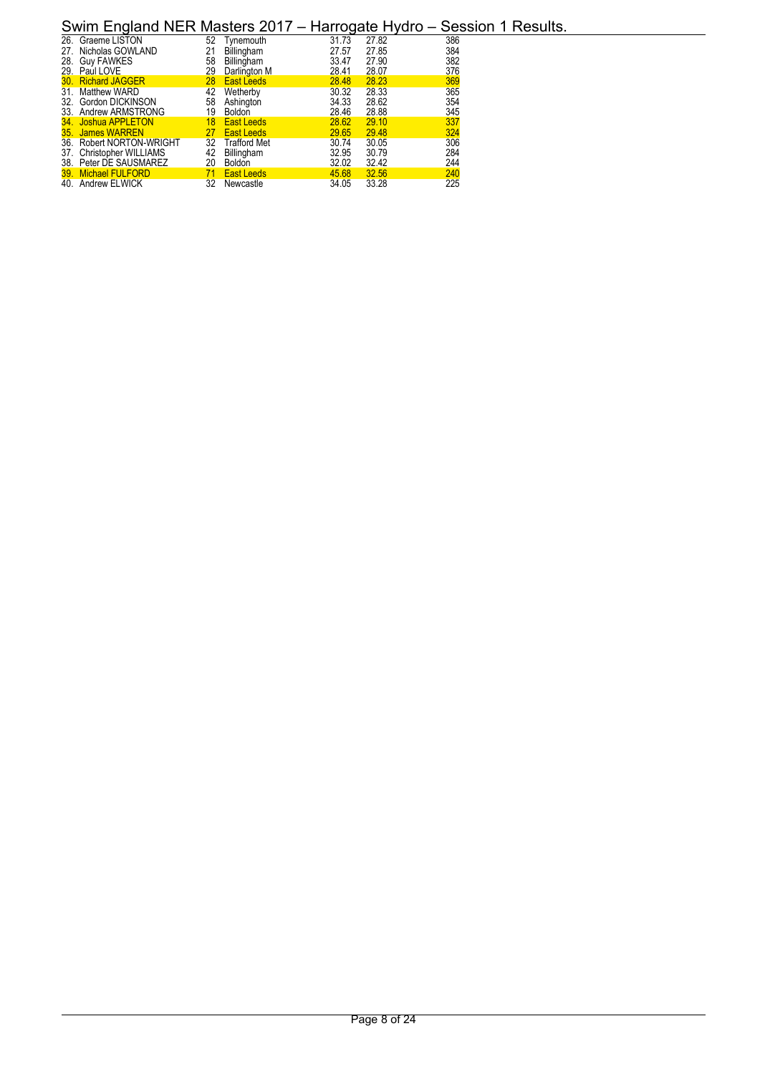| 26. Graeme LISTON        | 52 | Tvnemouth           | 31.73 | 27.82 | 386 |
|--------------------------|----|---------------------|-------|-------|-----|
| 27. Nicholas GOWLAND     | 21 | Billingham          | 27.57 | 27.85 | 384 |
| 28. Guy FAWKES           | 58 | Billingham          | 33.47 | 27.90 | 382 |
| 29. Paul LOVE            | 29 | Darlington M        | 28.41 | 28.07 | 376 |
| 30. Richard JAGGER       | 28 | <b>East Leeds</b>   | 28.48 | 28.23 | 369 |
| 31. Matthew WARD         | 42 | Wetherby            | 30.32 | 28.33 | 365 |
| 32. Gordon DICKINSON     | 58 | Ashington           | 34.33 | 28.62 | 354 |
| 33. Andrew ARMSTRONG     | 19 | <b>Boldon</b>       | 28.46 | 28.88 | 345 |
| 34. Joshua APPLETON      | 18 | <b>East Leeds</b>   | 28.62 | 29.10 | 337 |
| 35. James WARREN         | 27 | <b>East Leeds</b>   | 29.65 | 29.48 | 324 |
| 36. Robert NORTON-WRIGHT | 32 | <b>Trafford Met</b> | 30.74 | 30.05 | 306 |
| 37. Christopher WILLIAMS | 42 | Billingham          | 32.95 | 30.79 | 284 |
| 38. Peter DE SAUSMAREZ   | 20 | <b>Boldon</b>       | 32.02 | 32.42 | 244 |
| 39. Michael FULFORD      | 71 | <b>East Leeds</b>   | 45.68 | 32.56 | 240 |
| 40. Andrew ELWICK        | 32 | Newcastle           | 34.05 | 33.28 | 225 |
|                          |    |                     |       |       |     |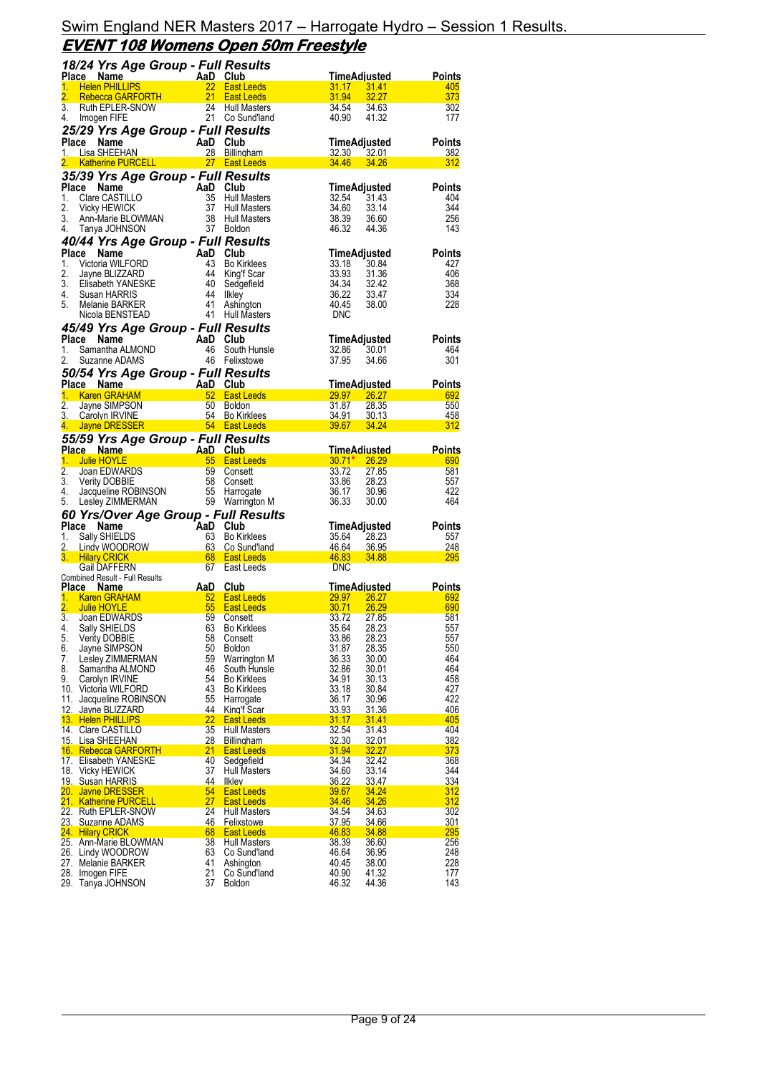### Swim England NER Masters 2017 – Harrogate Hydro – Session 1 Results. **EVENT 108 Womens Open 50m Freestyle**

|                  | 18/24 Yrs Age Group - Full Results                                        |                 |                                          |                                                    |                   |
|------------------|---------------------------------------------------------------------------|-----------------|------------------------------------------|----------------------------------------------------|-------------------|
|                  | Place<br>AaD Club<br>22 East L<br>PRTH 21 East L<br>Name                  |                 |                                          | <u>TimeAdjusted</u>                                | Points            |
| 1.<br>2.         | <b>Helen PHILLIPS</b>                                                     |                 | 22 East Leeds<br><b>East Leeds</b>       | 31.41<br><b>31.17</b><br>31.94<br>32.27            | 405<br>373        |
| $\overline{3}$ . | Rebecca GARFORTH<br><b>Ruth EPLER-SNOW</b>                                | 24              | Hull Masters                             | 34.54<br>34.63                                     | 302               |
| 4.               | Imogen FIFE                                                               |                 | 21 Co Sund'land                          | 40.90<br>41.32                                     | 177               |
|                  | 25/29 Yrs Age Group - Full Results                                        |                 |                                          |                                                    |                   |
|                  | Place<br>Name                                                             | AaD Club        |                                          | TimeAdjusted                                       | <b>Points</b>     |
| 1.               | Lisa SHEEHAN                                                              |                 | 28 Billingham                            | 32.30<br><u>32.01</u>                              | 382               |
| 2. .             | Katherine PURCELL                                                         |                 | 27 East Leeds                            | 34.46<br><b>34.26</b>                              | 312               |
|                  | 35/39 Yrs Age Group - Full Results                                        |                 |                                          |                                                    |                   |
|                  | Place Name                                                                | AaD Club        |                                          | TimeAdjusted                                       | <b>Points</b>     |
| 1.<br>2.         | Clare CASTILLO                                                            |                 | 35 Hull Masters<br>37 Hull Masters       | 32.54<br>31.43                                     | 404<br>344        |
| 3.               | <b>Vicky HEWICK</b><br>Vicky HEWICK<br>Ann-Marie BLOWMAN<br>Tanya JOHNSON |                 | 38 Hull Masters                          | 34.60<br>33.14<br>38.39<br>36.60                   | 256               |
| 4.               | Tanya JOHNSON                                                             |                 | 37 Boldon                                | 46.32<br>44.36                                     | 143               |
|                  | 40/44 Yrs Age Group - Full Results                                        |                 |                                          |                                                    |                   |
| Place            | Name                                                                      | AaD Club        |                                          | TimeAdjusted                                       | <b>Points</b>     |
| 1.               | Victoria WILFORD                                                          | 43              | Bo Kirklees                              | 33.18<br>30.84                                     | 427               |
| 2.               | Jayne BLIZZARD                                                            |                 | 44 King'f Scar                           | 33.93<br>31.36                                     | 406               |
| 3.               | Elisabeth YANESKE                                                         | 40              | Sedgefield                               | 34.34<br>32.42                                     | 368               |
| 4.<br>5.         | Susan HARRIS<br>Melanie BARKER                                            | 44<br>41        | likley<br>Ashington                      | 36.22<br>33.47<br>40.45<br>38.00                   | 334<br>228        |
|                  | Nicola BENSTEAD                                                           | 41              | <b>Hull Masters</b>                      | <b>DNC</b>                                         |                   |
|                  | 45/49 Yrs Age Group - Full Results                                        |                 |                                          |                                                    |                   |
|                  | Place Name                                                                | AaD Club        |                                          | TimeAdjusted                                       | <b>Points</b>     |
| 1.               | Samantha ALMOND<br>Samantha ALMOND                                        |                 | 46 South Hunsle                          | 32.86<br>30.01                                     | 464               |
| 2.               | Suzanne ADAMS                                                             |                 | 46 Felixstowe                            | 37.95<br>34.66                                     | 301               |
|                  | 50/54 Yrs Age Group - Full Results                                        |                 |                                          |                                                    |                   |
|                  | Place Name<br>Map Club<br>52 East L                                       |                 |                                          | TimeAdjusted                                       | <b>Points</b>     |
| 1.<br>2.         | <b>Karen GRAHAM</b><br>Jayne SIMPSON                                      | 50              | 52 East Leeds<br>Boldon                  | 29.97 26.27<br>31.87<br>28.35                      | 692<br>550        |
| 3.               | Carolyn IRVINE                                                            |                 | 54 Bo Kirklees                           | 34.91<br>30.13                                     | 458               |
|                  | 4. Jayne DRESSER                                                          |                 | <b>East Leeds</b>                        | 39.67<br>34.24                                     | 312               |
|                  | 55/59 Yrs Age Group - Full Results                                        |                 |                                          |                                                    |                   |
|                  | <u>Place Name</u><br>AaD Club<br>55 East L                                |                 |                                          | <u>TimeAdiusted</u>                                | <b>Points</b>     |
| $\mathbf{1}$     | Julie HOYLE                                                               |                 | 55 East Leeds                            | $30.71^*$ 26.29                                    | 690               |
| 2.               | Joan EDWARDS                                                              | 59              | Consett                                  | 33.72<br>27.85                                     | 581               |
| 3.<br>4.         | <b>Verity DOBBIE</b>                                                      | 58              | Consett<br>55 Harrogate                  | 33.86<br>28.23<br>36.17<br>30.96                   | 557<br>422        |
| 5.               | Jacqueline ROBINSON<br>Jacqueline ROBINSON<br>Lesley ZIMMERMAN            |                 | 59 Warrington M                          | 36.33<br>30.00                                     | 464               |
|                  | 60 Yrs/Over Age Group - Full Results                                      |                 |                                          |                                                    |                   |
|                  | Place Name                                                                |                 |                                          | TimeAdjusted                                       | Points            |
| 1.               | <b>AaD Club</b><br>63 Bo Kir<br>63 Co Su<br>Sally SHIELDS                 |                 | Bo Kirklees                              | 28.23<br>35.64                                     | 557               |
| 2.               | Lindy WOODROW                                                             |                 | Co Sund'land                             | 46.64<br>36.95                                     | 248               |
| 3.               | <b>Hilary CRICK</b><br>Gail DAFFERN                                       | 67              | <b>East Leeds</b><br>East Leeds          | 46.83<br>34.88<br><b>DNC</b>                       | 295               |
|                  | <b>Combined Result - Full Results</b>                                     |                 |                                          |                                                    |                   |
|                  | Place Name                                                                | AaD             | <b>Club</b>                              | TimeAdiusted                                       | <b>Points</b>     |
| 1                | <b>Karen GRAHAM</b>                                                       | 52 <sub>2</sub> | <b>East Leeds</b>                        | 29.97<br>26.27                                     | 692               |
| 2.<br>3.         | Julie HOYLE<br>Joan EDWARDS                                               | 55<br>59        | <b>East Leeds</b><br>Consett             | 30.71<br>26.29<br>33.72<br>27.85                   | 690<br>581        |
| $\overline{4}$   | 63 Bo Kirklees<br>Sally SHIELDS                                           |                 |                                          |                                                    |                   |
| 5.               |                                                                           |                 |                                          |                                                    |                   |
| 6.               |                                                                           | 58              | Consett                                  | 35.64<br>28.23<br>33.86<br>28.23                   | 557<br>557        |
|                  | Verity DOBBIE<br>Jayne SIMPSON                                            | 50              | Boldon                                   | 31.87<br>28.35                                     | 550               |
| 7.               | Lesley ZIMMERMAN                                                          | 59              | Warrington M                             | 36.33<br>30.00                                     | 464               |
| 8.               | Samantha ALMOND                                                           | 46              | South Hunsle                             | 32.86<br>30.01                                     | 464               |
| 9.               | Carolyn IRVINE                                                            | 54              | <b>Bo Kirklees</b>                       | 34.91<br>30.13                                     | 458               |
|                  | 10. Victoria WILFORD                                                      | 43              | <b>Bo Kirklees</b>                       | 33.18<br>30.84                                     | 427               |
| 11.<br>12.       | Jacqueline ROBINSON<br>Jayne BLIZZARD                                     | 55<br>44        | Harrogate<br>King'f Scar                 | 36.17<br>30.96<br><u>33.93</u><br>31.36            | 422<br>406        |
|                  | 13. Helen PHILLIPS                                                        | 22              | <b>East Leeds</b>                        | <u>31.17</u><br><u>31.41</u>                       | 405               |
|                  | 14. Clare CASTILLO                                                        | 35              | <b>Hull Masters</b>                      | 32.54<br>31.43                                     | 404               |
|                  | <u> 15. Lisa SHEEHAN</u>                                                  | 28              | Billingham                               | 32.30<br><u>32.01</u>                              | <u>382</u>        |
|                  | 16. Rebecca GARFORTH<br>17. Elisabeth YANESKE                             | 21<br>40        | East Leeds<br>Sedgefield                 | 31.94<br><u>32.27</u><br>34.34<br>32.42            | 373<br>368        |
|                  | 18. Vicky HEWICK                                                          | 37              | <b>Hull Masters</b>                      | 34.60<br>33.14                                     | 344               |
|                  | 19. Susan HARRIS                                                          | 44              | <u>Ilkley</u>                            | 36.22<br><u>33.47</u>                              | 334               |
|                  | 20. Jayne DRESSER                                                         | 54              | <b>East Leeds</b>                        | 39.67<br>34.24                                     | <u>312</u>        |
|                  | 21. Katherine PURCELL                                                     | 27<br>24        | <b>East Leeds</b><br><b>Hull Masters</b> | 34.26<br><b>34.46</b><br>34.54<br>34.63            | 312<br>302        |
|                  | 22. Ruth EPLER-SNOW<br>23. Suzanne ADAMS                                  | 46              | <b>Felixstowe</b>                        | 37.95<br>34.66                                     | 301               |
|                  | 24. Hilary CRICK                                                          | 68              | <b>East Leeds</b>                        | 46.83<br>34.88                                     | 295               |
|                  | 25. Ann-Marie BLOWMAN                                                     | 38              | <b>Hull Masters</b>                      | 38.39<br>36.60                                     | 256               |
|                  | 26. Lindy WOODROW                                                         | 63              | Co Sund'land                             | 46.64<br>36.95                                     | 248               |
|                  | 27. Melanie BARKER<br>28. Imogen FIFE<br>29. Tanya JOHNSON                | 41<br>21<br>37  | Ashington<br>Co Sund'land                | 40.45<br>38.00<br>40.90<br>41.32<br>46.32<br>44.36 | 228<br>177<br>143 |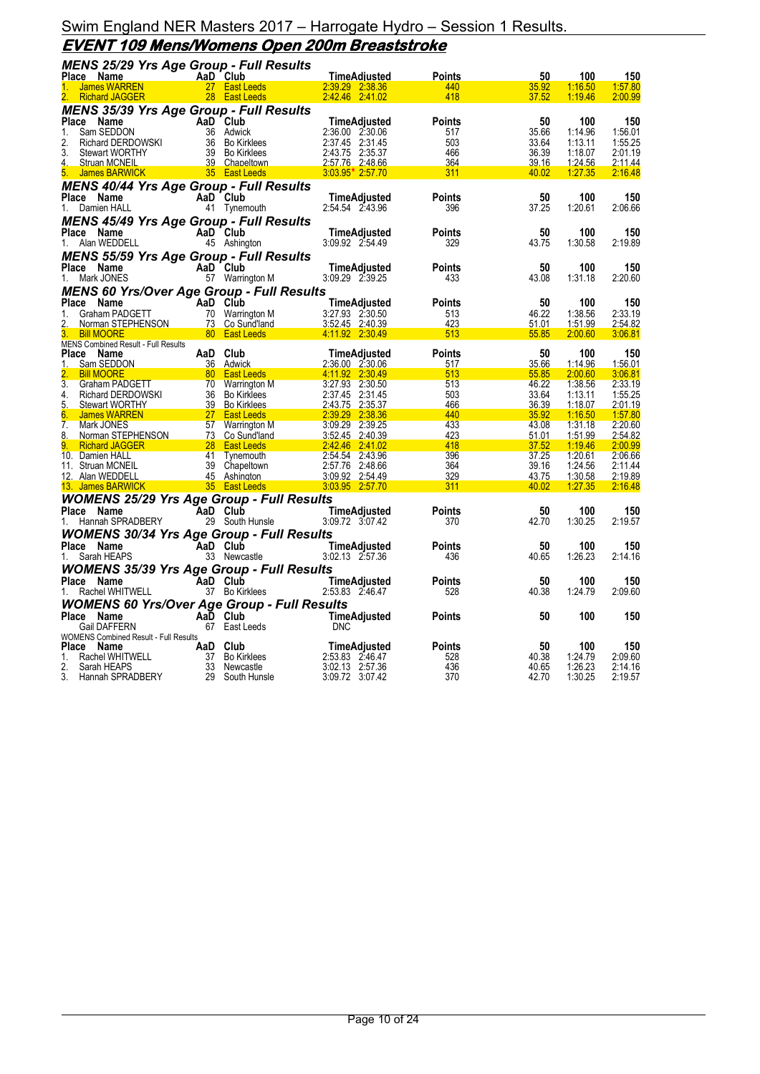## **EVENT 109 Mens/Womens Open 200m Breaststroke**

|              | <b>MENS 25/29 Yrs Age Group - Full Results</b>     |                                                                  |                                    |                      |                |                    |                    |
|--------------|----------------------------------------------------|------------------------------------------------------------------|------------------------------------|----------------------|----------------|--------------------|--------------------|
|              | Place Name                                         | AaD Club                                                         | <u>TimeAdjusted</u>                | <b>Points</b>        | 50             | 100                | 150                |
|              | <b>James WARREN</b><br><b>Richard JAGGER</b>       | 27 East Leeds<br>28 East Leeds                                   | 2:39.29 2:38.36<br>2.42.46 2.41.02 | 440<br>418           | 35.92<br>37.52 | 1:16.50<br>1:19.46 | 1:57.80<br>2:00.99 |
|              |                                                    |                                                                  |                                    |                      |                |                    |                    |
|              | <b>MENS 35/39 Yrs Age Group - Full Results</b>     |                                                                  |                                    |                      |                |                    |                    |
| Place<br>1.  | Name<br>Sam SEDDON                                 | AaD Club<br>36 Adwick                                            | TimeAdjusted<br>2:36.00 2:30.06    | <b>Points</b>        | 50<br>35.66    | 100<br>1:14.96     | 150<br>1:56.01     |
| 2.           | Sam SEDDON<br>Richard DERDOWSKI<br>Stewart WORTHY  | 36 Bo Kirklees                                                   | 2:37.45 2:31.45                    | 517<br>503           | 33.64          | 1:13.11            | 1:55.25            |
| 3.           | <b>Stewart WORTHY</b>                              | 39 Bo Kirklees                                                   | 2:43.75 2:35.37                    | 466                  | 36.39          | 1:18.07            | 2:01.19            |
| 4.           | <b>Struan MCNEIL</b>                               | 39 Chapeltown                                                    | 2:57.76 2:48.66                    | 364                  | 39.16          | 1:24.56            | 2:11.44            |
| 5.           | James BARWICK                                      | 35 East Leeds                                                    | $3.03.95*2.57.70$                  | 311                  | 40.02          | 1:27.35            | 2:16.48            |
|              | <b>MENS 40/44 Yrs Age Group - Full Results</b>     |                                                                  |                                    |                      |                |                    |                    |
|              | Place Name                                         | AaD Club                                                         | <b>TimeAdjusted</b>                | <b>Points</b>        | 50             | 100                | 150                |
| 1.           | Damien HALL                                        | 41 Tynemouth                                                     | 2:54.54 2:43.96                    | 396                  | 37.25          | 1:20.61            | 2:06.66            |
|              | <b>MENS 45/49 Yrs Age Group - Full Results</b>     |                                                                  |                                    |                      |                |                    |                    |
|              | Place Name                                         | AaD Club                                                         | TimeAdjusted                       | <b>Points</b>        | 50             | 100                | 150                |
| 1.           | Alan WEDDELL                                       | 45 Ashington                                                     | 3:09.92 2:54.49                    | 329                  | 43.75          | 1:30.58            | 2:19.89            |
|              | <b>MENS 55/59 Yrs Age Group - Full Results</b>     |                                                                  |                                    |                      |                |                    |                    |
|              | Place Name                                         | AaD Club                                                         | TimeAdjusted                       | <b>Points</b>        | 50             | 100                | 150                |
| 1.           | Mark JONES                                         | 57 Warrington M                                                  | 3:09.29 2:39.25                    | 433                  | 43.08          | 1:31.18            | 2:20.60            |
|              | <b>MENS 60 Yrs/Over Age Group - Full Results</b>   |                                                                  |                                    |                      |                |                    |                    |
| Place        | Name                                               | AaD Club                                                         | TimeAdjusted                       | <b>Points</b>        | 50             | 100                | 150                |
| 1.           | Graham PADGETT                                     | 70 Warrington M                                                  | 3:27.93 2:30.50                    | 513                  | 46.22          | 1:38.56            | 2:33.19            |
| 2.           | Norman STEPHENSON<br>Bill MOOPE                    | 73 Co Sund'land                                                  | 3:52.45 2:40.39                    | 423                  | 51.01          | 1:51.99            | 2:54.82            |
|              | <b>Bill MOORE</b>                                  | <b>1999 - Same Software School</b> September 2014                | 4.11.92 2:30.49                    | 513                  | 55.85          | 2:00.60            | 3:06.81            |
|              | MENS Combined Result - Full Results                |                                                                  |                                    |                      |                |                    |                    |
|              | Place Name                                         | AaD Club                                                         | <b>TimeAdjusted</b>                | <b>Points</b>        | 50             | 100                | 150                |
| 1.           | Sam SEDDON                                         | 36 Adwick                                                        | 2:36.00 2:30.06                    | 517                  | 35.66          | 1:14.96            | 1:56.01            |
| 3.           | <b>Bill MOORE</b>                                  | and the East Leeds<br>ETT 70 Warrington M<br>MSKI 36 Bo Kirklees | 4.11.92 2:30.49                    | 513                  | 55.85          | 2:00.60            | 3:06.81            |
| 4.           | Graham PADGETT<br>Richard DERDOWSKI                |                                                                  | 3:27.93 2:30.50<br>2:37.45 2:31.45 | 513<br>503           | 46.22<br>33.64 | 1:38.56<br>1:13.11 | 2:33.19<br>1:55.25 |
| 5.           | <b>Stewart WORTHY</b>                              | 39 Bo Kirklees                                                   | 2:43.75 2:35.37                    | 466                  | 36.39          | <u>1:18.07</u>     | <u>2:01.19</u>     |
| 6.           | <b>James WARREN</b>                                | <b>East Leeds</b>                                                | 2:39.29 2:38.36                    | 440                  | 35.92          | 1:16.50            | 1:57.80            |
| 7.           | Mark JONES                                         | 57 Warrington M                                                  | 3:09.29 2:39.25                    | 433                  | 43.08          | 1:31.18            | 2:20.60            |
| 8.           | Norman STEPHENSON                                  | 73 Co Sund'land                                                  | 3:52.45 2:40.39                    | 423                  | 51.01          | 1:51.99            | 2:54.82            |
| 9.           | <b>Richard JAGGER</b>                              | <b>Example 28 East Leeds Contract 28 East Leeds</b>              | 2.42.46 2.41.02                    | 418                  | 37.52          | 1:19.46            | 2:00.99            |
|              | 10. Damien HALL                                    | 41 Tynemouth                                                     | 2:54.54 2:43.96                    | 396                  | 37.25          | 1:20.61            | 2:06.66            |
|              | 11. Struan MCNEIL                                  | 39 Chapeltown                                                    | 2:57.76 2:48.66                    | 364                  | 39.16          | 1:24.56            | 2:11.44            |
|              | 12. Alan WEDDELL<br>13. James BARWICK              | 45 Ashington<br>35 East Leeds                                    | 3:09.92 2:54.49<br>3:03.95 2:57.70 | 329<br>311           | 43.75<br>40.02 | 1:30.58<br>1:27.35 | 2:19.89<br>2:16.48 |
|              |                                                    |                                                                  |                                    |                      |                |                    |                    |
|              | <b>WOMENS 25/29 Yrs Age Group - Full Results</b>   |                                                                  |                                    |                      |                |                    |                    |
|              | Place Name                                         | AaD Club                                                         | TimeAdjusted<br>3:09.72 3:07.42    | <b>Points</b><br>370 | 50<br>42.70    | 100<br>1:30.25     | 150<br>2:19.57     |
| 1.           | Hannah SPRADBERY                                   | 29 South Hunsle                                                  |                                    |                      |                |                    |                    |
|              | <b>WOMENS 30/34 Yrs Age Group - Full Results</b>   |                                                                  |                                    |                      |                |                    |                    |
|              | Place Name                                         | AaD Club                                                         | TimeAdjusted                       | <b>Points</b>        | 50             | 100                | 150                |
| 1.           | Sarah HEAPS                                        | 33 Newcastle                                                     | 3:02.13 2:57.36                    | 436                  | 40.65          | 1:26.23            | 2:14.16            |
|              | <b>WOMENS 35/39 Yrs Age Group - Full Results</b>   |                                                                  |                                    |                      |                |                    |                    |
|              | Place Name                                         | AaD Club                                                         | TimeAdjusted                       | Points               | 50             | 100                | 150                |
|              | Rachel WHITWELL                                    | 37 Bo Kirklees                                                   | 2:53.83 2:46.47                    | 528                  | 40.38          | 1:24.79            | 2:09.60            |
|              | <b>WOMENS 60 Yrs/Over Age Group - Full Results</b> |                                                                  |                                    |                      |                |                    |                    |
|              | Place Name                                         | AaD Club                                                         | TimeAdjusted                       | <b>Points</b>        | 50             | 100                | 150                |
|              | Gail DAFFERN                                       | 67 East Leeds                                                    | <b>DNC</b>                         |                      |                |                    |                    |
| <b>Place</b> | WOMENS Combined Result - Full Results              | AaD Club                                                         | TimeAdjusted                       | <b>Points</b>        | 50             | 100                | 150                |
| 1.           | Name<br>Rachel WHITWELL                            | 37 Bo Kirklees                                                   | 2:53.83 2:46.47                    | 528                  | 40.38          | 1:24.79            | 2:09.60            |
| 2.           | Sarah HEAPS                                        | 33 Newcastle                                                     | 3:02.13 2:57.36                    | 436                  | 40.65          | 1:26.23            | 2:14.16            |
| 3.           | Hannah SPRADBERY                                   | 29 South Hunsle                                                  | 3:09.72 3:07.42                    | 370                  | 42.70          | 1:30.25            | 2:19.57            |
|              |                                                    |                                                                  |                                    |                      |                |                    |                    |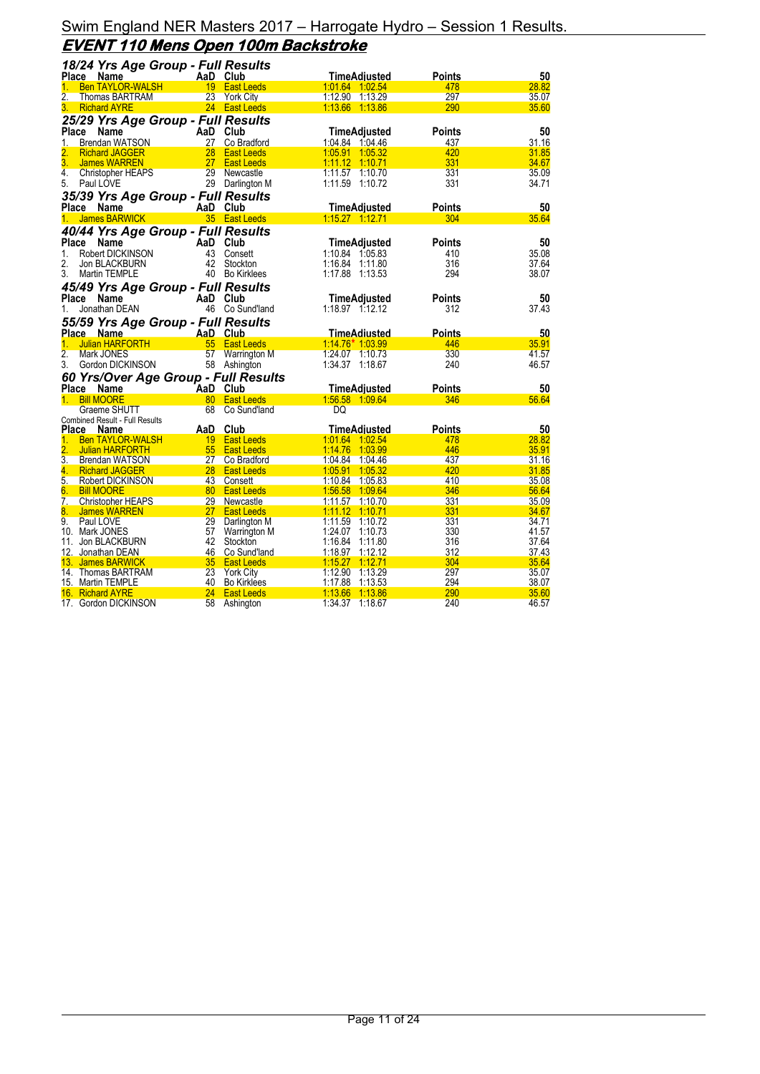|                  | 18/24 Yrs Age Group - Full Results                 |                 |                    |                                 |               |             |
|------------------|----------------------------------------------------|-----------------|--------------------|---------------------------------|---------------|-------------|
|                  | Place Name                                         |                 | AaD Club           | <b>TimeAdjusted</b>             | <b>Points</b> | 50          |
| 1.               | <b>Ben TAYLOR-WALSH</b>                            |                 | 19 East Leeds      | 1.01.64 1.02.54                 | 478           | 28.82       |
| 2.               | <b>Thomas BARTRAM</b>                              |                 | 23 York City       | 1:12.90  1:13.29                | 297           | 35.07       |
| 3.               | <b>Richard AYRE</b>                                |                 | 24 East Leeds      | 1:13.66 1:13.86                 | 290           | 35.60       |
|                  | 25/29 Yrs Age Group - Full Results                 |                 |                    |                                 |               |             |
| <b>Place</b>     | <b>Name</b>                                        |                 | AaD Club           | <b>TimeAdjusted</b>             | <b>Points</b> | 50          |
| 1.               | <b>Brendan WATSON</b>                              |                 | 27 Co Bradford     | 1:04.84 1:04.46                 | 437           | 31.16       |
| 2.               | <b>Richard JAGGER</b>                              | 28              | <b>East Leeds</b>  | 1:05.91 1:05.32                 | 420           | 31.85       |
| 3.               | James WARREN                                       | 27              | <b>East Leeds</b>  |                                 | 331           | 34.67       |
| 4.               | Christopher HEAPS                                  | 29              | Newcastle          | 1:11.57 1:10.70                 | 331           | 35.09       |
| 5.               | Paul LOVE                                          |                 | 29 Darlington M    | 1:11.59 1:10.72                 | 331           | 34.71       |
|                  |                                                    |                 |                    |                                 |               |             |
|                  | 35/39 Yrs Age Group - Full Results<br>Place Name   |                 | AaD Club           | <b>TimeAdjusted</b>             | <b>Points</b> | 50          |
|                  |                                                    |                 |                    |                                 | 304           | 35.64       |
| 1.               | <b>James BARWICK</b>                               |                 | 35 East Leeds      |                                 |               |             |
|                  | 40/44 Yrs Age Group - Full Results                 |                 |                    |                                 |               |             |
| Place            | <b>Name</b>                                        |                 | AaD Club           | <b>TimeAdjusted</b>             | <b>Points</b> | 50          |
| 1.               | Robert DICKINSON                                   | 43              | Consett            | 1:10.84 1:05.83                 | 410           | 35.08       |
| 2.               | Jon BLACKBURN                                      |                 | 42 Stockton        | 1:16.84<br>1:11.80              | 316           | 37.64       |
| 3.               | Martin TEMPLE                                      |                 | 40 Bo Kirklees     | 1:17.88 1:13.53                 | 294           | 38.07       |
|                  | 45/49 Yrs Age Group - Full Results                 |                 |                    |                                 |               |             |
| Place            | Name                                               |                 | AaD Club           | <b>TimeAdjusted</b>             | <b>Points</b> | 50          |
| 1.               | Jonathan DEAN                                      |                 | 46 Co Sund'land    |                                 | 312           | 37.43       |
|                  | 55/59 Yrs Age Group - Full Results                 |                 |                    |                                 |               |             |
|                  | Place Name                                         |                 | AaD Club           | <b>TimeAdiusted</b>             | <b>Points</b> | 50          |
| 1.               | <b>Julian HARFORTH</b>                             | 55              | <b>East Leeds</b>  | $1:14.76*1.03.99$               | 446           | 35.91       |
| $\overline{2}$ . | Mark JONES                                         | 57              | Warrington M       | 1:24.07 1:10.73                 | 330           | 41.57       |
| 3.               | Gordon DICKINSON                                   |                 | 58 Ashington       | 1:34.37 1:18.67                 | 240           | 46.57       |
|                  |                                                    |                 |                    |                                 |               |             |
|                  | 60 Yrs/Over Age Group - Full Results<br>Place Name |                 | AaD Club           |                                 | <b>Points</b> |             |
| $1_{-}$          | <b>Bill MOORE</b>                                  |                 | 80 East Leeds      | TimeAdjusted<br>1:56.58 1:09.64 | 346           | 50<br>56.64 |
|                  | Graeme SHUTT                                       | 68              | Co Sund'land       | DQ                              |               |             |
|                  | Combined Result - Full Results                     |                 |                    |                                 |               |             |
| <b>Place</b>     | Name                                               | AaD             | Club               | <b>TimeAdjusted</b>             | <b>Points</b> | 50          |
| 1.               | <b>Ben TAYLOR-WALSH</b>                            |                 | 19 East Leeds      | 1:01.64 1:02.54                 | 478           | 28.82       |
| $\overline{2}$ . | <b>Julian HARFORTH</b>                             |                 | 55 East Leeds      | 1:14.76 1:03.99                 | 446           | 35.91       |
| 3.               | Brendan WATSON                                     |                 | 27 Co Bradford     | 1:04.84 1:04.46                 | 437           | 31.16       |
| 4.               | <b>Richard JAGGER</b>                              |                 | 28 East Leeds      | 1:05.91 1:05.32                 | 420           | 31.85       |
| 5.               | <b>Robert DICKINSON</b>                            |                 | 43 Consett         | 1:10.84 1:05.83                 | 410           | 35.08       |
| 6.               | <b>Bill MOORE</b>                                  |                 | 80 East Leeds      | 1:56.58 1:09.64                 | 346           | 56.64       |
| 7.               | <b>Christopher HEAPS</b>                           |                 | 29 Newcastle       | 1:11.57 1:10.70                 | 331           | 35.09       |
| 8.               | <b>James WARREN</b>                                | 27 <sub>2</sub> | <b>East Leeds</b>  |                                 | 331           | 34.67       |
| 9.               | Paul LOVE                                          | 29              | Darlington M       | 1:11.59 1:10.72                 | 331           | 34.71       |
|                  | 10. Mark JONES                                     | 57              | Warrington M       | 1:24.07 1:10.73                 | 330           | 41.57       |
| 11.              | Jon BLACKBURN                                      | 42              | Stockton           | 1:16.84<br>1:11.80              | 316           | 37.64       |
| 12.              | Jonathan DEAN                                      |                 | 46 Co Sund'land    | 1:18.97 1:12.12                 | 312           | 37.43       |
| 13.              | <b>James BARWICK</b>                               | 35 <sup>2</sup> | <b>East Leeds</b>  | $1:15.27$ 1:12.71               | 304           | 35.64       |
|                  | 14. Thomas BARTRAM                                 | 23              | <b>York City</b>   | 1:12.90<br>1:13.29              | 297           | 35.07       |
|                  | 15. Martin TEMPLE                                  | 40              | <b>Bo Kirklees</b> | 1:17.88<br>1:13.53              | 294           | 38.07       |
|                  | 16. Richard AYRE                                   | 24              | <b>East Leeds</b>  | 1:13.66<br>1:13.86              | 290           | 35.60       |
|                  | 17. Gordon DICKINSON                               | 58              | Ashington          | 1:34.37 1:18.67                 | 240           | 46.57       |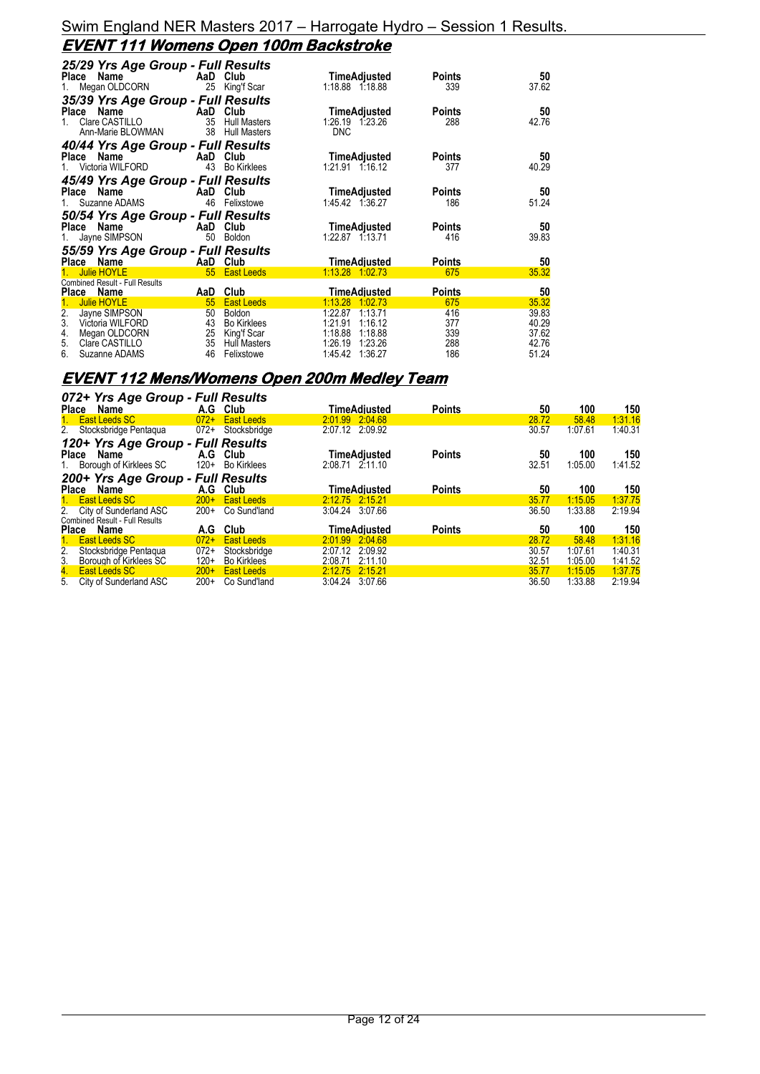## **EVENT 111 Womens Open 100m Backstroke**

| 25/29 Yrs Age Group - Full Results         |                           |                             |                                         |               |                |
|--------------------------------------------|---------------------------|-----------------------------|-----------------------------------------|---------------|----------------|
| <b>Example 2</b> AaD Club<br>Place Name    |                           |                             | TimeAdjusted                            | Points        | 50             |
| Megan OLDCORN<br>1.                        |                           | 25 King'f Scar              | 1:18.88 1:18.88                         | 339           | 37.62          |
| 35/39 Yrs Age Group - Full Results         |                           |                             |                                         |               |                |
| Name<br><b>Example 2</b> AaD Club<br>Place |                           |                             | TimeAdjusted                            | Points        | 50             |
| Clare CASTILLO<br>$1 \quad$                | 35                        | <b>Hull Masters</b>         | 1:26.19 1:23.26                         | 288           | 42.76          |
| Ann-Marie BLOWMAN                          | 38                        | <b>Hull Masters</b>         | <b>DNC</b>                              |               |                |
| 40/44 Yrs Age Group - Full Results         |                           |                             |                                         |               |                |
| Place Name                                 | AaD Club                  |                             | TimeAdjusted                            | Points        | 50             |
| Victoria WILFORD                           |                           | 43 Bo Kirklees              | 1:21.91 1:16.12                         | 377           | 40.29          |
| 45/49 Yrs Age Group - Full Results         |                           |                             |                                         |               |                |
| Place Name                                 | <b>Example 2</b> AaD Club |                             | TimeAdjusted                            | Points        | 50             |
| Suzanne ADAMS                              | 46                        | Felixstowe                  | 1:45.42 1:36.27                         | 186           | 51.24          |
| 50/54 Yrs Age Group - Full Results         |                           |                             |                                         |               |                |
| Place Name                                 |                           | AaD Club                    | TimeAdjusted                            | Points        | 50             |
| Jayne SIMPSON<br>1.                        | 50                        | Boldon                      | 1:22.87 1:13.71                         | 416           | 39.83          |
| 55/59 Yrs Age Group - Full Results         |                           |                             |                                         |               |                |
| Place Name                                 |                           | AaD Club                    | TimeAdjusted                            | Points        | 50             |
| <b>Julie HOYLE</b>                         |                           | 55 East Leeds               | 1:13.28 1:02.73                         | 675           | 35.32          |
| <b>Combined Result - Full Results</b>      |                           |                             |                                         |               |                |
| <b>Place</b><br>Name                       | AaD                       | Club                        | TimeAdjusted                            | <b>Points</b> | 50             |
| <b>Julie HOYLE</b><br>2.                   | 55                        | <b>East Leeds</b><br>Boldon | 1:13.28<br>1.0273<br>1:22.87<br>1:13.71 | 675<br>416    | 35.32<br>39.83 |
| Jayne SIMPSON<br>3.<br>Victoria WILFORD    | 50<br>43                  | <b>Bo Kirklees</b>          | 1:21.91<br>1:16.12                      | 377           | 40.29          |
| Megan OLDCORN<br>4.                        | 25                        | King'f Scar                 | 1:18.88<br>1:18.88                      | 339           | 37.62          |
| 5.<br>Clare CASTILLO                       | 35                        | <b>Hull Masters</b>         | 1:26.19<br>1:23.26                      | 288           | 42.76          |
| 6.<br>Suzanne ADAMS                        | 46                        | Felixstowe                  | 1:45.42<br>1:36.27                      | 186           | 51.24          |

# **EVENT 112 Mens/Womens Open 200m Medley Team**

|                  | 072+ Yrs Age Group - Full Results     |        |                    |                 |              |               |       |         |         |
|------------------|---------------------------------------|--------|--------------------|-----------------|--------------|---------------|-------|---------|---------|
| Place            | Name                                  |        | A.G Club           |                 | TimeAdiusted | <b>Points</b> | 50    | 100     | 150     |
|                  | East Leeds SC                         | $072+$ | <b>East Leeds</b>  | 2:01.99 2:04.68 |              |               | 28.72 | 58.48   | 1:31.16 |
|                  | 2. Stocksbridge Pentaqua 072+         |        | Stocksbridge       | 2:07.12 2:09.92 |              |               | 30.57 | 1:07.61 | 1:40.31 |
|                  | 120+ Yrs Age Group - Full Results     |        |                    |                 |              |               |       |         |         |
| Place            | Name                                  |        | A.G Club           |                 | TimeAdjusted | <b>Points</b> | 50    | 100     | 150     |
|                  | 1. Borough of Kirklees SC             | $120+$ | Bo Kirklees        | 2:08.71 2:11.10 |              |               | 32.51 | 1:05.00 | 1:41.52 |
|                  | 200+ Yrs Age Group - Full Results     |        |                    |                 |              |               |       |         |         |
| Place            | Name                                  | A.G    | Club               |                 | TimeAdiusted | <b>Points</b> | 50    | 100     | 150     |
|                  | 1. East Leeds SC                      | $200+$ | <b>East Leeds</b>  | 2:12.75 2:15.21 |              |               | 35.77 | 1:15.05 | 1:37.75 |
|                  | 2. City of Sunderland ASC             | $200+$ | Co Sund'land       | 3:04.24 3:07.66 |              |               | 36.50 | 1:33.88 | 2:19.94 |
|                  | <b>Combined Result - Full Results</b> |        |                    |                 |              |               |       |         |         |
| Place Name       |                                       | A.G    | Club               |                 | TimeAdiusted | <b>Points</b> | 50    | 100     | 150     |
| 1.               | East Leeds SC                         | $072+$ | <b>East Leeds</b>  | 2:01.99 2:04.68 |              |               | 28.72 | 58.48   | 1:31.16 |
| 2.               | Stocksbridge Pentaqua                 | $072+$ | Stocksbridge       | 2:07.12 2:09.92 |              |               | 30.57 | 1:07.61 | 1:40.31 |
| 3 <sub>1</sub>   | Borough of Kirklees SC                | $120+$ | <b>Bo Kirklees</b> | 2:08.71         | 2:11.10      |               | 32.51 | 1:05.00 | 1:41.52 |
| $\overline{4}$ . | <b>East Leeds SC</b>                  | $200+$ | <b>East Leeds</b>  | 2:12.75         | 2:15.21      |               | 35.77 | 1:15.05 | 1:37.75 |
| 5.               | City of Sunderland ASC                | $200+$ | Co Sund'land       | 3:04.24         | 3:07.66      |               | 36.50 | 1:33.88 | 2:19.94 |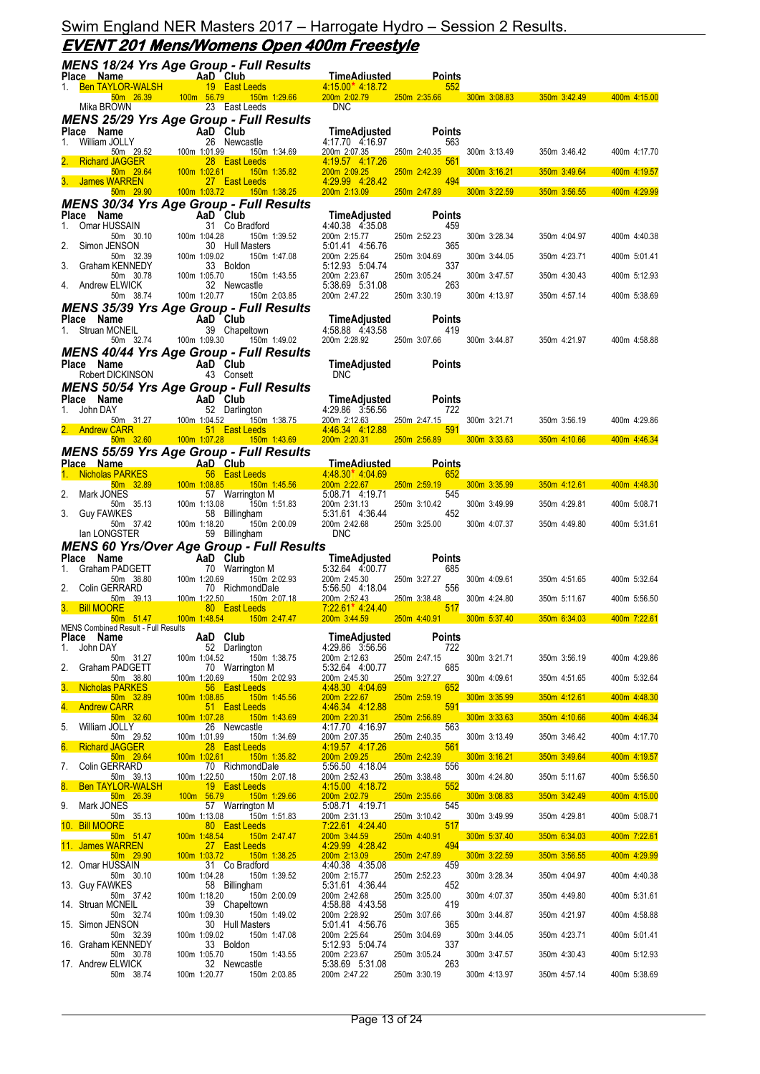# **EVENT 201 Mens/Womens Open 400m Freestyle**

|             |                                                         |           |                           |                 | <b>MENS 18/24 Yrs Age Group - Full Results</b>             |                                           |                      |              |                                                     |              |
|-------------|---------------------------------------------------------|-----------|---------------------------|-----------------|------------------------------------------------------------|-------------------------------------------|----------------------|--------------|-----------------------------------------------------|--------------|
|             | Place Name<br>1. Ben TAYLOR-WALSH                       |           | <b>Example 2</b> AaD Club |                 | 19 East Leeds                                              | <u>TimeAdiusted</u><br>4 15 00* 4 18 72   | <b>Points</b><br>552 |              |                                                     |              |
|             |                                                         | 50m 26.39 |                           |                 | 100m 56.79 150m 1:29.66                                    | 200m 2:02.79                              |                      |              | 250m 2:35.66 300m 3:08.83 350m 3:42.49 400m 4:15.00 |              |
|             | Mika BROWN                                              |           |                           |                 | 23 East Leeds                                              | <b>DNC</b>                                |                      |              |                                                     |              |
|             | Place Name                                              |           |                           |                 | <b>MENS 25/29 Yrs Age Group - Full Results</b><br>AaD Club | TimeAdjusted                              | <b>Points</b>        |              |                                                     |              |
| 1.          | William JOLLY                                           |           |                           |                 | 26 Newcastle                                               | 4:17.70 4:16.97                           | 563                  |              |                                                     |              |
|             | 50m 29.52<br><b>Richard JAGGER</b>                      |           | 100m 1:01.99              |                 | 150m 1:34.69<br>28 East Leeds                              | 200m 2:07.35<br>4:19.57 4:17.26           | 250m 2:40.35<br>561  | 300m 3:13.49 | 350m 3:46.42                                        | 400m 4:17.70 |
|             | 50m 29.64<br>3. James WARREN                            |           | 100m 1:02.61              |                 | 150m 1:35.82<br>27 East Leeds                              | 200m 2:09.25<br>4:29.99 4:28.42           | 250m 2:42.39<br>494  | 300m 3:16.21 | 350m 3:49.64                                        | 400m 4:19.57 |
|             | 50m 29.90                                               |           |                           |                 | 100m 1:03.72   150m 1:38.25                                | 200m 2:13.09                              | 250m 2:47.89         | 300m 3:22.59 | 350m 3:56.55                                        | 400m 4:29.99 |
|             |                                                         |           |                           |                 | <b>MENS 30/34 Yrs Age Group - Full Results</b>             |                                           |                      |              |                                                     |              |
| 1.          | Place Name<br>Omar HUSSAIN                              |           |                           |                 | AaD Club<br>31 Co Bradford                                 | <b>TimeAdjusted</b><br>4:40.38 4:35.08    | <b>Points</b><br>459 |              |                                                     |              |
|             | 50m 30.10                                               |           | 100m 1:04.28              |                 | 150m 1:39.52                                               | 200m 2:15.77                              | 250m 2:52.23         | 300m 3:28.34 | 350m 4:04.97                                        | 400m 4:40.38 |
| 2.          | Simon JENSON<br>50m 32.39                               |           | 100m 1:09.02              |                 | 30 Hull Masters<br>150m 1:47.08                            | 5:01.41 4:56.76<br>200m 2:25.64           | 365<br>250m 3:04.69  | 300m 3:44.05 | 350m 4:23.71                                        | 400m 5:01.41 |
| 3.          | Graham KENNEDY                                          |           |                           |                 | 33 Boldon                                                  | 5:12.93 5:04.74                           | 337                  |              |                                                     |              |
| 4.          | 50m 30.78<br>Andrew ELWICK                              |           | 100m 1:05.70              |                 | 150m 1:43.55<br>32 Newcastle                               | 200m 2:23.67<br>5:38.69 5:31.08           | 250m 3:05.24<br>263  | 300m 3:47.57 | 350m 4:30.43                                        | 400m 5:12.93 |
|             | 50m 38.74                                               |           | 100m 1:20.77              |                 | 150m 2:03.85                                               | 200m 2:47.22                              | 250m 3:30.19         | 300m 4:13.97 | 350m 4:57.14                                        | 400m 5:38.69 |
|             | Place Name                                              |           | AaD Club                  |                 | <b>MENS 35/39 Yrs Age Group - Full Results</b>             | TimeAdjusted                              | <b>Points</b>        |              |                                                     |              |
|             | 1. Struan MCNEIL                                        |           |                           |                 | 39 Chapeltown                                              | 4:58.88 4:43.58                           | 419                  |              |                                                     |              |
|             |                                                         | 50m 32.74 | 100m 1:09.30              |                 | 150m 1:49.02<br>MENS 40/44 Yrs Age Group - Full Results    | 200m 2:28.92                              | 250m 3:07.66         | 300m 3:44.87 | 350m 4:21.97                                        | 400m 4:58.88 |
|             | Place Name                                              |           |                           |                 | AaD Club                                                   | TimeAdjusted                              | <b>Points</b>        |              |                                                     |              |
|             | Robert DICKINSON                                        |           |                           |                 | 43 Consett                                                 | <b>DNC</b>                                |                      |              |                                                     |              |
|             | Place Name                                              |           |                           |                 | <b>MENS 50/54 Yrs Age Group - Full Results</b><br>AaD Club | <b>TimeAdjusted</b>                       | <b>Points</b>        |              |                                                     |              |
|             | 1. John DAY                                             |           |                           |                 | 52 Darlington                                              | 4:29.86 3:56.56                           | 722                  |              |                                                     |              |
|             | 50m 31.27<br>2. Andrew CARR                             |           | 100m 1:04.52              |                 | 150m 1:38.75<br>51 East Leeds                              | 200m 2:12.63<br>4:46.34 4:12.88           | 250m 2:47.15<br>591  | 300m 3:21.71 | 350m 3:56.19                                        | 400m 4:29.86 |
|             | $50m$ $32.60$                                           |           |                           |                 | 100m 1:07.28   150m 1:43.69                                | 200m 2:20.31                              | 250m 2:56.89         | 300m 3:33.63 | 350m 4:10.66                                        | 400m 4:46.34 |
|             |                                                         |           |                           |                 | <b>MENS 55/59 Yrs Age Group - Full Results</b>             |                                           |                      |              |                                                     |              |
|             | Place Name<br>Nicholas PARKES                           |           |                           |                 | AaD Club<br>56 East Leeds                                  | <u>TimeAdiusted</u><br>$4:48.30*$ 4.04.69 | <b>Points</b><br>652 |              |                                                     |              |
|             | 50m 32.89                                               |           | 100m 1:08.85              |                 | 150m 1:45.56                                               | 200m 2:22.67                              | 250m 2:59.19         | 300m 3:35.99 | $350m$ 4:12.61                                      | 400m 4:48.30 |
|             | 2. Mark JONES<br>50m 35.13                              |           | 100m 1:13.08              |                 | 57 Warrington M<br>150m 1:51.83                            | 5:08.71 4:19.71<br>200m 2:31.13           | 545<br>250m 3:10.42  | 300m 3:49.99 | 350m 4:29.81                                        | 400m 5:08.71 |
|             | 3. Guy FAWKES                                           |           |                           |                 | 58 Billingham                                              | 5:31.61 4:36.44                           | 452                  |              |                                                     |              |
|             | 50m 37.42<br>lan LONGSTER                               |           | 100m 1:18.20              |                 | 150m 2:00.09<br>59 Billingham                              | 200m 2:42.68<br><b>DNC</b>                | 250m 3:25.00         | 300m 4:07.37 | 350m 4:49.80                                        | 400m 5:31.61 |
|             |                                                         |           |                           |                 | <b>MENS 60 Yrs/Over Age Group - Full Results</b>           |                                           |                      |              |                                                     |              |
| 1.          | Place Name<br>Graham PADGETT                            |           |                           |                 | AaD Club<br>70 Warrington M                                | TimeAdjusted<br>5:32.64 4:00.77           | <b>Points</b><br>685 |              |                                                     |              |
|             | 50m 38.80                                               |           | 100m 1:20.69              |                 | 150m 2:02.93                                               | 200m 2:45.30                              | 250m 3:27.27         | 300m 4:09.61 | 350m 4:51.65                                        | 400m 5:32.64 |
| 2.          | Colin GERRARD<br>50m 39 13                              |           | $100m$ 1:22.50            |                 | 70 RichmondDale<br>$150m$ 2.07 18                          | 5:56.50 4:18.04<br>200m 2:52 43           | 556<br>250m 3:38.48  | 300m 4:24.80 | 350m 5:11.67                                        | 400m 5:56.50 |
|             | 3. Bill MOORE                                           |           |                           |                 | 80 East Leeds                                              | $7:22.61*$ 4.24.40<br>200m 3:44.59        | 517                  |              |                                                     |              |
|             | 50m 51.47<br><b>MENS Combined Result - Full Results</b> |           | $100m$ 1:48.54            |                 | $150m$ 2:47.47                                             |                                           | 250m 4:40.91         | 300m 5:37.40 | 350m 6:34.03                                        | 400m 7:22.61 |
| Place<br>1. | Name<br>John DAY                                        |           |                           |                 | AaD Club<br>52 Darlington                                  | TimeAdjusted<br>4:29.86 3:56.56           | Points<br>722        |              |                                                     |              |
|             | 50m 31.27                                               |           | 100m 1:04.52              |                 | 150m 1:38.75                                               | 200m 2:12.63                              | 250m 2:47.15         | 300m 3:21.71 | 350m 3:56.19                                        | 400m 4:29.86 |
| 2.          | Graham PADGETT<br>50m 38.80                             |           | 100m 1:20.69              |                 | 70 Warrington M<br>150m 2:02.93                            | 5:32.64 4:00.77<br>200m 2:45.30           | 685<br>250m 3:27.27  | 300m 4:09.61 | 350m 4:51.65                                        | 400m 5:32.64 |
| 3.          | Nicholas PARKES                                         |           |                           |                 | 56 East Leeds                                              | 4:48.30 4:04.69                           | 652                  |              |                                                     |              |
| 4.          | 50m 32.89<br><b>Andrew CARR</b>                         |           | 100m 1:08.85              | 51              | 150m 1:45.56<br><b>East Leeds</b>                          | 200m 2:22.67<br>4:46.34 4:12.88           | 250m 2:59.19<br>591  | 300m 3:35.99 | $350m$ 4:12.61                                      | 400m 4:48.30 |
| 5.          | $50m$ $32.60$<br>William JOLLY                          |           | 100m 1:07.28              | 26              | 150m 1:43.69                                               | 200m 2:20.31                              | 250m 2:56.89<br>563  | 300m 3:33.63 | 350m 4:10.66                                        | 400m 4:46.34 |
|             | 50m 29.52                                               |           | 100m 1:01.99              |                 | Newcastle<br>150m 1:34.69                                  | 200m 2:07.35                              | 250m 2:40.35         | 300m 3:13.49 | 350m 3:46.42                                        | 400m 4:17.70 |
| 6.          | <b>Richard JAGGER</b><br>50m 29.64                      |           | 100m 1:02.61              |                 | 28 East Leeds<br>150m 1:35.82                              | 4:19.57 4:17.26<br>200m 2:09.25           | 561<br>250m 2:42.39  | 300m 3:16.21 | 350m 3:49.64                                        | 400m 4:19.57 |
| 7.          | Colin GERRARD                                           |           |                           |                 | 70 RichmondDale                                            | 5:56.50 4:18.04                           | 556                  |              |                                                     |              |
| 8.          | 50m 39.13<br><b>Ben TAYLOR-WALSH</b>                    |           | 100m 1:22.50              |                 | <u>150m 2:07.18</u><br>19 East Leeds                       | 200m 2:52.43<br>4:15.00 4:18.72           | 250m 3:38.48<br>552  | 300m 4:24.80 | 350m 5:11.67                                        | 400m 5:56.50 |
|             | 50m 26.39                                               |           | 100m 56.79                |                 | 150m 1:29.66                                               | 200m 2:02.79                              | 250m 2:35.66         | 300m 3:08.83 | 350m 3:42.49                                        | 400m 4:15.00 |
| 9.          | Mark JONES<br>50m 35.13                                 |           | 100m 1:13.08              |                 | 57 Warrington M<br><u>150m 1:51.83</u>                     | 5:08.71 4:19.71<br>200m 2:31.13           | 545<br>250m 3:10.42  | 300m 3:49.99 | 350m 4:29.81                                        | 400m 5:08.71 |
|             | 10. Bill MOORE                                          |           |                           | 80 <sub>1</sub> | <b>East Leeds</b>                                          | 7:22.61 4:24.40                           | 517                  |              |                                                     |              |
| 11.         | 50m 51.47<br>James WARREN                               |           | 100m 1:48.54              |                 | 150m 2:47.47<br>27 East Leeds                              | 200m 3:44.59<br>4:29.99 4:28.42           | 250m 4:40.91<br>494  | 300m 5:37.40 | 350m 6:34.03                                        | 400m 7:22.61 |
|             | 50m 29.90<br>12. Omar HUSSAIN                           |           | 100m 1:03.72              |                 | 150m 1:38.25<br>31 Co Bradford                             | 200m 2:13.09<br>4:40.38 4:35.08           | 250m 2:47.89<br>459  | 300m 3:22.59 | 350m 3:56.55                                        | 400m 4:29.99 |
|             | 50m 30.10                                               |           | 100m 1:04.28              |                 | 150m 1:39.52                                               | 200m 2:15.77                              | 250m 2:52.23         | 300m 3:28.34 | 350m 4:04.97                                        | 400m 4:40.38 |
|             | 13. Guy FAWKES<br>50m 37.42                             |           | 100m 1:18.20              |                 | 58 Billingham<br>150m 2:00.09                              | 5:31.61 4:36.44<br>200m 2:42.68           | 452<br>250m 3:25.00  | 300m 4:07.37 | 350m 4:49.80                                        | 400m 5:31.61 |
|             | 14. Struan MCNEIL                                       |           |                           |                 | 39 Chapeltown                                              | 4:58.88 4:43.58                           | 419                  |              |                                                     |              |
|             | 50m 32.74<br>15. Simon JENSON                           |           | 100m 1:09.30              |                 | 150m 1:49.02<br>30 Hull Masters                            | 200m 2:28.92<br>5:01.41 4:56.76           | 250m 3:07.66<br>365  | 300m 3:44.87 | 350m 4:21.97                                        | 400m 4:58.88 |
|             | 50m 32.39                                               |           | 100m 1:09.02              |                 | 150m 1:47.08                                               | 200m 2:25.64                              | 250m 3:04.69         | 300m 3:44.05 | 350m 4:23.71                                        | 400m 5:01.41 |
|             | 16. Graham KENNEDY<br>50m 30.78                         |           | 100m 1:05.70              |                 | 33 Boldon<br>150m 1:43.55                                  | 5:12.93    5:04.74<br>200m 2:23.67        | 337<br>250m 3:05.24  | 300m 3:47.57 | 350m 4:30.43                                        | 400m 5:12.93 |
|             | 17. Andrew ELWICK<br>50m 38.74                          |           | 100m 1:20.77              |                 | 32 Newcastle<br>150m 2:03.85                               | 5:38.69 5:31.08<br>200m 2:47.22           | 263<br>250m 3:30.19  | 300m 4:13.97 | 350m 4:57.14                                        | 400m 5:38.69 |
|             |                                                         |           |                           |                 |                                                            |                                           |                      |              |                                                     |              |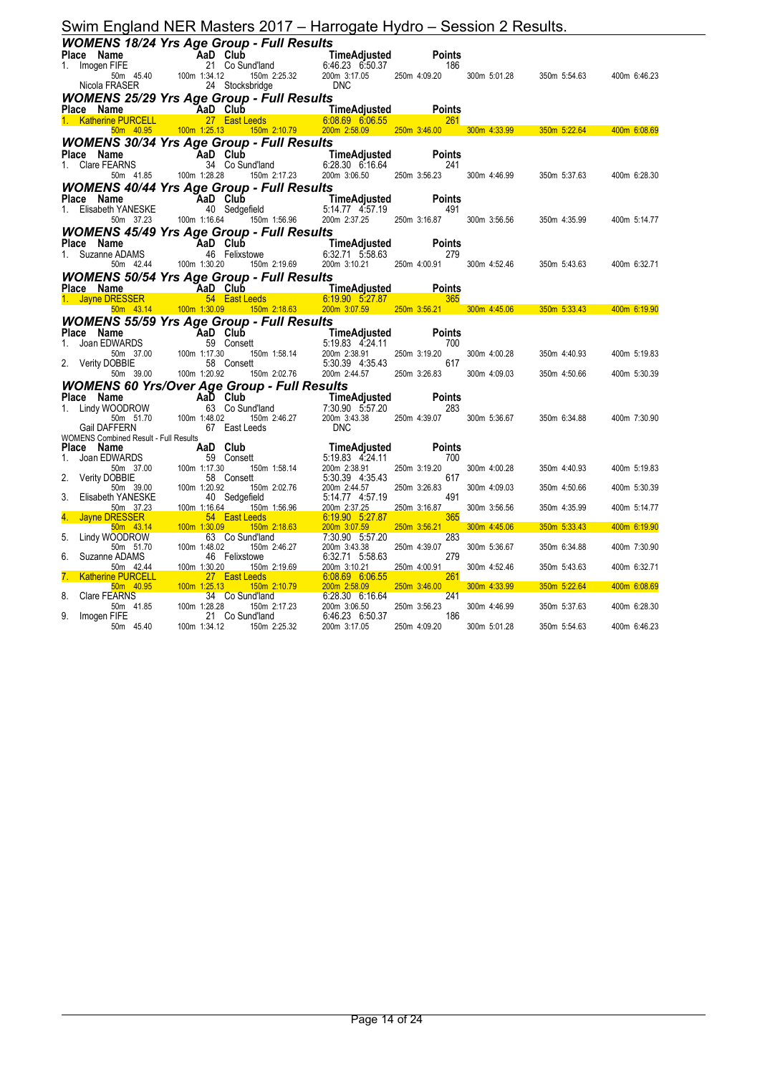|                                                                                                                                                                                                                                |                                                                                                                                                                                                                                                                                                                               | Swim England NER Masters 2017 – Harrogate Hydro – Session 2 Results. |              |              |              |
|--------------------------------------------------------------------------------------------------------------------------------------------------------------------------------------------------------------------------------|-------------------------------------------------------------------------------------------------------------------------------------------------------------------------------------------------------------------------------------------------------------------------------------------------------------------------------|----------------------------------------------------------------------|--------------|--------------|--------------|
| <b>WOMENS 18/24 Yrs Age Group - Full Results</b>                                                                                                                                                                               |                                                                                                                                                                                                                                                                                                                               |                                                                      |              |              |              |
|                                                                                                                                                                                                                                |                                                                                                                                                                                                                                                                                                                               |                                                                      |              |              |              |
|                                                                                                                                                                                                                                |                                                                                                                                                                                                                                                                                                                               |                                                                      |              |              |              |
|                                                                                                                                                                                                                                | Place Name<br>1. Imogen FIFE 21 Co Sund'land<br>50m 45.40 100m 1:34.12 150m 2:25.32 200m 3:17.05 250m 4:09.20 300m 5:01.28 350m 5:54.63 400m 6:46.23<br>Nicola FRASER 24 Stocksbridge DNC<br>250m 3:01.28 350m 5:54.63 400m 6:46.23                                                                                           |                                                                      |              |              |              |
| <b>WOMENS 25/29 Yrs Age Group - Full Results</b>                                                                                                                                                                               |                                                                                                                                                                                                                                                                                                                               |                                                                      |              |              |              |
|                                                                                                                                                                                                                                |                                                                                                                                                                                                                                                                                                                               |                                                                      |              |              |              |
|                                                                                                                                                                                                                                |                                                                                                                                                                                                                                                                                                                               |                                                                      |              |              |              |
|                                                                                                                                                                                                                                | Place Name<br>1. Katherine PURCELL 27 East Leeds 6:08.69 6:06.55<br>1. Katherine PURCELL 27 East Leeds 6:08.69 6:06.55 261<br>50m 40.95 100m 1:25.13 150m 2:10.79 200m 2:58.09 250m 3:46.00 300m 4:33.99 350m 5:22.64 400m 6:08.69                                                                                            |                                                                      |              |              |              |
| <b>WOMENS 30/34 Yrs Age Group - Full Results</b>                                                                                                                                                                               |                                                                                                                                                                                                                                                                                                                               |                                                                      |              |              |              |
|                                                                                                                                                                                                                                |                                                                                                                                                                                                                                                                                                                               |                                                                      |              |              |              |
|                                                                                                                                                                                                                                | Place Name AaD Club<br>1. Clare FEARNS 34 Co Sund'land 6:28.30 6:16.64 241<br>50m 41.85 100m 1:28.28 150m 2:17.23 200m 3:06.50 250m 3:56.23 300m 4:46.99                                                                                                                                                                      |                                                                      |              | 350m 5:37.63 | 400m 6:28.30 |
| <b>WOMENS 40/44 Yrs Age Group - Full Results</b>                                                                                                                                                                               |                                                                                                                                                                                                                                                                                                                               |                                                                      |              |              |              |
|                                                                                                                                                                                                                                | Place Name AaD Club<br>1. Elisabeth YANESKE 40 Sedgefield 5:14.77 4:57.19 491<br>50m 37.23 100m 1:16.64 150m 1:56.96 200m 2:37.25 250m 3:16.87 300m 3:56.56                                                                                                                                                                   |                                                                      |              |              |              |
|                                                                                                                                                                                                                                |                                                                                                                                                                                                                                                                                                                               |                                                                      |              |              |              |
|                                                                                                                                                                                                                                |                                                                                                                                                                                                                                                                                                                               |                                                                      |              | 350m 4:35.99 | 400m 5:14.77 |
| <b>WOMENS 45/49 Yrs Age Group - Full Results</b>                                                                                                                                                                               |                                                                                                                                                                                                                                                                                                                               |                                                                      |              |              |              |
|                                                                                                                                                                                                                                |                                                                                                                                                                                                                                                                                                                               |                                                                      |              |              |              |
|                                                                                                                                                                                                                                | Place Name<br>1. Suzanne ADAMS 46 Felixstowe 6:32.71 5:58.63 279<br>50m 42.44 100m 1:30.20 150m 2:19.69 200m 3:10.21 250m 4:00.91 300m 4:52.46 350m 5:43.63 400m 6:32.71                                                                                                                                                      |                                                                      |              |              |              |
| <b>WOMENS 50/54 Yrs Age Group - Full Results</b>                                                                                                                                                                               |                                                                                                                                                                                                                                                                                                                               |                                                                      |              |              |              |
|                                                                                                                                                                                                                                |                                                                                                                                                                                                                                                                                                                               |                                                                      |              |              |              |
|                                                                                                                                                                                                                                | Place Name<br>Place Name Time Adjusted Points<br>1. Jayne DRESSER 54 East Leeds 6:19.90 5:27.87<br>50m 43.14 100m 1:30.09 150m 2:18.63 200m 3:07.59 250m 3:56.21 300m 4:45.06 350m 5:33.43 400m 6:19.90                                                                                                                       |                                                                      |              |              |              |
| <b>WOMENS 55/59 Yrs Age Group - Full Results</b>                                                                                                                                                                               |                                                                                                                                                                                                                                                                                                                               |                                                                      |              |              |              |
|                                                                                                                                                                                                                                | Place Name Now Apple 1 and Club<br>1. Joan EDWARDS<br>1. Joan EDWARDS<br>59 Consett<br>50m 37.00 100m 1:17.30 150m 1:58.14 200m 2:38.91 250m 3:19.20<br>2. Verity DOBBIE 58 Consett<br>5.30.39 4:35.43 617<br>12.02.76 200m 2:02.76 200m 2:4                                                                                  |                                                                      |              |              |              |
|                                                                                                                                                                                                                                |                                                                                                                                                                                                                                                                                                                               |                                                                      | 300m 4:00.28 |              |              |
|                                                                                                                                                                                                                                |                                                                                                                                                                                                                                                                                                                               |                                                                      |              | 350m 4:40.93 | 400m 5:19.83 |
|                                                                                                                                                                                                                                |                                                                                                                                                                                                                                                                                                                               |                                                                      | 300m 4:09.03 | 350m 4:50.66 | 400m 5:30.39 |
| <b>WOMENS 60 Yrs/Over Age Group - Full Results</b>                                                                                                                                                                             |                                                                                                                                                                                                                                                                                                                               |                                                                      |              |              |              |
|                                                                                                                                                                                                                                |                                                                                                                                                                                                                                                                                                                               |                                                                      |              |              |              |
|                                                                                                                                                                                                                                |                                                                                                                                                                                                                                                                                                                               |                                                                      |              |              |              |
|                                                                                                                                                                                                                                |                                                                                                                                                                                                                                                                                                                               |                                                                      |              |              | 400m 7:30.90 |
|                                                                                                                                                                                                                                |                                                                                                                                                                                                                                                                                                                               |                                                                      |              | 350m 6:34.88 |              |
| Place Name Name Aarb Club 1.48.02 150 Club 1.48.02 1.50 Club 1.48.02 1.50 Club 1.48.02 1.50 Club 1.48.02 1.50 Club 1.48.02 1.50 Club 1.48.02 1.50 Club 1.48.02 1.50 Club 1.48.02 1.50 Club 1.48.02 1.50 Club 1.48.02 1.50 Club |                                                                                                                                                                                                                                                                                                                               |                                                                      |              |              |              |
|                                                                                                                                                                                                                                |                                                                                                                                                                                                                                                                                                                               |                                                                      |              |              |              |
|                                                                                                                                                                                                                                |                                                                                                                                                                                                                                                                                                                               |                                                                      | 300m 4:00.28 | 350m 4:40.93 | 400m 5:19.83 |
|                                                                                                                                                                                                                                |                                                                                                                                                                                                                                                                                                                               |                                                                      |              |              |              |
|                                                                                                                                                                                                                                |                                                                                                                                                                                                                                                                                                                               |                                                                      | 300m 4:09.03 | 350m 4:50.66 | 400m 5:30.39 |
|                                                                                                                                                                                                                                |                                                                                                                                                                                                                                                                                                                               |                                                                      | 300m 3:56.56 | 350m 4:35.99 | 400m 5:14.77 |
|                                                                                                                                                                                                                                | VOMENS Combined Result - Full Results<br>1. Joan EDWARDS<br>1. Joan EDWARDS<br>1. Joan EDWARDS<br>2. Verity DOBBIE<br>5.9 Consett<br>5.19.83 4:24.11<br>2. Verity DOBBIE<br>5.9 Consett<br>5.19.83 4:24.11<br>2. 200m 2:43.543<br>2. Verity DOBBIE<br>                                                                        |                                                                      |              |              |              |
|                                                                                                                                                                                                                                |                                                                                                                                                                                                                                                                                                                               |                                                                      | 300m 4:45.06 | 350m 5:33.43 | 400m 6:19.90 |
|                                                                                                                                                                                                                                |                                                                                                                                                                                                                                                                                                                               |                                                                      | 300m 5:36.67 | 350m 6:34.88 | 400m 7:30.90 |
|                                                                                                                                                                                                                                |                                                                                                                                                                                                                                                                                                                               |                                                                      |              |              |              |
|                                                                                                                                                                                                                                |                                                                                                                                                                                                                                                                                                                               |                                                                      | 300m 4:52.46 | 350m 5:43.63 | 400m 6:32.71 |
|                                                                                                                                                                                                                                |                                                                                                                                                                                                                                                                                                                               |                                                                      | 300m 4:33.99 | 350m 5:22.64 | 400m 6:08.69 |
|                                                                                                                                                                                                                                |                                                                                                                                                                                                                                                                                                                               |                                                                      | 300m 4:46.99 | 350m 5:37.63 | 400m 6:28.30 |
|                                                                                                                                                                                                                                | $\begin{tabular}{l cccccc} 50m & 37.23 & 100m & 1:16.64 & 150m & 1:56.96 & 200m & 2:37.25 & 250m & 3:16.87\\ \hline 4. & Jayne DRESSER & 54 & East Leeds & 6.20m & 3:07.87 & 365\\ \hline 5. & Lindy WOODROW & 13.09 & 150m & 2:18.63 & 200m & 3:07.59 & 250m & 3:56.21\\ \hline 5. & Lindy WOODROW & 63 & Co Sund'land & 7:$ |                                                                      | 300m 5:01.28 | 350m 5:54.63 | 400m 6:46.23 |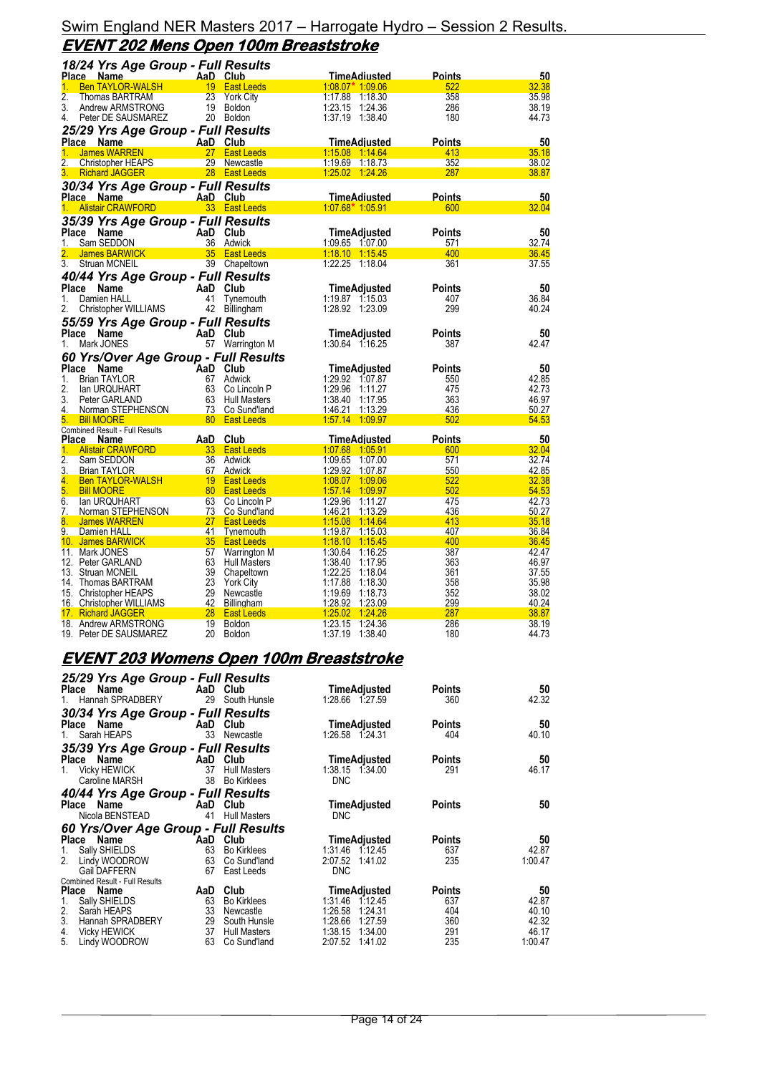# Swim England NER Masters 2017 – Harrogate Hydro – Session 2 Results. **EVENT 202 Mens Open 100m Breaststroke**

| 18/24 Yrs Age Group - Full Results                               |                                                   |                    |                                    |               |                |
|------------------------------------------------------------------|---------------------------------------------------|--------------------|------------------------------------|---------------|----------------|
| Place Name                                                       | AaD Club                                          |                    | <u>TimeAdiusted</u>                | <b>Points</b> | 50             |
| <b>Ben TAYLOR-WALSH</b><br>1.                                    | 19<br><b>East Leeds</b>                           |                    | $1.08.07*$ 1.09.06                 | 522           | 32.38          |
| $\overline{2}$ .<br>Thomas BARTRAM                               | 23<br><b>York City</b>                            |                    | 1:17.88 1:18.30                    | 358           | 35.98          |
| 3.<br>Andrew ARMSTRONG                                           | 19 Boldon                                         |                    | 1:23.15 1:24.36                    | 286           | 38.19          |
| 4.<br>Peter DE SAUSMAREZ                                         | 20 Boldon                                         |                    | 1:37.19 1:38.40                    | 180           | 44.73          |
| 25/29 Yrs Age Group - Full Results                               |                                                   |                    |                                    |               |                |
| Place Name                                                       | AaD Club                                          |                    | TimeAdjusted                       | <b>Points</b> | 50             |
| James WARREN<br>1.                                               | 27 East Leeds                                     |                    | 1.15.08 1.14.64                    | 413           | 35.18          |
| 2.<br>Christopher HEAPS                                          | 29 Newcastle                                      |                    | 1:19.69 1:18.73                    | 352           | 38.02          |
| <b>Richard JAGGER</b><br>3.                                      | 28 East Leeds                                     |                    | 1.25.02 1.24.26                    | 287           | 38.87          |
| 30/34 Yrs Age Group - Full Results                               |                                                   |                    |                                    |               |                |
| <u>Place Name</u>                                                | AaD Club                                          |                    | <b>TimeAdiusted</b>                | Points        | 50             |
| <b>Alistair CRAWFORD</b>                                         | 33 East Leeds                                     |                    | $1:07.68*1.05.91$                  | 600           | 32.04          |
| 35/39 Yrs Age Group - Full Results                               |                                                   |                    |                                    |               |                |
| Place<br>Name                                                    | AaD Club                                          |                    | TimeAdjusted                       | <b>Points</b> | 50             |
| 1.<br>Sam SEDDON                                                 | 36 Adwick                                         |                    | 1:09.65 1:07.00                    | 571           | 32.74          |
| <b>James BARWICK</b>                                             | 35 East Leeds                                     |                    | 1:18.10 1:15.45                    | 400           | 36.45          |
| 3.<br>Struan MCNEIL                                              | 39 Chapeltown                                     |                    | 1:22.25 1:18.04                    | 361           | 37.55          |
| 40/44 Yrs Age Group - Full Results                               |                                                   |                    |                                    |               |                |
| Place Name                                                       | AaD Club                                          |                    | TimeAdjusted                       | <b>Points</b> | 50             |
| 1.<br>Damien HALL                                                | 41 Tynemouth                                      |                    | $1:19.87$ 1:15.03                  | 407           | 36.84          |
| Christopher WILLIAMS<br>2.                                       | 42<br>Billingham                                  |                    | 1:28.92 1:23.09                    | 299           | 40.24          |
| 55/59 Yrs Age Group - Full Results                               |                                                   |                    |                                    |               |                |
| Place<br>Name                                                    | AaD Club                                          |                    | TimeAdjusted                       | <b>Points</b> | 50             |
| 1.<br>Mark JONES                                                 | 57 Warrington M                                   |                    | 1:30.64 1:16.25                    | 387           | 42.47          |
| 60 Yrs/Over Age Group - Full Results                             |                                                   |                    |                                    |               |                |
| Place<br>Name                                                    | AaD Club                                          |                    | <b>TimeAdjusted</b>                | <b>Points</b> | 50             |
| 1.<br><b>Brian TAYLOR</b>                                        | 67<br>Adwick                                      |                    | 1:29.92 1:07.87                    | 550           | 42.85          |
| 2.<br>lan URQUHART                                               | 63                                                | Co Lincoln P       | 1:29.96 1:11.27                    | 475           | 42.73          |
| 3.<br>Peter GARLAND                                              | 63 Hull Masters                                   |                    | 1:38.40 1:17.95                    | 363           | 46.97          |
| Norman STEPHENSON<br>4.                                          | 73                                                | Co Sund'land       | 1:46.21 1:13.29                    | 436           | 50.27          |
| 5.<br><b>Bill MOORE</b>                                          | 80 <sup>°</sup><br><b>East Leeds</b>              |                    | 1:57.14 1:09.97                    | 502           | 54.53          |
| <b>Combined Result - Full Results</b>                            |                                                   |                    |                                    |               |                |
| <b>Place Name</b>                                                | Club<br><u>AaD - </u>                             |                    | <u>TimeAdiusted</u>                | <b>Points</b> | 50             |
| <b>Alistair CRAWFORD</b><br>1.<br>$\overline{2}$ .<br>Sam SEDDON | 33 <sup>2</sup><br><b>East Leeds</b><br>36 Adwick |                    | 1:07.68 1:05.91<br>1:09.65 1:07.00 | 600<br>571    | 32.04<br>32.74 |
| 3.<br><b>Brian TAYLOR</b>                                        | 67 Adwick                                         |                    | 1:29.92 1:07.87                    | 550           | 42.85          |
| 4.<br><b>Ben TAYLOR-WALSH</b>                                    | 19 East Leeds                                     |                    | 1:08.07 1:09.06                    | 522           | 32.38          |
| 5.<br><b>Bill MOORE</b>                                          | 80 East Leeds                                     |                    | 1:57.14 1:09.97                    | 502           | 54.53          |
| 6.<br>lan URQUHART                                               | 63 Co Lincoln P                                   |                    | 1:29.96 1:11.27                    | 475           | 42.73          |
| 7.<br>Norman STEPHENSON                                          | 73 Co Sund'land                                   |                    | 1:46.21 1:13.29                    | 436           | 50.27          |
| 8.<br><b>James WARREN</b>                                        | 27 <sub>2</sub><br><b>East Leeds</b>              |                    | 1:15.08 1:14.64                    | 413           | 35.18          |
| 9.<br>Damien HALL                                                | 41<br><b>Tynemouth</b>                            |                    | 1:19.87 1:15.03                    | 407           | 36.84          |
| 10. James BARWICK                                                | 35 <sup>°</sup><br><b>East Leeds</b>              |                    | $1:18.10$ 1:15.45                  | 400           | 36.45          |
| 11. Mark JONES                                                   | 57                                                | Warrington M       | 1:30.64 1:16.25                    | 387           | 42.47          |
| 12. Peter GARLAND                                                | 63 Hull Masters                                   |                    | 1:38.40 1:17.95                    | 363           | 46.97          |
| 13. Struan MCNEIL                                                | 39 Chapeltown<br>23                               | 1:22.25<br>1:17.88 | 1:18.04                            | 361<br>358    | 37.55<br>35.98 |
| 14. Thomas BARTRAM<br>15. Christopher HEAPS                      | York City<br>29 Newcastle                         | 1:19.69            | 1:18.30<br>1:18.73                 | 352           | 38.02          |
| 16. Christopher WILLIAMS                                         |                                                   |                    |                                    |               |                |
|                                                                  |                                                   |                    |                                    |               |                |
|                                                                  | 42<br><b>Billingham</b>                           | 1:28.92            | 1:23.09                            | 299           | 40.24          |
| 17. Richard JAGGER<br>18. Andrew ARMSTRONG                       | 28 East Leeds<br>19<br>Boldon                     | 1:25.02<br>1:23.15 | 1:24.26<br>1:24.36                 | 287<br>286    | 38.87<br>38.19 |

# **EVENT 203 Womens Open 100m Breaststroke**

| 25/29 Yrs Age Group - Full Results<br>Place Name |          | AaD Club            | TimeAdjusted        | <b>Points</b> | 50      |
|--------------------------------------------------|----------|---------------------|---------------------|---------------|---------|
| 1. Hannah SPRADBERY                              |          | 29 South Hunsle     | 1:28.66 1.27.59     | 360           | 42.32   |
| 30/34 Yrs Age Group - Full Results               |          |                     |                     |               |         |
| Place Name<br><b>Example 2</b> AaD Club          |          |                     | TimeAdjusted        | <b>Points</b> | 50      |
| Sarah HEAPS<br>1.                                | 33       | Newcastle           | 1:26.58 1:24.31     | 404           | 40.10   |
| 35/39 Yrs Age Group - Full Results               |          |                     |                     |               |         |
| Place Name                                       | AaD Club |                     | <b>TimeAdjusted</b> | <b>Points</b> | 50      |
| 1. Vicky HEWICK                                  | 37       | <b>Hull Masters</b> | 1:38.15 1:34.00     | 291           | 46.17   |
| Caroline MARSH                                   | 38       | <b>Bo Kirklees</b>  | <b>DNC</b>          |               |         |
| 40/44 Yrs Age Group - Full Results               |          |                     |                     |               |         |
| Place Name                                       | AaD Club |                     | TimeAdjusted        | <b>Points</b> | 50      |
| Nicola BENSTEAD                                  | 41       | <b>Hull Masters</b> | <b>DNC</b>          |               |         |
| 60 Yrs/Over Age Group - Full Results             |          |                     |                     |               |         |
| Place Name                                       |          | AaD Club            | TimeAdjusted        | Points        | 50      |
| Sally SHIELDS<br>1.                              |          | 63 Bo Kirklees      | 1:31.46 1:12.45     | 637           | 42.87   |
| 2. Lindy WOODROW                                 |          | 63 Co Sund'land     | 2:07.52 1:41.02     | 235           | 1:00.47 |
| Gail DAFFERN<br>Combined Result - Full Results   | 67       | East Leeds          | <b>DNC</b>          |               |         |
| Place Name                                       | AaD      | Club                | TimeAdjusted        | Points        | 50      |
| Sally SHIELDS<br>1.                              | 63       | <b>Bo Kirklees</b>  | 1:31.46 1:12.45     | 637           | 42.87   |
| 2. Saráh HEAPS<br>3. Hannah SPRA                 | 33       | Newcastle           | 1:26.58<br>1:24.31  | 404           | 40.10   |
| Hannah SPRADBERY                                 | 29       | South Hunsle        | 1:28.66<br>1:27.59  | 360           | 42.32   |
| 4. Vicky HEWICK<br>5. Lindy WOODRO               | 37       | <b>Hull Masters</b> | 1:38.15<br>1:34.00  | 291           | 46.17   |
| Lindy WOODROW                                    | 63       | Co Sund'land        | 2:07.52 1:41.02     | 235           | 1:00.47 |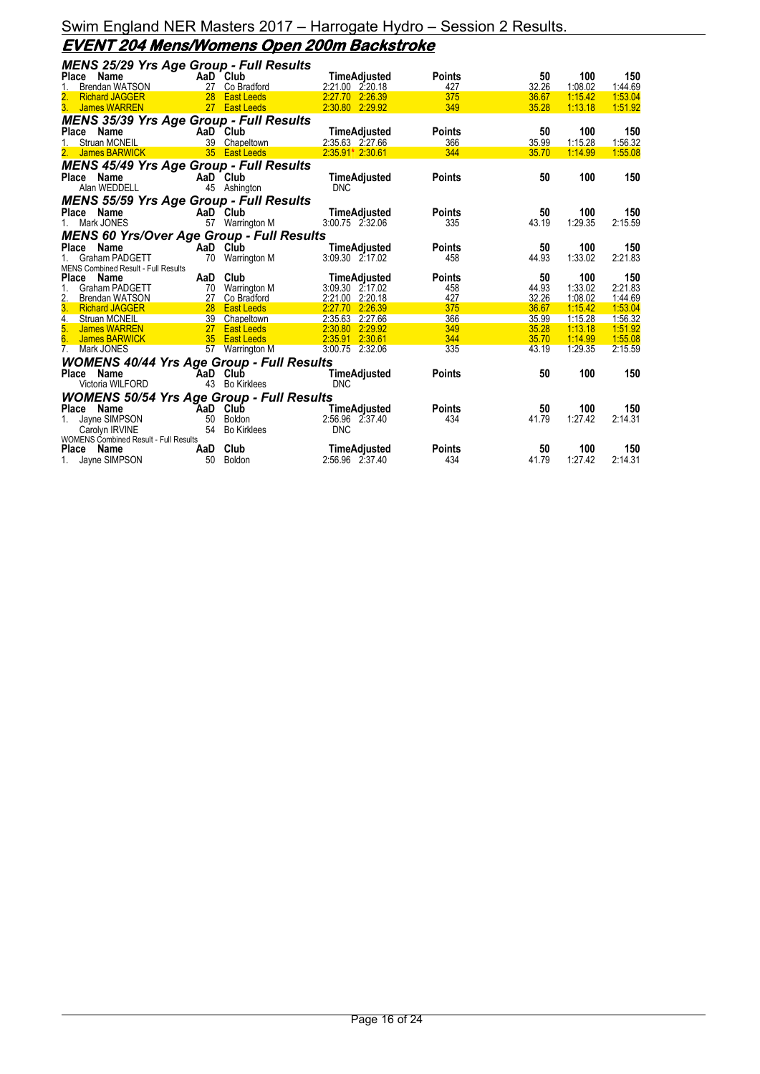#### Swim England NER Masters 2017 – Harrogate Hydro – Session 2 Results. **EVENT 204 Mens/Womens Open 200m Backstroke**

| <b>MENS 25/29 Yrs Age Group - Full Results</b>   |     |                    |                                        |                      |             |                |                |
|--------------------------------------------------|-----|--------------------|----------------------------------------|----------------------|-------------|----------------|----------------|
| Place Name                                       |     | AaD Club           | TimeAdjusted                           | <b>Points</b>        | 50          | 100            | 150            |
| <b>Brendan WATSON</b><br>1.                      |     | 27 Co Bradford     | 2:21.00 2:20.18                        | 427                  | 32.26       | 1:08.02        | 1:44.69        |
| $\frac{2}{3}$<br><b>Richard JAGGER</b>           |     | 28 East Leeds      | 2:27.70 2:26.39                        | 375                  | 36.67       | 1:15.42        | 1:53.04        |
| James WARREN                                     |     | 27 East Leeds      | 2:30.80 2:29.92                        | 349                  | 35.28       | 1:13.18        | 1:51.92        |
| <b>MENS 35/39 Yrs Age Group - Full Results</b>   |     |                    |                                        |                      |             |                |                |
| <b>Place</b><br>Name                             |     | AaD Club           | TimeAdjusted                           | <b>Points</b>        | 50          | 100            | 150            |
| Struan MCNEIL                                    |     | 39 Chapeltown      | 2:35.63 2:27.66                        | 366                  | 35.99       | 1:15.28        | 1:56.32        |
| 2. James BARWICK                                 |     | 35 East Leeds      | 2.35.91* 2:30.61                       | 344                  | 35.70       | 1:14.99        | 1:55.08        |
| <b>MENS 45/49 Yrs Age Group - Full Results</b>   |     |                    |                                        |                      |             |                |                |
| Place<br>Name                                    |     | AaD Club           | <b>TimeAdjusted</b>                    | <b>Points</b>        | 50          | 100            | 150            |
| Alan WEDDELL                                     |     | 45 Ashington       | <b>DNC</b>                             |                      |             |                |                |
| <b>MENS 55/59 Yrs Age Group - Full Results</b>   |     |                    |                                        |                      |             |                |                |
| Place Name                                       |     | AaD Club           | TimeAdjusted                           | <b>Points</b>        | 50          | 100            | 150            |
| 1. Mark JONES                                    |     | 57 Warrington M    | 3:00.75 2:32.06                        | 335                  | 43.19       | 1:29.35        | 2:15.59        |
|                                                  |     |                    |                                        |                      |             |                |                |
| <b>MENS 60 Yrs/Over Age Group - Full Results</b> |     |                    |                                        |                      |             |                |                |
| <b>Place</b><br>Name<br><b>Graham PADGETT</b>    | 70  | AaD Club           | <b>TimeAdjusted</b><br>3:09.30 2:17.02 | <b>Points</b><br>458 | 50<br>44.93 | 100<br>1:33.02 | 150<br>2:21.83 |
| <b>MENS Combined Result - Full Results</b>       |     | Warrington M       |                                        |                      |             |                |                |
| Place<br>Name                                    | AaD | Club               | <b>TimeAdjusted</b>                    | <b>Points</b>        | 50          | 100            | 150            |
| <b>Graham PADGETT</b><br>1.                      | 70  | Warrington M       | 3:09.30 2:17.02                        | 458                  | 44.93       | 1:33.02        | 2:21.83        |
| 2.<br>Brendan WATSON                             | 27  | Co Bradford        | 2:21.00 2:20.18                        | 427                  | 32.26       | 1:08.02        | 1:44.69        |
| <b>Richard JAGGER</b>                            | 28  | <b>East Leeds</b>  | 2:27.70 2:26.39                        | 375                  | 36.67       | 1:15.42        | 1:53.04        |
| $\overline{4}$ .<br>Struan MCNEIL                |     | 39 Chapeltown      | 2:35.63 2:27.66                        | 366                  | 35.99       | 1:15.28        | 1:56.32        |
| 5.<br>James WARREN                               |     | 27 East Leeds      | 2:30.80 2:29.92                        | 349                  | 35.28       | 1:13.18        | 1:51.92        |
| 6.<br>James BARWICK                              |     | 35 East Leeds      | 2:35.91 2:30.61                        | 344                  | 35.70       | 1:14.99        | 1:55.08        |
| 7. Mark JONES                                    |     | 57 Warrington M    | 3:00.75 2:32.06                        | 335                  | 43.19       | 1:29.35        | 2:15.59        |
| <b>WOMENS 40/44 Yrs Age Group - Full Results</b> |     |                    |                                        |                      |             |                |                |
| Place<br>Name                                    |     | AaD Club           | <b>TimeAdjusted</b>                    | <b>Points</b>        | 50          | 100            | 150            |
| Victoria WILFORD                                 | 43  | <b>Bo Kirklees</b> | <b>DNC</b>                             |                      |             |                |                |
| <b>WOMENS 50/54 Yrs Age Group - Full Results</b> |     |                    |                                        |                      |             |                |                |
| Place Name                                       | AaD | Club               | <b>TimeAdjusted</b>                    | <b>Points</b>        | 50          | 100            | 150            |
| Jayne SIMPSON<br>1.                              | 50  | Boldon             | 2:56.96 2:37.40                        | 434                  | 41.79       | 1:27.42        | 2:14.31        |
| Carolyn IRVINE                                   | 54  | <b>Bo Kirklees</b> | <b>DNC</b>                             |                      |             |                |                |
| WOMENS Combined Result - Full Results            |     |                    |                                        |                      |             |                |                |
| Place<br>Name                                    | AaD | Club               | <b>TimeAdjusted</b>                    | <b>Points</b>        | 50          | 100            | 150            |
| Jayne SIMPSON                                    | 50  | Boldon             | 2:56.96 2:37.40                        | 434                  | 41.79       | 1:27.42        | 2:14.31        |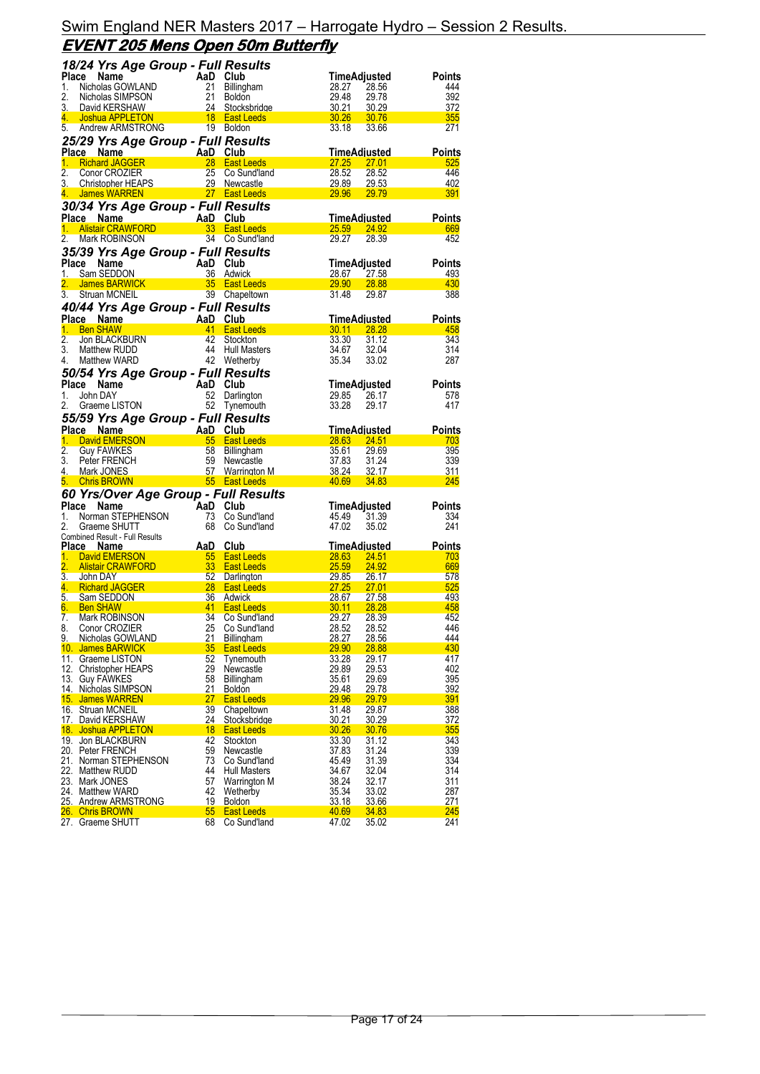|                         | 18/24 Yrs Age Group - Full Results                                                                                                                                                                    |          |                                                              |                |                                        |                      |
|-------------------------|-------------------------------------------------------------------------------------------------------------------------------------------------------------------------------------------------------|----------|--------------------------------------------------------------|----------------|----------------------------------------|----------------------|
|                         | Place Name<br>1. Nicholas GOWLAND<br>2. Nicholas SIMPSON<br>3. David KERSHAW<br>4. Joshua APPLETON<br>4. Joshua APPLETONIC<br>4. Shadrew APPLETONIC<br>4. Shadrew APPLETONIC<br>4. Shadrew APPLETONIC |          |                                                              |                | TimeAdjusted                           | Points               |
|                         |                                                                                                                                                                                                       |          | Billingham                                                   | 28.27          | 28.56                                  | 444                  |
|                         |                                                                                                                                                                                                       |          | <b>Boldon</b>                                                | 29.48          | 29.78                                  | 392                  |
|                         |                                                                                                                                                                                                       |          | Stocksbridge                                                 | 30.21          | 30.29                                  | 372                  |
| 5.                      | Andrew ARMSTRONG                                                                                                                                                                                      |          | <b>East Leeds</b><br>19 Boldon                               | 30.26<br>33.18 | 30.76                                  | 355<br>271           |
|                         |                                                                                                                                                                                                       |          |                                                              |                | 33.66                                  |                      |
|                         | 25/29 Yrs Age Group - Full Results                                                                                                                                                                    |          |                                                              |                |                                        |                      |
| Place                   | AaD Club<br>28 East L<br>Name                                                                                                                                                                         |          |                                                              |                | TimeAdjusted                           | <b>Points</b>        |
| 1.<br>2.                | <b>Richard JAGGER</b>                                                                                                                                                                                 | 25       | <u>27.25 Page</u><br><b>East Leeds</b>                       |                | 27.01                                  | 525<br>446           |
| 3.                      | Conor CROZIER<br><b>Christopher HEAPS</b>                                                                                                                                                             |          | Co Sund'land<br>29 Newcastle                                 | 28.52<br>29.89 | 28.52<br>29.53                         | 402                  |
| 4.                      | James WARREN                                                                                                                                                                                          |          | <u>27 East Leeds</u>                                         | <b>29.96</b>   | <u>29.79 </u>                          | 391                  |
|                         |                                                                                                                                                                                                       |          |                                                              |                |                                        |                      |
|                         | 30/34 Yrs Age Group - Full Results                                                                                                                                                                    |          |                                                              |                |                                        |                      |
| <b>Place Name</b><br>1. | <b>Ce Name 1988</b><br><u>Alistair CRAWFORD 1988 83 East L</u>                                                                                                                                        |          | 33 East Leeds                                                | 25.59          | <u>TimeAdiusted</u><br><u>24.92 - </u> | <b>Points</b><br>669 |
| 2.                      | Mark ROBINSON                                                                                                                                                                                         |          | 34 Co Sund'land                                              | 29.27          | 28.39                                  | 452                  |
|                         |                                                                                                                                                                                                       |          |                                                              |                |                                        |                      |
|                         | 35/39 Yrs Age Group - Full Results                                                                                                                                                                    |          |                                                              |                |                                        |                      |
| Place                   |                                                                                                                                                                                                       | AaD Club |                                                              |                | TimeAdjusted                           | <b>Points</b>        |
| 1.                      |                                                                                                                                                                                                       |          |                                                              | 28.67          | 27.58                                  | 493                  |
| 2.<br>3.                |                                                                                                                                                                                                       |          | 39 Chapeltown                                                | 29.90<br>31.48 | <b>28.88</b><br>29.87                  | 430<br>388           |
|                         | Struan MCNEIL                                                                                                                                                                                         |          |                                                              |                |                                        |                      |
|                         | 40/44 Yrs Age Group - Full Results                                                                                                                                                                    |          |                                                              |                |                                        |                      |
| Place Name              | AaD Club<br>41 East L                                                                                                                                                                                 |          |                                                              |                | <u>TimeAdjusted</u>                    | <b>Points</b>        |
| 1.                      | <b>Ben SHAW</b>                                                                                                                                                                                       |          | <b>East Leeds</b>                                            | 30.11          | 28.28                                  | 458                  |
| $\overline{2}$ .        | Jon BLACKBURN                                                                                                                                                                                         | 42       | Stockton                                                     | 33.30          | 31.12                                  | 343                  |
| 3.                      | Matthew RUDD                                                                                                                                                                                          | 44       | Hull Masters                                                 | 34.67          | 32.04                                  | 314                  |
| 4.                      | Matthew WARD                                                                                                                                                                                          |          | 42 Wetherby                                                  | 35.34          | 33.02                                  | 287                  |
|                         | 50/54 Yrs Age Group - Full Results                                                                                                                                                                    |          |                                                              |                |                                        |                      |
| Place                   | Name                                                                                                                                                                                                  | AaD Club |                                                              |                | TimeAdjusted                           | Points               |
| 1.                      | John DAY                                                                                                                                                                                              |          | 52 Darlington                                                | 29.85          | 26.17                                  | 578                  |
| 2.                      | Graeme LISTON                                                                                                                                                                                         |          | 52 Tynemouth                                                 | 33.28          | 29.17                                  | 417                  |
|                         | 55/59 Yrs Age Group - Full Results                                                                                                                                                                    |          |                                                              |                |                                        |                      |
| Place Name              |                                                                                                                                                                                                       | AaD Club |                                                              |                | <u>TimeAdjusted</u>                    | Points               |
|                         |                                                                                                                                                                                                       |          |                                                              |                |                                        |                      |
| 1.                      | David EMERSON                                                                                                                                                                                         |          | 55 East Leeds                                                | 28.63          | 24.51                                  | 703                  |
| $\overline{2}$ .        | <b>Guy FAWKES</b>                                                                                                                                                                                     |          | 58 Billingham                                                | 35.61          | 29.69                                  | 395                  |
| 3.                      | Peter FRENCH                                                                                                                                                                                          | 59       | Newcastle                                                    | 37.83          | 31.24                                  | 339                  |
| 4.                      | Mark JONES                                                                                                                                                                                            | 57       | Warrington M                                                 | 38.24          | 32.17                                  | 311                  |
| 5. Chris BROWN          |                                                                                                                                                                                                       |          | 55 East Leeds                                                | 40.69          | 34.83                                  | 245                  |
|                         | 60 Yrs/Over Age Group - Full Results                                                                                                                                                                  |          |                                                              |                |                                        |                      |
| Place                   |                                                                                                                                                                                                       |          |                                                              |                | TimeAdjusted                           | Points               |
| 1.                      |                                                                                                                                                                                                       |          | Co Sund'land                                                 | 45.49          | 31.39                                  | 334                  |
| 2.                      |                                                                                                                                                                                                       |          | Co Sund'Iand                                                 | 47.02          | 35.02                                  | 241                  |
|                         | Norman STEPHENSON<br>Norman STEPHENSON 73 Co Su<br>Combined Result - Full Results                                                                                                                     |          |                                                              |                |                                        |                      |
| Place Name              |                                                                                                                                                                                                       |          |                                                              |                |                                        | Points               |
| 1.                      |                                                                                                                                                                                                       |          | TimeAdjusted<br>28.63 24.51<br>55 East Leeds                 |                |                                        | 703                  |
| 2.                      | Example Marine AaD Club<br>David EMERSON 55 East L<br>Alistair CRAWFORD 33 East L                                                                                                                     |          | <b>East Leeds</b>                                            | 25.59          | 24.92                                  | 669                  |
| 3. John DAY             |                                                                                                                                                                                                       |          | 29.85                                                        |                | 26.17                                  | 578                  |
| 4.<br>5.                | $\frac{28}{26}$<br><b>Richard JAGGER</b><br>Sam SEDDON                                                                                                                                                |          | <u>27.25 مارس مىرى بىر</u><br><b>East Leeds</b><br>36 Adwick | <u>28.67</u>   | <u>27.01</u><br><u>27.58</u>           | 525<br>493           |
| 6.                      | <b>Ben SHAW</b>                                                                                                                                                                                       |          | East Leeds                                                   | 30.11          | 28.28                                  | 458                  |
| 7.                      | Mark ROBINSON                                                                                                                                                                                         |          | Co Sund'land                                                 | 29.27          | 28.39                                  | 452                  |
| 8.                      | $\frac{36}{41}$<br>Conor CROZIER                                                                                                                                                                      | 25       | Co Sund'land                                                 | 28.52          | 28.52                                  | 446                  |
| 9.                      | Nicholas GOWLAND                                                                                                                                                                                      | 21       | Billingham                                                   | 28.27          | 28.56                                  | 444                  |
|                         | 10. James BARWICK                                                                                                                                                                                     | 35       | <b>East Leeds</b>                                            | 29.90          | 28.88                                  | 430                  |
|                         | 11. Graeme LISTON                                                                                                                                                                                     | 52       | Tynemouth                                                    | 33.28          | 29.17                                  | 417                  |
|                         | 12. Christopher HEAPS                                                                                                                                                                                 | 29       | Newcastle                                                    | 29.89          | 29.53                                  | 402                  |
| 13. Guy FAWKES          |                                                                                                                                                                                                       | 58       | Billingham                                                   | 35.61          | 29.69                                  | 395                  |
|                         | 14. Nicholas SIMPSON                                                                                                                                                                                  | 21       | Boldon                                                       | <u>29.48</u>   | 29.78                                  | 392                  |
|                         | 15. James WARREN                                                                                                                                                                                      | 27       | <b>East Leeds</b>                                            | 29.96          | 29.79                                  | 391                  |
|                         | 16. Struan MCNEIL                                                                                                                                                                                     | 39       | Chapeltown                                                   | 31.48          | 29.87                                  | 388                  |
|                         | 17. David KERSHAW                                                                                                                                                                                     | 24       | Stocksbridge                                                 | 30.21          | 30.29                                  | 372                  |
|                         | 18. Joshua APPLETON<br>19. Jon BLACKBURN                                                                                                                                                              | 18<br>42 | <b>East Leeds</b><br>Stockton                                | 30.26          | <u>30.76</u>                           | 355                  |
|                         | 20. Peter FRENCH                                                                                                                                                                                      | 59       | Newcastle                                                    | 33.30<br>37.83 | 31.12<br>31.24                         | 343<br>339           |
|                         | 21. Norman STEPHENSON                                                                                                                                                                                 | 73       | Co Sund'land                                                 | 45.49          | 31.39                                  | 334                  |
|                         | 22. Matthew RUDD                                                                                                                                                                                      | 44       | <b>Hull Masters</b>                                          | 34.67          | 32.04                                  | 314                  |
| 23. Mark JONES          |                                                                                                                                                                                                       | 57       | Warrington M                                                 | 38.24          | 32.17                                  | 311                  |
|                         | 24. Matthew WARD                                                                                                                                                                                      | 42       | Wetherby                                                     | 35.34          | 33.02                                  | 287                  |
|                         | 25. Andrew ARMSTRONG                                                                                                                                                                                  | 19       | Boldon                                                       | 33.18          | 33.66                                  | 271                  |
| 26. Chris BROWN         | 27. Graeme SHUTT                                                                                                                                                                                      | 55<br>68 | <b>East Leeds</b><br>Co Sund'land                            | 40.69<br>47.02 | <u>34.83</u><br>35.02                  | <b>245</b><br>241    |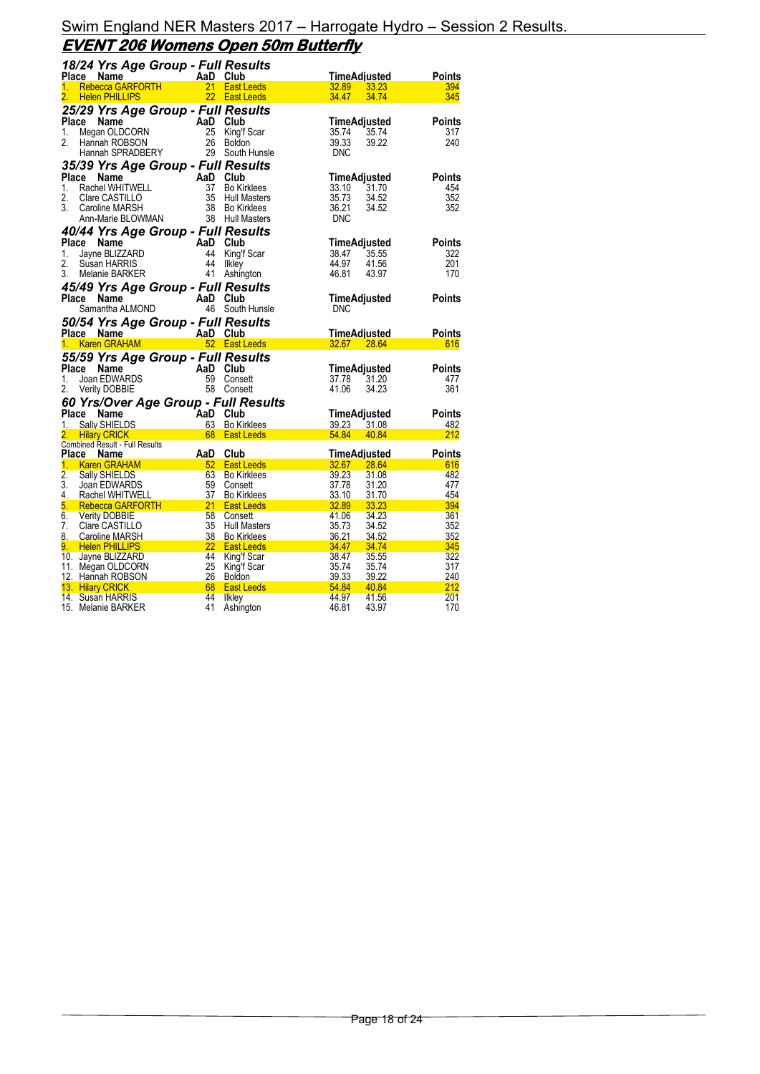### Swim England NER Masters 2017 – Harrogate Hydro – Session 2 Results. **EVENT 206 Womens Open 50m Butterfly**

| 18/24 Yrs Age Group - Full Results<br>Place Name AaD Club                                                                                     |            |                                                                                                                                                                                                                                                                                                                                                 |                |                     |               |
|-----------------------------------------------------------------------------------------------------------------------------------------------|------------|-------------------------------------------------------------------------------------------------------------------------------------------------------------------------------------------------------------------------------------------------------------------------------------------------------------------------------------------------|----------------|---------------------|---------------|
|                                                                                                                                               |            |                                                                                                                                                                                                                                                                                                                                                 |                | TimeAdiusted        | Points        |
| Rebecca GARFORTH<br>1.<br>$\overline{2}$ .                                                                                                    |            | 21 East Leeds<br>22 East Leeds                                                                                                                                                                                                                                                                                                                  | 32.89          | 33.23               | 394           |
| <b>Helen PHILLIPS</b>                                                                                                                         |            |                                                                                                                                                                                                                                                                                                                                                 | 34.47          | 34.74               | 345           |
| 25/29 Yrs Age Group - Full Results<br>Place<br>Name                                                                                           | AaD Club   |                                                                                                                                                                                                                                                                                                                                                 |                | TimeAdjusted        | <b>Points</b> |
| <b>Ce Name All Accord Accord Accord Accord Accord Accord Accord Accord Accord Accord Accord Accord Accord Accord A</b><br>Menney DODSON<br>1. | 25         | King'f Scar                                                                                                                                                                                                                                                                                                                                     | 35.74          | 35.74               | 317           |
| 2.<br>Hannah ROBSON                                                                                                                           |            | 26 Boldon                                                                                                                                                                                                                                                                                                                                       | 39.33          | 39.22               | 240           |
| Hannah SPRADBERY                                                                                                                              |            | 29 South Hunsle                                                                                                                                                                                                                                                                                                                                 | <b>DNC</b>     |                     |               |
| 35/39 Yrs Age Group - Full Results                                                                                                            |            |                                                                                                                                                                                                                                                                                                                                                 |                |                     |               |
| Place<br>Name                                                                                                                                 | AaD Club   |                                                                                                                                                                                                                                                                                                                                                 |                | TimeAdjusted        | <b>Points</b> |
| $1_{-}$<br>Rachel WHITWELL                                                                                                                    | 37         | <b>Bo Kirklees</b>                                                                                                                                                                                                                                                                                                                              | 33.10          | 31.70               | 454           |
| 2.<br>Clare CASTILLO<br>3.                                                                                                                    | 35<br>38   | <b>Hull Masters</b>                                                                                                                                                                                                                                                                                                                             | 35.73<br>36.21 | 34.52               | 352<br>352    |
| Caroline MARSH<br>Ann-Marie BLOWMAN                                                                                                           |            | <b>Bo Kirklees</b><br>38 Hull Masters                                                                                                                                                                                                                                                                                                           | <b>DNC</b>     | 34.52               |               |
| 40/44 Yrs Age Group - Full Results                                                                                                            |            |                                                                                                                                                                                                                                                                                                                                                 |                |                     |               |
| Place Name                                                                                                                                    | AaD Club   |                                                                                                                                                                                                                                                                                                                                                 |                | TimeAdjusted        | <b>Points</b> |
| است.<br>Jayne BLIZZARD<br>Susan HARRIS<br>Misin HARRIS<br>1.                                                                                  | 44         | King'f Scar                                                                                                                                                                                                                                                                                                                                     | 38.47          | 35.55               | 322           |
| 2.                                                                                                                                            | 44         | <b>Ilkley</b>                                                                                                                                                                                                                                                                                                                                   | 44.97          | 41.56               | 201           |
| 3.<br>Melanie BARKER                                                                                                                          | 41         | Ashington                                                                                                                                                                                                                                                                                                                                       | 46.81          | 43.97               | 170           |
| 45/49 Yrs Age Group - Full Results                                                                                                            |            |                                                                                                                                                                                                                                                                                                                                                 |                |                     |               |
| Place<br>Name<br><b>:e Name</b><br>Samantha ALMOND                                                                                            | AaD Club   |                                                                                                                                                                                                                                                                                                                                                 |                | TimeAdjusted        | <b>Points</b> |
|                                                                                                                                               |            | 46 South Hunsle                                                                                                                                                                                                                                                                                                                                 | <b>DNC</b>     |                     |               |
| 50/54 Yrs Age Group - Full Results                                                                                                            |            |                                                                                                                                                                                                                                                                                                                                                 |                |                     |               |
| Place Name                                                                                                                                    |            | AaD Club<br>52 East Leeds                                                                                                                                                                                                                                                                                                                       |                | <b>TimeAdjusted</b> | Points        |
| 1.<br><b>Karen GRAHAM</b>                                                                                                                     |            |                                                                                                                                                                                                                                                                                                                                                 | 32.67 28.64    |                     | 616           |
| 55/59 Yrs Age Group - Full Results                                                                                                            |            |                                                                                                                                                                                                                                                                                                                                                 |                |                     |               |
| Place<br>Name<br>1.                                                                                                                           | AaD Club   | 59 Consett                                                                                                                                                                                                                                                                                                                                      | 37.78          | TimeAdjusted        | Points        |
| $\overline{\phantom{a}}$<br>Joan EDWARDS<br>2.<br>Verity DOBBIE                                                                               |            | 58 Consett                                                                                                                                                                                                                                                                                                                                      | 41.06          | 31.20<br>34.23      | 477<br>361    |
| 60 Yrs/Over Age Group - Full Results                                                                                                          |            |                                                                                                                                                                                                                                                                                                                                                 |                |                     |               |
| Place<br>Name                                                                                                                                 | AaD Club   |                                                                                                                                                                                                                                                                                                                                                 |                | TimeAdjusted        | Points        |
| 1.<br>Sally SHIELDS                                                                                                                           |            | 63 Bo Kirklees                                                                                                                                                                                                                                                                                                                                  | 39.23 31.08    |                     | 482           |
| 2. .<br><b>Hilary CRICK</b><br>and the control of the control of                                                                              |            | 68 East Leeds                                                                                                                                                                                                                                                                                                                                   | 54.84          | 40.84               | 212           |
| Combined Result - Full Results                                                                                                                |            |                                                                                                                                                                                                                                                                                                                                                 |                |                     |               |
| Place Name<br>1. Karen GRAHAM 52 East Leeds                                                                                                   | <b>AaD</b> | Club<br>$32.67$ 28.64                                                                                                                                                                                                                                                                                                                           |                | TimeAdjusted        | Points<br>616 |
| $\overline{2}$ .<br>Sally SHIELDS                                                                                                             | 63         | <b>Bo Kirklees</b>                                                                                                                                                                                                                                                                                                                              | 39.23          | 31.08               | 482           |
| 3.<br>Joan EDWARDS                                                                                                                            | 59         | Consett                                                                                                                                                                                                                                                                                                                                         | 37.78          | 31.20               | 477           |
| 4.<br>Rachel WHITWELL                                                                                                                         | 37         | <b>Bo Kirklees</b>                                                                                                                                                                                                                                                                                                                              | 33.10          | 31.70               | 454           |
| 5.<br>Rebecca GARFORTH 21                                                                                                                     |            | 32.89<br><b>East Leeds</b>                                                                                                                                                                                                                                                                                                                      |                | 33.23               | 394           |
| 6.<br><b>Verity DOBBIE</b><br>7.                                                                                                              | 58<br>35   | Consett                                                                                                                                                                                                                                                                                                                                         | 41.06          | 34.23<br>34.52      | 361<br>352    |
| Clare CASTILLO<br>8. Caroline MARSH<br>38                                                                                                     |            | <b>Hull Masters</b><br><b>Bo Kirklees</b>                                                                                                                                                                                                                                                                                                       | 35.73<br>36.21 | 34.52               | 352           |
| $\begin{array}{ c c c c }\n\hline\n\textbf{1} & \textbf{22}\n\hline\n\end{array}$<br>9. Helen PHILLIPS                                        |            |                                                                                                                                                                                                                                                                                                                                                 |                |                     |               |
|                                                                                                                                               |            | <b>East Leeds</b>                                                                                                                                                                                                                                                                                                                               | <b>34.47</b>   | 34.74               | 345           |
| 10. Jayne BLIZZARD                                                                                                                            | 44         | King'f Scar                                                                                                                                                                                                                                                                                                                                     | 38.47          | 35.55               | 322           |
| 11. Megan OLDCORN                                                                                                                             | 25         | King'f Scar                                                                                                                                                                                                                                                                                                                                     | 35.74          | 35.74               | 317           |
| 12. Hannah ROBSON                                                                                                                             | 26         | Boldon                                                                                                                                                                                                                                                                                                                                          | 39.33          | 39.22               | 240           |
| 13. Hilary CRICK<br>14. Susan HARRIS                                                                                                          | 44         | $\frac{1}{2}$ , $\frac{1}{2}$ , $\frac{1}{2}$ , $\frac{1}{2}$ , $\frac{1}{2}$ , $\frac{1}{2}$ , $\frac{1}{2}$ , $\frac{1}{2}$ , $\frac{1}{2}$ , $\frac{1}{2}$ , $\frac{1}{2}$ , $\frac{1}{2}$ , $\frac{1}{2}$ , $\frac{1}{2}$ , $\frac{1}{2}$ , $\frac{1}{2}$ , $\frac{1}{2}$ , $\frac{1}{2}$ , $\frac{1$<br><b>East Leeds</b><br><b>Ilkley</b> | 44.97          | 40.84<br>41.56      | 212<br>201    |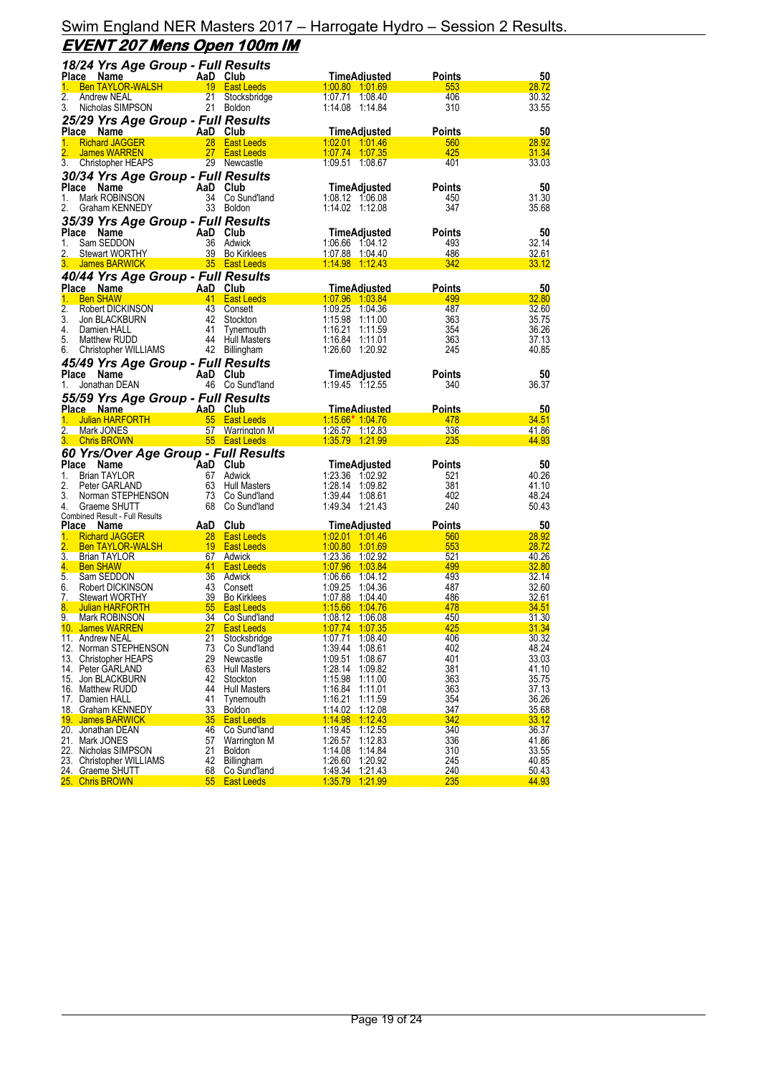|                  | 18/24 Yrs Age Group - Full Results                      |                 |                               |                                          |               |                |
|------------------|---------------------------------------------------------|-----------------|-------------------------------|------------------------------------------|---------------|----------------|
|                  | Place Name                                              |                 | AaD Club                      | TimeAdjusted                             | Points        | 50             |
| 1.               | <b>Ben TAYLOR-WALSH</b>                                 |                 | 19 East Leeds                 | 1:00.80 1:01.69                          | 553           | 28.72          |
| 2.               | Andrew NEAL                                             |                 | 21 Stocksbridge               | 1:07.71 1:08.40                          | 406           | 30.32          |
| 3.               | Nicholas SIMPSON                                        |                 | 21 Boldon                     | 1:14.08 1:14.84                          | 310           | 33.55          |
|                  | 25/29 Yrs Age Group - Full Results                      |                 |                               |                                          |               |                |
|                  | Place Name                                              |                 | AaD Club                      | <b>TimeAdjusted</b>                      | <b>Points</b> | 50             |
| 1.               | <b>Richard JAGGER</b>                                   |                 | 28 East Leeds                 | 1:02.01 1:01.46                          | 560           | 28.92          |
|                  | James WARREN                                            |                 | 27 East Leeds                 | 1 07 74 1 07 35                          | 425           | 31.34          |
| 3.               | Christopher HEAPS                                       |                 | 29 Newcastle                  | 1:09.51 1:08.67                          | 401           | 33.03          |
|                  | 30/34 Yrs Age Group - Full Results                      |                 |                               |                                          |               |                |
| Place            | Name                                                    |                 | AaD Club                      | TimeAdjusted                             | <b>Points</b> | 50             |
| 1.               | Mark ROBINSON                                           |                 | 34 Co Sund'land               | 1:08.12 1:06.08                          | 450           | 31.30          |
| 2.               | Graham KENNEDY                                          |                 | 33 Boldon                     | 1:14.02 1:12.08                          | 347           | 35.68          |
|                  | 35/39 Yrs Age Group - Full Results                      |                 |                               |                                          |               |                |
| Place            | Name                                                    |                 | AaD Club                      | TimeAdjusted                             | <b>Points</b> | 50             |
| 1.               | Sam SEDDON                                              |                 | 36 Adwick                     | 1:06.66 1:04.12                          | 493           | 32.14          |
| 2.               | Stewart WORTHY                                          |                 | 39 Bo Kirklees                | 1:07.88 1:04.40                          | 486           | 32.61          |
| 3.               | James BARWICK 35 East Leeds                             |                 |                               | 1:14.98 1:12.43                          | 342           | 33.12          |
|                  | 40/44 Yrs Age Group - Full Results                      |                 |                               |                                          |               |                |
|                  | Place Name<br><u> Liberatura de la p</u>                |                 | AaD Club                      | <b>TimeAdjusted</b>                      | <b>Points</b> | 50             |
| 1.               | <b>Ben SHAW</b>                                         |                 | 41 East Leeds                 | 1:07.96 1:03.84                          | 499           | 32.80          |
| 2.<br>3.         | Robert DICKINSON                                        |                 | 43 Consett<br>42 Stockton     | 1:09.25 1:04.36<br>1:15.98 1:11.00       | 487<br>363    | 32.60<br>35.75 |
| 4.               | Jon BLACKBURN<br>Damien HALL                            |                 | 41 Tynemouth                  | 1:16.21 1:11.59                          | 354           | 36.26          |
| 5.               | Matthew RUDD                                            |                 | 44 Hull Masters               | 1:16.84 1:11.01                          | 363           | 37.13          |
| 6.               | Christopher WILLIAMS                                    |                 | 42 Billingham                 | 1:26.60 1:20.92                          | 245           | 40.85          |
|                  | 45/49 Yrs Age Group - Full Results                      |                 |                               |                                          |               |                |
| Place            | Name                                                    |                 | AaD Club                      | TimeAdjusted                             | <b>Points</b> | 50             |
| 1.               | Jonathan DEAN                                           |                 | 46 Co Sund'land               | 1:19.45 1:12.55                          | 340           | 36.37          |
|                  |                                                         |                 |                               |                                          |               |                |
|                  | 55/59 Yrs Age Group - Full Results<br><u>Place Name</u> |                 | AaD Club                      | <u>TimeAdiusted</u>                      | <u>Points</u> | 50             |
| 1.               | ्<br>राप्त<br><b>Julian HARFORTH</b>                    |                 | 55 East Leeds                 | 1:15.66* 1:04.76                         | 478           | 34.51          |
| $\overline{2}$ . | Mark JONES                                              |                 | 57 Warrington M               | 1:26.57 1:12.83                          | 336           | 41.86          |
| 3 <sub>1</sub>   | <b>Chris BROWN</b>                                      |                 | 55 East Leeds                 | 1:35.79 1:21.99                          | 235           | 44.93          |
|                  | 60 Yrs/Over Age Group - Full Results                    |                 |                               |                                          |               |                |
| Place            | AaD Club<br>Name                                        |                 |                               | TimeAdjusted                             | Points        | 50             |
| 1.               | <b>Brian TAYLOR</b>                                     |                 | 67 Adwick                     | 1:23.36 1:02.92                          | 521           | 40.26          |
| 2.               | Peter GARLAND                                           |                 | 63 Hull Masters               | 1:28.14 1:09.82                          | 381           | 41.10          |
| 3.               | Norman STEPHENSON                                       |                 | 73 Co Sund'land               | 1:39.44 1:08.61                          | 402           | 48.24          |
| 4.               | Graeme SHUTT                                            |                 | 68 Co Sund'land               | 1:49.34 1:21.43                          | 240           | 50.43          |
|                  | Combined Result - Full Results                          |                 |                               |                                          |               |                |
| Place<br>1.      | <b>Name</b><br><b>Richard JAGGER</b>                    | AaD Club        | 28 East Leeds                 | <b>TimeAdjusted</b><br>1.02.01 1.01.46   | <b>Points</b> | 50<br>28.92    |
| $\overline{2}$ . | <b>Ben TAYLOR-WALSH</b>                                 |                 | 19 East Leeds                 | 1.00.80 1.01.69                          | 560<br>553    | 28.72          |
| $\overline{3}$ . | <b>Brian TAYLOR</b>                                     |                 | 67 Adwick                     | 1:23.36 1:02.92                          | 521           | 40.26          |
| 4.               | <b>Ben SHAW</b>                                         |                 | 41 East Leeds                 | 1:07.96 1:03.84                          | 499           | 32.80          |
| 5.               | Sam SEDDON                                              |                 | 36 Adwick                     | 1:06.66 1:04.12                          | 493           | 32.14          |
| 6.               | Robert DICKINSON                                        |                 | 43 Consett                    | 1:09.25 1:04.36                          | 487           | 32.60          |
| 7.               | <b>Stewart WORTHY</b>                                   |                 | 39 Bo Kirklees                | 1:07.88 1:04.40                          | 486           | 32.61          |
| 8.               | Julian HARFORTH                                         |                 | 55 East Leeds                 | 1.15.66 1.04.76                          | 478           | <u>34.51</u>   |
| 9.               | Mark ROBINSON                                           | 34              | Co Sund'land                  | 1:08.12 1:06.08                          | 450           | <u>31.30</u>   |
|                  | 10. James WARREN<br>11. Andrew NEAL                     | 21              | 27 East Leeds<br>Stocksbridge | 1:07.74 1:07.35<br>1:07.71 1:08.40       | 425<br>406    | 31.34<br>30.32 |
|                  | 12. Norman STEPHENSON                                   | 73              | Co Sund'land                  | 1:39.44<br>1:08.61                       | 402           | 48.24          |
|                  | 13. Christopher HEAPS                                   | 29              | Newcastle                     | 1:09.51<br>1:08.67                       | 401           | 33.03          |
|                  | 14. Peter GARLAND                                       | 63              | <b>Hull Masters</b>           | 1:28.14<br>1:09.82                       | 381           | 41.10          |
|                  | 15. Jon BLACKBURN                                       | 42              | Stockton                      | 1:15.98<br>1:11.00                       | 363           | 35.75          |
|                  | 16. Matthew RUDD                                        | 44              | <b>Hull Masters</b>           | 1:16.84<br>1:11.01                       | 363           | 37.13          |
|                  | 17. Damien HALL                                         | 41              | Tynemouth                     | 1:16.21<br>1:11.59                       | 354           | 36.26          |
|                  | 18. Graham KENNEDY                                      | 33              | <b>Boldon</b>                 | 1:14.02<br>1:12.08                       | <u>347</u>    | 35.68          |
|                  | 19. James BARWICK                                       | 35              | <b>East Leeds</b>             | 1:14.98<br>1:12.43                       | 342           | 33.12          |
|                  | 20. Jonathan DEAN                                       | 46              | Co Sund'land                  | 1:19.45<br>1:12.55                       | 340           | 36.37          |
|                  | 21. Mark JONES                                          | 57              | Warrington M                  | 1:26.57<br>1:12.83                       | 336           | 41.86          |
|                  | 22. Nicholas SIMPSON<br>23. Christopher WILLIAMS        | 21<br>42        | <b>Boldon</b><br>Billingham   | 1:14.08<br>1:14.84<br>1:26.60<br>1:20.92 | 310<br>245    | 33.55<br>40.85 |
|                  | 24. Graeme SHUTT                                        | <u>68</u>       | Co Sund'land                  | 1:49.34 1:21.43                          | 240           | 50.43          |
|                  | 25. Chris BROWN                                         | 55 <sub>o</sub> | <b>East Leeds</b>             | 1.35.79 1.21.99                          | 235           | 44.93          |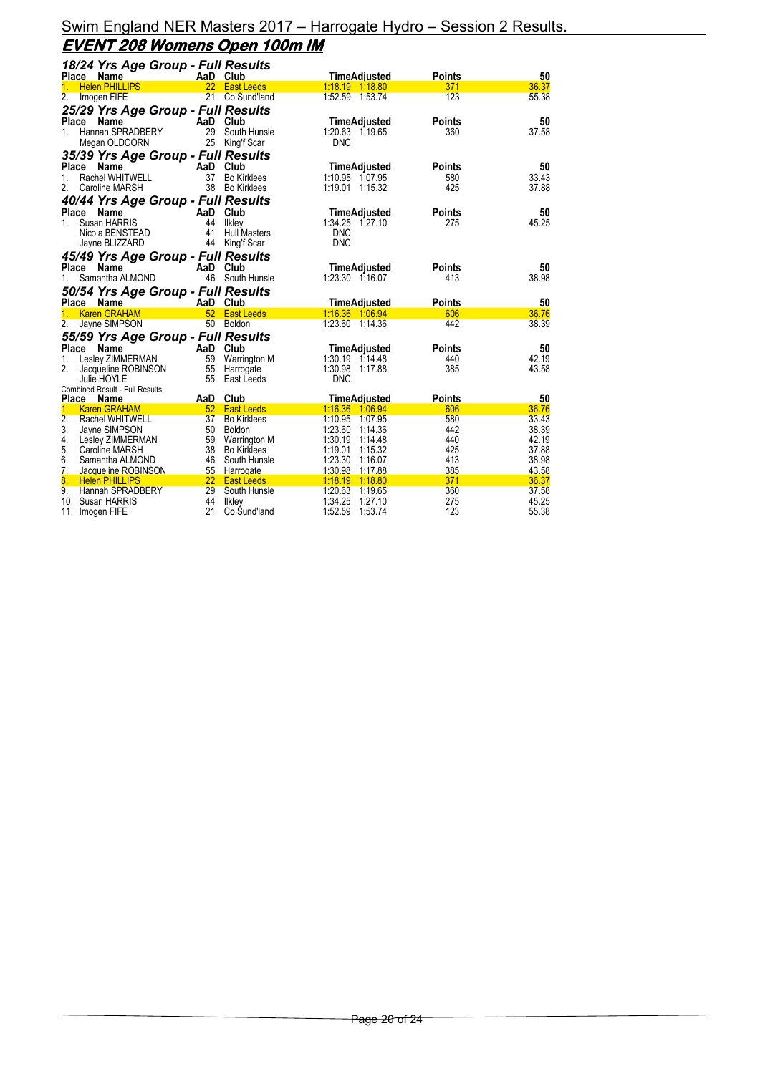### Swim England NER Masters 2017 – Harrogate Hydro – Session 2 Results. **EVENT 208 Womens Open 100m IM**

| 18/24 Yrs Age Group - Full Results                  |                 |                               |                                       |               |                |
|-----------------------------------------------------|-----------------|-------------------------------|---------------------------------------|---------------|----------------|
| Place Name                                          |                 | AaD Club                      | TimeAdjusted                          | <b>Points</b> | 50             |
| <b>Helen PHILLIPS</b>                               |                 | 22 East Leeds                 | 1:18.19 1:18.80                       | 371           | 36.37          |
| 2.<br>Imogen FIFE                                   |                 | 21 Co Sund'land               | 1:52.59 1:53.74                       | 123           | 55.38          |
| 25/29 Yrs Age Group - Full Results                  |                 |                               |                                       |               |                |
| Place Name                                          |                 | AaD Club                      | TimeAdjusted                          | <b>Points</b> | 50             |
| Hannah SPRADBERY<br>1.                              | 29              | South Hunsle                  | 1:20.63 1:19.65                       | 360           | 37.58          |
| Megan OLDCORN                                       |                 | 25 King'f Scar                | <b>DNC</b>                            |               |                |
| 35/39 Yrs Age Group - Full Results                  |                 |                               |                                       |               |                |
| <b>Place</b><br>Name                                |                 | AaD Club                      | TimeAdjusted                          | <b>Points</b> | 50             |
| Rachel WHITWELL<br>1.                               | 37              | <b>Bo Kirklees</b>            | 1:10.95 1:07.95                       | 580           | 33.43          |
| 2.<br><b>Caroline MARSH</b>                         | 38              | <b>Bo Kirklees</b>            | 1:19.01 1:15.32                       | 425           | 37.88          |
|                                                     |                 |                               |                                       |               |                |
| 40/44 Yrs Age Group - Full Results                  |                 |                               |                                       |               |                |
| Place<br><b>Name</b>                                | AaD             | Club                          | TimeAdjusted                          | <b>Points</b> | 50             |
| Susan HARRIS<br>1.<br>Nicola BENSTEAD               | 44<br>41        | Ilkley<br><b>Hull Masters</b> | 1:34.25 1:27.10<br><b>DNC</b>         | 275           | 45.25          |
|                                                     | 44              | King'f Scar                   | <b>DNC</b>                            |               |                |
| Jayne BLIZZARD                                      |                 |                               |                                       |               |                |
| 45/49 Yrs Age Group - Full Results                  |                 |                               |                                       |               |                |
| Place<br><b>Name</b>                                |                 | AaD Club                      | TimeAdjusted                          | <b>Points</b> | 50             |
| Samantha ALMOND<br>1.                               |                 | 46 South Hunsle               | 1:23.30 1:16.07                       | 413           | 38.98          |
|                                                     |                 |                               |                                       |               |                |
|                                                     |                 |                               |                                       |               |                |
| 50/54 Yrs Age Group - Full Results<br>Place Name    |                 | AaD Club                      | <b>TimeAdjusted</b>                   | <b>Points</b> | 50             |
| 1.<br><b>Karen GRAHAM</b>                           | 52              | <b>East Leeds</b>             | 1.16.36 1.06.94                       | 606           | 36.76          |
| 2.<br>Jayne SIMPSON                                 | 50              | Boldon                        | 1:23.60 1:14.36                       | 442           | 38.39          |
|                                                     |                 |                               |                                       |               |                |
| 55/59 Yrs Age Group - Full Results<br>Place<br>Name |                 | AaD Club                      |                                       | Points        | 50             |
| Lesley ZIMMERMAN<br>1.                              | 59              | Warrington M                  | TimeAdjusted<br>1:30.19 1:14.48       | 440           | 42.19          |
| 2.<br>Jacqueline ROBINSON                           | 55              | Harrogate                     | 1:30.98 1:17.88                       | 385           | 43.58          |
| Julie HOYLE                                         | 55              | East Leeds                    | <b>DNC</b>                            |               |                |
| <b>Combined Result - Full Results</b>               |                 |                               |                                       |               |                |
| Place Name                                          | AaD             | Club                          | TimeAdiusted                          | <b>Points</b> | 50             |
| $\mathbf{1}$ .<br><b>Karen GRAHAM</b>               | 52 <sub>2</sub> | <b>East Leeds</b>             | 1.16.36 1.06.94                       | 606           | 36.76          |
| 2.<br>Rachel WHITWELL                               | 37 <sup>7</sup> | <b>Bo Kirklees</b>            | 1:10.95 1:07.95                       | 580           | 33.43          |
| 3.<br>Jayne SIMPSON                                 | 50              | Boldon                        | 1:23.60 1:14.36                       | 442           | 38.39          |
| 4.<br>Lesley ZIMMERMAN                              | 59              | <b>Warrington M</b>           | 1:30.19<br>1:14.48                    | 440           | 42.19          |
| 5.<br>Caroline MARSH                                | 38              | <b>Bo Kirklees</b>            | 1:19.01 1:15.32                       | 425           | 37.88          |
| 6.<br>Samantha ALMOND                               | 46              | South Hunsle                  | 1:23.30 1:16.07                       | 413           | 38.98          |
| 7.<br>Jacqueline ROBINSON                           | 55              | Harrogate                     | 1:30.98 1:17.88                       | 385           | 43.58          |
| 8.<br><b>Helen PHILLIPS</b>                         |                 | 22 East Leeds                 | 1:18.19 1:18.80                       | 371           | 36.37          |
| 9.<br>Hannah SPRADBERY<br>10.<br>Susan HARRIS       | 29<br>44        | South Hunsle<br>likley        | 1:20.63 1:19.65<br>1:34.25<br>1:27.10 | 360<br>275    | 37.58<br>45.25 |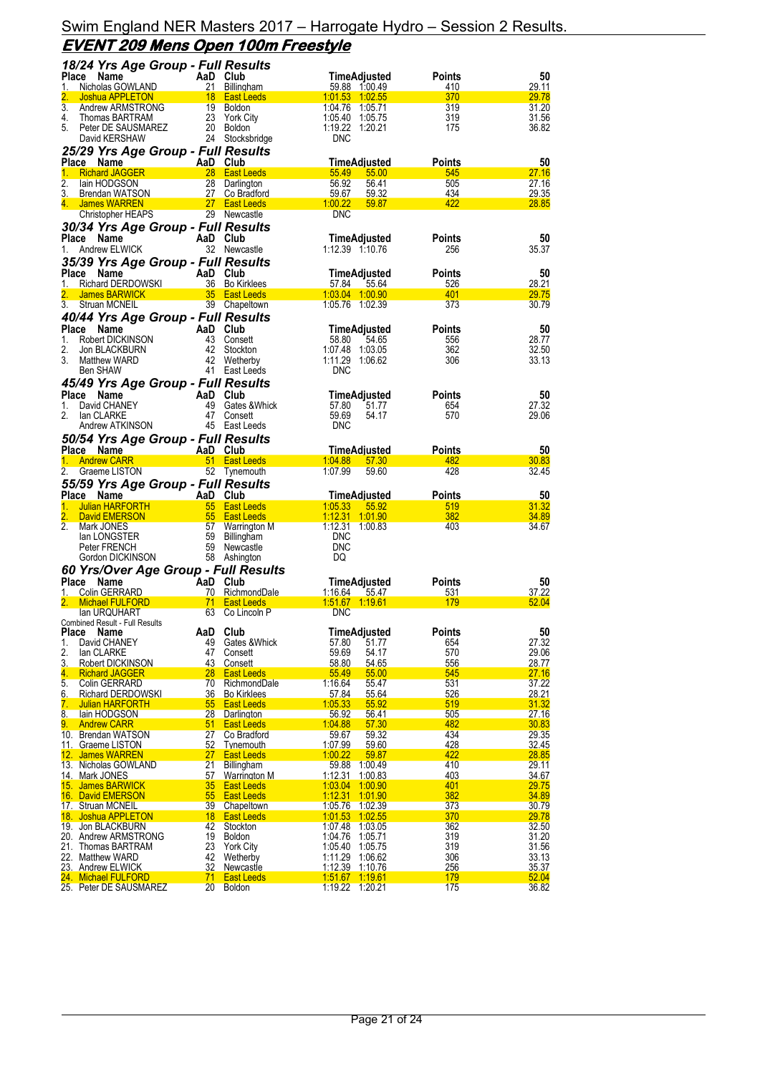### Swim England NER Masters 2017 – Harrogate Hydro – Session 2 Results. **EVENT 209 Mens Open 100m Freestyle**

| 18/24 Yrs Age Group - Full Results                             |                                                   |                                          |                      |                                                 |
|----------------------------------------------------------------|---------------------------------------------------|------------------------------------------|----------------------|-------------------------------------------------|
| Place<br>Name                                                  | AaD Club                                          | TimeAdjusted                             | Points               | 50                                              |
| Nicholas GOWLAND<br>1.                                         | 21 Billingham                                     | 59.88 1:00.49                            | 410                  | 29.11                                           |
| 2.<br>Joshua APPLETON<br>$\overline{3}$ .                      | 18 East Leeds                                     | 1:01.53 1:02.55<br>1:04.76 1:05.71       | 370                  | 29.78<br>31.20                                  |
| Andrew ARMSTRONG<br>4.<br>Thomas BARTRAM                       | 19 Boldon<br>23 York City                         | 1:05.40 1:05.75                          | 319<br>319           | 31.56                                           |
| 5.<br>Peter DE SAUSMAREZ                                       | 20 Boldon                                         | 1:19.22 1:20.21                          | 175                  | 36.82                                           |
| David KERSHAW                                                  | 24 Stocksbridge                                   | <b>DNC</b>                               |                      |                                                 |
| 25/29 Yrs Age Group - Full Results                             |                                                   |                                          |                      |                                                 |
| Place Name                                                     | AaD Club                                          | TimeAdjusted                             | Points               | 50                                              |
| 1.<br><b>Richard JAGGER</b>                                    | 28 East Leeds                                     | 55.49<br>55.00                           | 545                  | 27.16                                           |
| 2.<br>lain HODGSON                                             | 28<br>Darlington                                  | 56.92<br>56.41                           | 505                  | 27.16                                           |
| 3.<br>Brendan WATSON<br>4. James WARREN                        | 27<br>Co Bradford<br>27 East Leeds                | 59.67<br>59.32<br>1.00.22<br>59.87       | 434<br>422           | 29.35<br>28.85                                  |
| Christopher HEAPS                                              | 29 Newcastle                                      | <b>DNC</b>                               |                      |                                                 |
| 30/34 Yrs Age Group - Full Results                             |                                                   |                                          |                      |                                                 |
| Place Name                                                     | AaD Club                                          | TimeAdjusted                             | <b>Points</b>        | 50                                              |
| Andrew ELWICK<br>1.                                            | 32 Newcastle                                      | 1:12.39 1:10.76                          | 256                  | 35.37                                           |
| 35/39 Yrs Age Group - Full Results                             |                                                   |                                          |                      |                                                 |
| Place<br>Name                                                  | AaD Club                                          | <b>TimeAdjusted</b>                      | <b>Points</b>        | 50                                              |
| Richard DERDOWSKI<br>1.                                        | 36 Bo Kirklees                                    | 57.84<br>55.64                           | 526                  | 28.21                                           |
| <b>James BARWICK</b>                                           | 35 East Leeds                                     | 1:03.04 1:00.90                          | 401                  | 29.75                                           |
| 3.<br>Struan MCNEIL                                            | 39 Chapeltown                                     | 1:05.76 1:02.39                          | 373                  | 30.79                                           |
| 40/44 Yrs Age Group - Full Results                             |                                                   |                                          |                      |                                                 |
| Place<br>Name<br>1.<br>Robert DICKINSON                        | AaD Club<br>43 Consett                            | TimeAdjusted                             | Points               | 50<br>28.77                                     |
| 2.<br>Jon BLACKBURN                                            | 42<br>Stockton                                    | 58.80<br>54.65<br>1:07.48 1:03.05        | 556<br>362           | 32.50                                           |
| 3.<br>Matthew WARD                                             | 42 Wetherby                                       | 1:11.29 1:06.62                          | 306                  | 33.13                                           |
| Ben SHAW                                                       | 41 East Leeds                                     | <b>DNC</b>                               |                      |                                                 |
| 45/49 Yrs Age Group - Full Results                             |                                                   |                                          |                      |                                                 |
| Place Name                                                     | AaD Club                                          | TimeAdjusted                             | Points               | 50                                              |
| 1.<br>David CHANEY                                             | 49 Gates & Whick                                  | 57.80<br>51.77                           | 654                  | 27.32                                           |
| 2.<br>lan CLARKE                                               | 47<br>Consett                                     | 59.69<br>54.17                           | 570                  | 29.06                                           |
| Andrew ATKINSON                                                | 45 East Leeds                                     | <b>DNC</b>                               |                      |                                                 |
| 50/54 Yrs Age Group - Full Results                             |                                                   |                                          |                      |                                                 |
| Place Name<br><b>Andrew CARR</b><br>1.                         | AaD Club<br>51 East Leeds                         | TimeAdjusted<br>1.04.88<br>57.30         | Points<br>482        | 50<br>30.83                                     |
| 2.<br>Graeme LISTON                                            | 52 Tynemouth                                      | 1:07.99<br>59.60                         | 428                  | 32.45                                           |
| 55/59 Yrs Age Group - Full Results                             |                                                   |                                          |                      |                                                 |
|                                                                |                                                   |                                          | Points               | 50                                              |
|                                                                |                                                   |                                          |                      |                                                 |
| Place Name<br><b>Julian HARFORTH</b><br>1.                     | AaD Club<br>55 East Leeds                         | TimeAdjusted<br>1.05.33<br>55.92         | 519                  | 31.32                                           |
| 2.<br>David EMERSON                                            | 55<br><b>East Leeds</b>                           | 1:12.31 1:01.90                          | 382                  | 34.89                                           |
| 2.<br>Mark JONES                                               | 57<br>Warrington M                                | 1:12.31 1:00.83                          | 403                  | 34.67                                           |
| lan LONGSTER                                                   | 59<br>Billingham                                  | <b>DNC</b>                               |                      |                                                 |
| Peter FRENCH                                                   | 59 Newcastle                                      | <b>DNC</b>                               |                      |                                                 |
| Gordon DICKINSON                                               | 58 Ashington                                      | DQ                                       |                      |                                                 |
| 60 Yrs/Over Age Group - Full Results<br>Place<br>Name          | AaD Club                                          |                                          |                      | 50                                              |
| 1.<br><b>Colin GERRARD</b>                                     | 70 RichmondDale                                   | TimeAdjusted<br><u>1:16.64</u><br>55.47  | Points<br>531        | 37.22                                           |
| <b>Michael FULFORD</b>                                         | 71 East Leeds                                     |                                          | 179                  | 52.04                                           |
| lan URQUHART                                                   | 63 Co Lincoln P                                   | <b>DNC</b>                               |                      |                                                 |
| Combined Result - Full Results                                 |                                                   |                                          |                      |                                                 |
| Place Name<br>David CHANEY<br>1.                               | AaD Club<br>Gates & Whick<br>49                   | <b>TimeAdjusted</b><br>51.77<br>57.80    | <b>Points</b><br>654 | 27.32                                           |
| 2.<br>lan CLARKE                                               | 47<br>Consett                                     | 54.17<br>59.69                           | 570                  |                                                 |
| 3.<br>Robert DICKINSON                                         | 43<br>Consett                                     | 58.80<br>54.65                           | 556                  | 28.77                                           |
| 4.<br><b>Richard JAGGER</b>                                    | 28<br><b>East Leeds</b>                           | 55.49<br>55.00                           | 545                  | 27.16                                           |
| 5.<br>Colin GERRARD                                            | 70<br>RichmondDale                                | 1:16.64<br>55.47                         | 531                  | 37.22                                           |
| 6.<br><b>Richard DERDOWSKI</b><br>7.<br><b>Julian HARFORTH</b> | 36<br><b>Bo Kirklees</b><br><b>East Leeds</b>     | 57.84<br>55.64<br>1:05.33<br>55.92       | 526<br>519           | 28.21                                           |
| 8.<br>lain HODGSON                                             | 55<br>28<br>Darlington                            | 56.92<br>56.41                           | 505                  | 31.32<br>27.16                                  |
| 9.<br><b>Andrew CARR</b>                                       | 51<br><b>East Leeds</b>                           | 1:04.88<br>57.30                         | 482                  | 30.83                                           |
| 10. Brendan WATSON                                             | 27<br>Co Bradford                                 | 59.67<br>59.32                           | 434                  | 29.35                                           |
| 11. Graeme LISTON                                              | 52<br><b>Tynemouth</b>                            | 1:07.99<br>59.60                         | 428                  |                                                 |
| 12. James WARREN<br>13. Nicholas GOWLAND                       | 27<br><b>East Leeds</b><br>21<br>Billingham       | 1:00.22<br>59.87<br>1:00.49              | 422<br>410           | 28.85<br>29.11                                  |
| 14. Mark JONES                                                 | 57<br><b>Warrington M</b>                         | 59.88<br>1:12.31<br>1:00.83              | 403                  | 34.67                                           |
| 15. James BARWICK                                              | 35<br><b>East Leeds</b>                           | 1.03.04<br>1:00.90                       | 401                  | 29.75                                           |
| 16. David EMERSON                                              | 55<br><b>East Leeds</b>                           | 1:12.31<br><u>1:01.90</u>                | 382                  | 34.89                                           |
| 17. Struan MCNEIL                                              | 39 <sup>°</sup><br>Chapeltown                     | 1:05.76 1:02.39                          | 373                  | 30.79                                           |
| Joshua APPLETON<br>18.                                         | 18<br><b>East Leeds</b>                           | 1.01.53<br>1:02.55                       | 370                  | 29.78                                           |
| 19. Jon BLACKBURN<br>20. Andrew ARMSTRONG                      | 42<br>Stockton<br>19<br><b>Boldon</b>             | 1:07.48<br>1:03.05<br>1.04.76<br>1:05.71 | 362<br>319           | 32.50                                           |
| 21. Thomas BARTRAM                                             | 23<br><b>York City</b>                            | 1:05.40<br>1:05.75                       | 319                  |                                                 |
| 22. Matthew WARD                                               | 42<br>Wetherby                                    | 1:11.29<br>1:06.62                       | 306                  | 50<br>29.06<br>32.45<br>31.20<br>31.56<br>33.13 |
| 23. Andrew ELWICK<br>24. Michael FULFORD                       | 32<br><b>Newcastle</b><br>71<br><b>East Leeds</b> | 1:12.39 1:10.76<br>1:51.67 1:19.61       | 256<br>179           | 35.37<br>52.04                                  |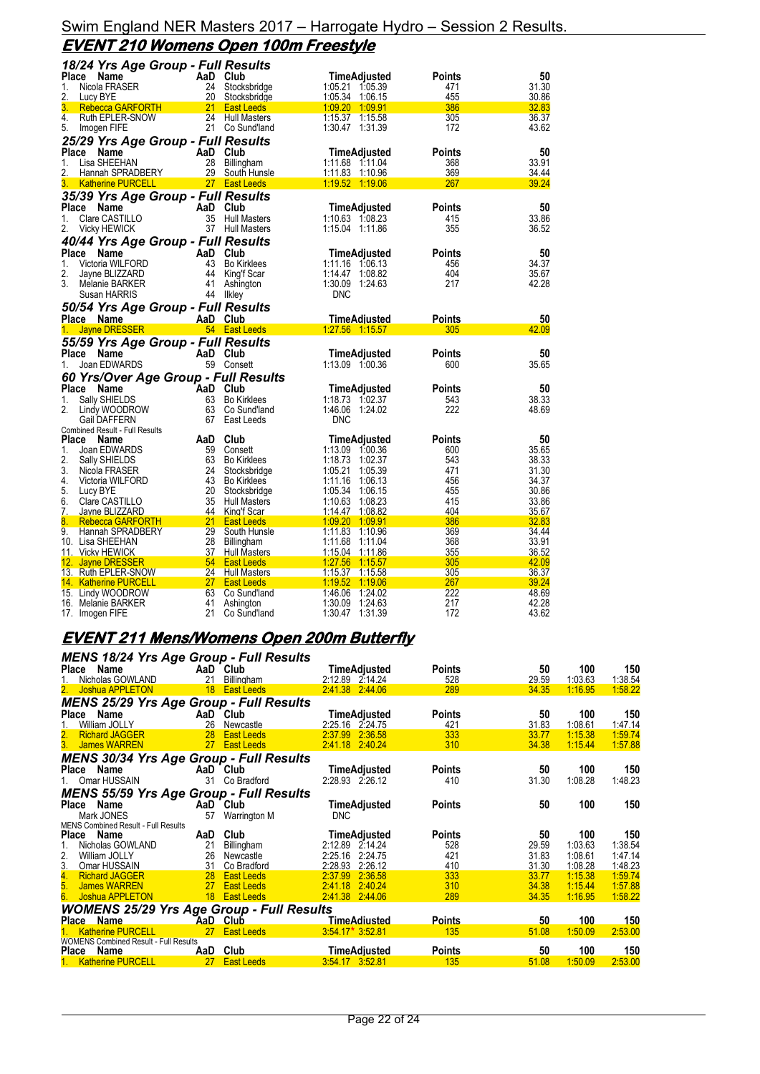### Swim England NER Masters 2017 – Harrogate Hydro – Session 2 Results. **EVENT 210 Womens Open 100m Freestyle**

| 18/24 Yrs Age Group - Full Results                  |                 |                                        |                                          |               |                       |
|-----------------------------------------------------|-----------------|----------------------------------------|------------------------------------------|---------------|-----------------------|
| Place<br>Name                                       |                 | AaD Club                               | <b>TimeAdjusted</b>                      | Points        | 50                    |
| Nicola FRASER<br>1.                                 | 24              | Stocksbridge                           | 1:05.21 1:05.39                          | 471           | 31.30                 |
| 2.<br>Lucy BYE                                      | 20              | Stocksbridge                           | 1:05.34 1:06.15                          | 455           | 30.86                 |
| 3.<br>Rebecca GARFORTH                              | 21              | <b>East Leeds</b>                      | 1:09.20 1:09.91                          | 386           | 32.83                 |
| 4.<br>Ruth EPLER-SNOW<br>5.                         | 24              | <b>Hull Masters</b><br>21 Co Sund'land | 1:15.37 1:15.58<br>1:30.47 1:31.39       | 305<br>172    | 36.37<br>43.62        |
| Imogen FIFE                                         |                 |                                        |                                          |               |                       |
| 25/29 Yrs Age Group - Full Results<br>Place<br>Name |                 | AaD Club                               |                                          | Points        | 50                    |
| 1.<br>Lisa SHEEHAN                                  | 28              | Billingham                             | TimeAdjusted<br>1:11.68 1:11.04          | 368           | 33.91                 |
| 2.<br>Hannah SPRADBERY                              |                 | 29 South Hunsle                        | 1:11.83 1:10.96                          | 369           | 34.44                 |
| 3.<br><b>Katherine PURCELL</b>                      |                 | 27 East Leeds                          | 1:19.52 1:19.06                          | 267           | <u>39.24</u>          |
| 35/39 Yrs Age Group - Full Results                  |                 |                                        |                                          |               |                       |
| Place<br>Name                                       |                 | AaD Club                               | <b>TimeAdjusted</b>                      | <b>Points</b> | 50                    |
| Clare CASTILLO<br>1.                                | 35              | <b>Hull Masters</b>                    | 1:10.63 1:08.23                          | 415           | 33.86                 |
| 2.<br><b>Vicky HEWICK</b>                           |                 | 37 Hull Masters                        | 1:15.04 1:11.86                          | 355           | 36.52                 |
| 40/44 Yrs Age Group - Full Results                  |                 |                                        |                                          |               |                       |
| Place<br>Name                                       |                 | AaD Club                               | TimeAdjusted                             | <b>Points</b> | 50                    |
| Victoria WILFORD<br>1.                              | 43              | <b>Bo Kirklees</b>                     | 1:11.16 1:06.13                          | 456           | 34.37                 |
| 2.<br>Jayne BLIZZARD                                |                 | 44 King'f Scar                         | 1:14.47 1:08.82                          | 404           | 35.67                 |
| 3.<br>Melanie BARKER                                | 41              | Ashington                              | 1:30.09<br>1:24.63                       | 217           | 42.28                 |
| Susan HARRIS                                        | 44              | likley                                 | <b>DNC</b>                               |               |                       |
| 50/54 Yrs Age Group - Full Results                  |                 |                                        |                                          |               |                       |
| Place Name                                          |                 | AaD Club<br>54 East Leeds              | <b>TimeAdjusted</b><br>1:27.56 1:15.57   | Points<br>305 | 50<br>42.09           |
| <b>Jayne DRESSER</b><br>1.                          |                 |                                        |                                          |               |                       |
|                                                     |                 |                                        |                                          |               |                       |
| 55/59 Yrs Age Group - Full Results                  |                 |                                        |                                          |               |                       |
| Place<br>Name                                       |                 | AaD Club                               | TimeAdjusted                             | Points        | 50                    |
| Joan EDWARDS<br>1.                                  |                 | 59 Consett                             | 1:13.09 1:00.36                          | 600           | 35.65                 |
| 60 Yrs/Over Age Group - Full Results                |                 |                                        |                                          |               |                       |
| Place<br>Name                                       | AaD             | Club                                   | TimeAdjusted                             | Points        | 50                    |
| 1.<br>Sally SHIELDS<br>2.                           | 63<br>63        | <b>Bo Kirklees</b><br>Co Sund'land     | 1:18.73 1:02.37<br>1:46.06 1:24.02       | 543<br>222    | 38.33<br>48.69        |
| Lindy WOODROW<br>Gail DAFFERN                       | 67              | East Leeds                             | <b>DNC</b>                               |               |                       |
| <b>Combined Result - Full Results</b>               |                 |                                        |                                          |               |                       |
| <b>Place</b><br>Name                                | AaD             | Club                                   | TimeAdjusted                             | Points        | 50                    |
| 1.<br>Joan EDWARDS                                  | 59              | Consett                                | 1:13.09 1:00.36                          | 600           | 35.65                 |
| 2.<br>Sally SHIELDS                                 | 63              | <b>Bo Kirklees</b>                     | 1:18.73 1:02.37                          | 543           | 38.33                 |
| 3.<br>Nicola FRASER                                 | 24              | Stocksbridge                           | 1:05.21<br>1:05.39                       | 471           | 31.30                 |
| 4.<br>Victoria WILFORD<br>5.                        | 43<br>20        | <b>Bo Kirklees</b>                     | 1:11.16<br>1:06.13<br>1:05.34 1:06.15    | 456<br>455    | 34.37<br>30.86        |
| Lucy BYE<br>6.<br>Clare CASTILLO                    | 35              | Stocksbridge<br><b>Hull Masters</b>    | 1:10.63 1:08.23                          | 415           | 33.86                 |
| 7.<br>Jayne BLIZZARD                                | 44              | King'f Scar                            | 1:14.47 1:08.82                          | 404           | 35.67                 |
| 8.<br>Rebecca GARFORTH                              | 21              | <b>East Leeds</b>                      | 1:09.20 1:09.91                          | 386           | 32.83                 |
| 9.<br>Hannah SPRADBERY                              | 29              | South Hunsle                           | 1:11.83<br>1:10.96                       | 369           | 34.44                 |
| 10. Lisa SHEEHAN                                    | 28              | Billingham                             | 1:11.68<br>1:11.04                       | 368           | 33.91                 |
| 11. Vicky HEWICK                                    | 37              | <b>Hull Masters</b>                    | 1:15.04<br>1:11.86                       | 355           | 36.52                 |
| 12. Jayne DRESSER                                   |                 | 54 East Leeds                          | 1:27.56<br>1:15.57                       | 305<br>305    | 42.09                 |
| 13. Ruth EPLER-SNOW<br>14. Katherine PURCELL        | 27 <sub>2</sub> | 24 Hull Masters<br><b>East Leeds</b>   | 1:15.37 1:15.58<br>1:19.52 1:19.06       | 267           | <u>36.37</u><br>39.24 |
| 15. Lindy WOODROW                                   | 63              | Co Sund'land                           | 1:24.02<br>1:46.06                       | 222           | 48.69                 |
| 16. Melanie BARKER<br>17. Imogen FIFE               | 41<br>21        | Ashington<br>Co Sund'land              | 1:30.09<br>1.24.63<br>1:30.47<br>1:31.39 | 217<br>172    | 42.28<br>43.62        |

# **EVENT 211 Mens/Womens Open 200m Butterfly**

| <b>MENS 18/24 Yrs Age Group - Full Results</b>                   |                 |                                  |                                       |               |                |                    |                    |
|------------------------------------------------------------------|-----------------|----------------------------------|---------------------------------------|---------------|----------------|--------------------|--------------------|
| Place<br>Name                                                    |                 | AaD Club                         | TimeAdjusted                          | <b>Points</b> | 50             | 100                | 150                |
| Nicholas GOWLAND                                                 | 21              | Billingham                       | 2:12.89 2:14.24                       | 528           | 29.59          | 1:03.63            | 1:38.54            |
| 2. Joshua APPLETON                                               |                 | 18 East Leeds                    | 2.41.38 2.44.06                       | 289           | 34.35          | 1:16.95            | 1:58.22            |
| <b>MENS 25/29 Yrs Age Group - Full Results</b>                   |                 |                                  |                                       |               |                |                    |                    |
| Place Name                                                       |                 | AaD Club                         | <b>TimeAdjusted</b>                   | <b>Points</b> | 50             | 100                | 150                |
| 1.<br>William JOLLY                                              | 26              | Newcastle                        | 2:25.16 2:24.75                       | 421           | 31.83          | 1:08.61            | 1:47.14            |
| 2.<br><b>Richard JAGGER</b>                                      | 28              | <b>East Leeds</b>                | 2:36.58<br>2:37.99                    | 333           | 33.77          | 1:15.38            | 1:59.74            |
| 3. James WARREN                                                  | 27              | <b>East Leeds</b>                | 2:41.18 2:40.24                       | 310           | 34.38          | 1:15.44            | 1:57.88            |
| <b>MENS 30/34 Yrs Age Group - Full Results</b>                   |                 |                                  |                                       |               |                |                    |                    |
| Place Name                                                       |                 | AaD Club                         | TimeAdjusted                          | <b>Points</b> | 50             | 100                | 150                |
| 1. Omar HUSSAIN                                                  | 31              | Co Bradford                      | 2:28.93 2:26.12                       | 410           | 31.30          | 1:08.28            | 1:48.23            |
| <b>MENS 55/59 Yrs Age Group - Full Results</b>                   |                 |                                  |                                       |               |                |                    |                    |
| Place Name                                                       |                 | AaD Club                         | TimeAdjusted                          | <b>Points</b> | 50             | 100                | 150                |
| Mark JONES                                                       | 57              | Warrington M                     | <b>DNC</b>                            |               |                |                    |                    |
| <b>MENS Combined Result - Full Results</b>                       |                 |                                  |                                       |               |                |                    |                    |
| <b>Place</b><br>Name                                             | AaD             | Club                             | TimeAdjusted                          | <b>Points</b> | 50             | 100                | 150                |
| Nicholas GOWLAND                                                 | 21              | Billingham                       | 2:12.89 2:14.24                       | 528           | 29.59          | 1:03.63            | 1:38.54            |
| 2.<br>William JOLLY                                              | 26              | Newcastle                        | 2:25.16 2:24.75                       | 421           | 31.83          | 1:08.61            | 1:47.14            |
| 3. Omar HUSSAIN                                                  | 31<br>28        | Co Bradford<br><b>East Leeds</b> | 2:28.93 2:26.12<br>2:37.99<br>2:36.58 | 410<br>333    | 31.30<br>33.77 | 1:08.28<br>1:15.38 | 1:48.23<br>1:59.74 |
| 4. Richard JAGGER<br>5. James WARREN                             | 27              | <b>East Leeds</b>                | 2:41.18 2:40.24                       | 310           | 34.38          | 1:15.44            | 1:57.88            |
| 6.<br>Joshua APPLETON                                            | 18              | <b>East Leeds</b>                | 2:41.38<br>2:44.06                    | 289           | 34.35          | 1:16.95            | 1:58.22            |
|                                                                  |                 |                                  |                                       |               |                |                    |                    |
| WOMENS 25/29 Yrs Age Group - Full Results<br>Place Name AaD Club |                 |                                  | <b>TimeAdiusted</b>                   | <b>Points</b> | 50             | 100                | 150                |
| <b>Katherine PURCELL</b>                                         | 27 <sub>2</sub> | <b>East Leeds</b>                | $3.54.17*3.52.81$                     | 135           | 51.08          | 1:50.09            | 2:53.00            |
| <b>WOMENS Combined Result - Full Results</b>                     |                 |                                  |                                       |               |                |                    |                    |
| Place<br><b>Name</b>                                             | AaD             | Club                             | <b>TimeAdjusted</b>                   | <b>Points</b> | 50             | 100                | 150                |
| 1. Katherine PURCELL                                             | <b>27</b>       | <b>East Leeds</b>                | 3 54 17 3 52 81                       | 135           | 51.08          | 1:50.09            | 2:53.00            |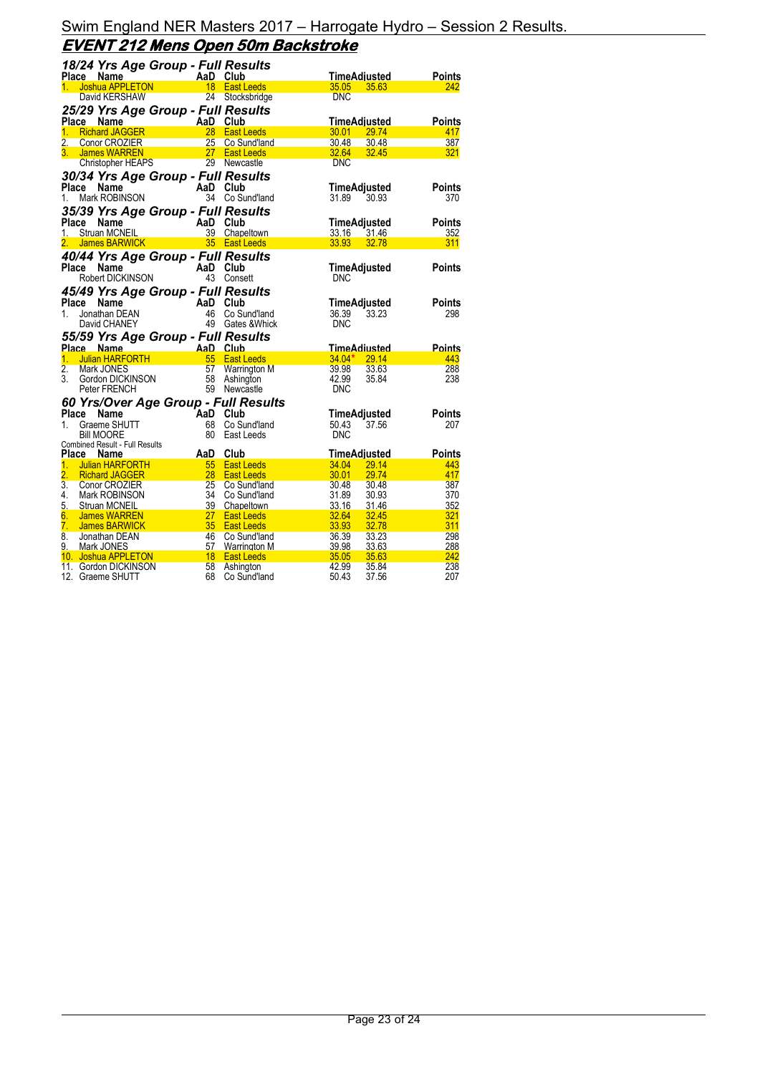|                  | 18/24 Yrs Age Group - Full Results          |            |                                |                         |               |
|------------------|---------------------------------------------|------------|--------------------------------|-------------------------|---------------|
|                  | Place Name                                  | AaD Club   |                                | TimeAdiusted            | <b>Points</b> |
| 1.               | Joshua APPLETON                             |            | 18 East Leeds                  | 35.05<br>35.63          | 242           |
|                  | David KERSHAW                               |            | 24 Stocksbridge                | <b>DNC</b>              |               |
|                  | 25/29 Yrs Age Group - Full Results          |            |                                |                         |               |
| Place            | Name                                        | AaD Club   |                                | <b>TimeAdjusted</b>     | Points        |
|                  | 1. Richard JAGGER                           | 28         | <b>East Leeds</b>              | 30.01<br>29.74          | 417           |
| 2.               | Conor CROZIER                               | 25         | Co Sund'land                   | 30.48<br>30.48          | 387           |
|                  | 3. James WARREN                             | 27         | <b>East Leeds</b>              | 32.64<br>32.45          | 321           |
|                  | <b>Christopher HEAPS</b>                    |            | 29 Newcastle                   | <b>DNC</b>              |               |
|                  |                                             |            |                                |                         |               |
|                  | 30/34 Yrs Age Group - Full Results          |            |                                |                         |               |
| Place            | Name                                        | AaD Club   |                                | <b>TimeAdjusted</b>     | Points        |
| 1.               | Mark ROBINSON                               |            | 34 Co Sund'land                | 31.89<br>30.93          | 370           |
|                  | 35/39 Yrs Age Group - Full Results          |            |                                |                         |               |
| Place            | Name                                        | AaD Club   |                                | TimeAdjusted            | Points        |
|                  | 1. Struan MCNEIL                            |            | 39 Chapeltown                  | 33.16 31.46             | 352           |
| 2.               | James BARWICK                               |            | 35 East Leeds                  | 33.93<br>32.78          | 311           |
|                  | 40/44 Yrs Age Group - Full Results          |            |                                |                         |               |
|                  | Place<br>Name                               | AaD Club   |                                | TimeAdjusted            | Points        |
|                  | Robert DICKINSON                            | 43         | Consett                        | <b>DNC</b>              |               |
|                  | 45/49 Yrs Age Group - Full Results          |            |                                |                         |               |
| Place            | Name                                        |            | Club                           | <b>TimeAdjusted</b>     | Points        |
| 1.               | Jonathan DEAN                               | AaD<br>46  | Co Sund'land                   | 33.23<br>36.39          | 298           |
|                  | David CHANEY                                |            | 49 Gates & Whick               | <b>DNC</b>              |               |
|                  |                                             |            |                                |                         |               |
|                  | 55/59 Yrs Age Group - Full Results          |            |                                |                         |               |
|                  | Place Name                                  | AaD Club   |                                | <b>TimeAdiusted</b>     | Points        |
| 1 <sup>1</sup>   | <b>Julian HARFORTH</b>                      | 55         | <b>East Leeds</b>              | $34.04*$<br>29.14       | 443           |
| $\overline{2}$ . | Mark JONES                                  | 57         | Warrington M                   | 39.98<br>33.63          | 288           |
| 3.               | Gordon DICKINSON                            | 58         | Ashington                      | 42.99<br>35.84          | 238           |
|                  | Peter FRENCH                                |            | 59 Newcastle                   | <b>DNC</b>              |               |
|                  | 60 Yrs/Over Age Group - Full Results        |            |                                |                         |               |
| Place            | Name                                        | <b>AaD</b> | Club                           | TimeAdjusted            | Points        |
| 1.               | Graeme SHUTT                                | 68         | Co Sund'land                   | 50.43<br>37.56          | 207           |
|                  | Bill MOORE                                  | 80         | East Leeds                     | <b>DNC</b>              |               |
|                  | <b>Combined Result - Full Results</b>       |            |                                |                         |               |
|                  | Place<br>Name                               | AaD        | Club                           | <b>TimeAdjusted</b>     | Points        |
| 1.               | Julian HARFORTH                             | 55         | <b>East Leeds</b>              | 34.04<br>29.14          | 443           |
| 2.               | <b>Richard JAGGER</b>                       | 28         | <b>East Leeds</b>              | 30.01<br>29.74          | 417           |
| 3.               | <b>Conor CROZIER</b>                        | 25         | Co Sund'land                   | 30.48<br>30.48          | 387           |
| 4.               | Mark ROBINSON                               | 34         | Co Sund'land                   | 31.89<br>30.93          | 370           |
| 5.               | Struan MCNEIL                               | 39         | Chapeltown                     | 33.16<br>31.46          | 352           |
| 6.               | <b>James WARREN</b>                         | 27         | <b>East Leeds</b>              | 32.64<br>32.45          | 321           |
| 7.               | <b>James BARWICK</b>                        | 35         | <b>East Leeds</b>              | 33.93<br>32.78          | 311           |
| 8.               | Jonathan DEAN                               | 46         | Co Sund'land                   | 36.39<br>33.23          | 298<br>288    |
| 9.               | Mark JONES                                  | 57<br>18   | <b>Warrington M</b>            | 39.98<br>33.63<br>35.05 | 242           |
|                  | 10. Joshua APPLETON<br>11. Gordon DICKINSON | 58         | <b>East Leeds</b><br>Ashington | 35.63<br>42.99<br>35.84 | 238           |
|                  |                                             |            |                                |                         |               |
|                  | 12. Graeme SHUTT                            | 68         | Co Sund'land                   | 50.43<br>37.56          | 207           |